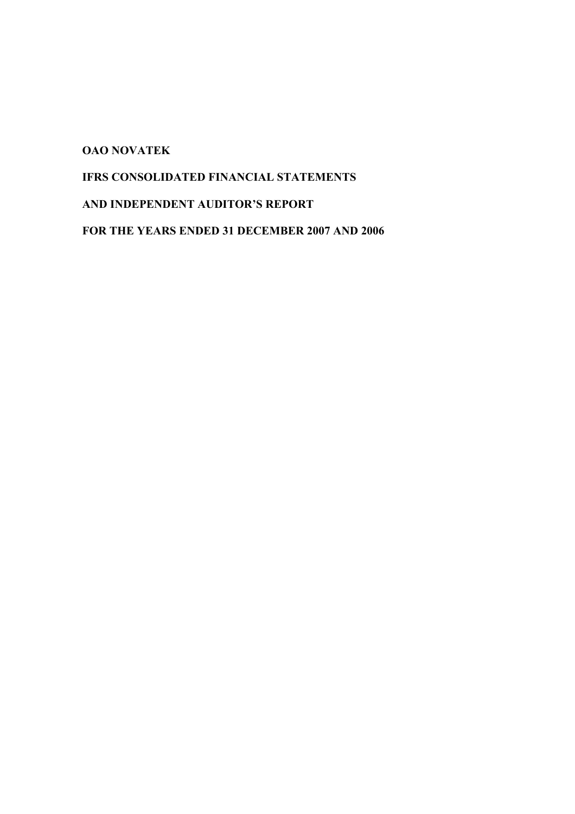### **OAO NOVATEK**

# **IFRS CONSOLIDATED FINANCIAL STATEMENTS AND INDEPENDENT AUDITOR'S REPORT**

**FOR THE YEARS ENDED 31 DECEMBER 2007 AND 2006**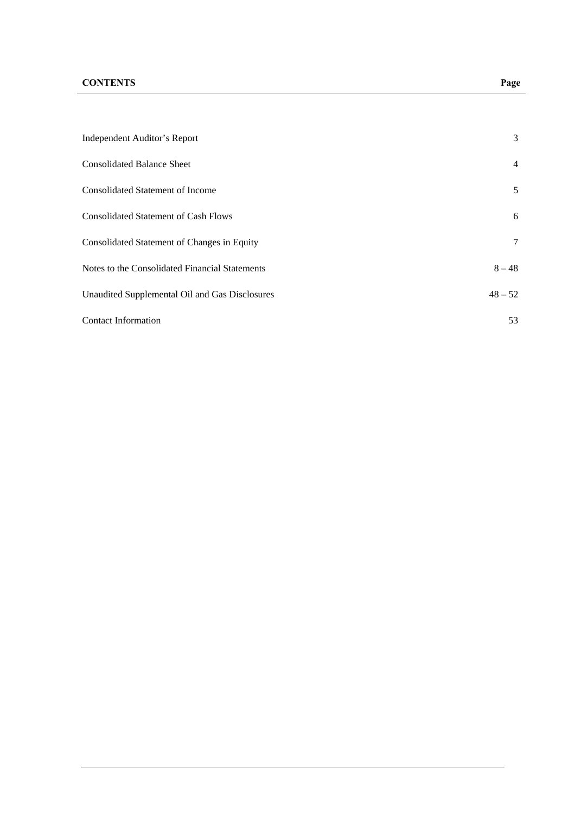# **CONTENTS Page**

| <b>Independent Auditor's Report</b>            | 3              |
|------------------------------------------------|----------------|
| <b>Consolidated Balance Sheet</b>              | $\overline{4}$ |
| <b>Consolidated Statement of Income</b>        | 5              |
| <b>Consolidated Statement of Cash Flows</b>    | 6              |
| Consolidated Statement of Changes in Equity    | 7              |
| Notes to the Consolidated Financial Statements | $8 - 48$       |
| Unaudited Supplemental Oil and Gas Disclosures | $48 - 52$      |
| <b>Contact Information</b>                     | 53             |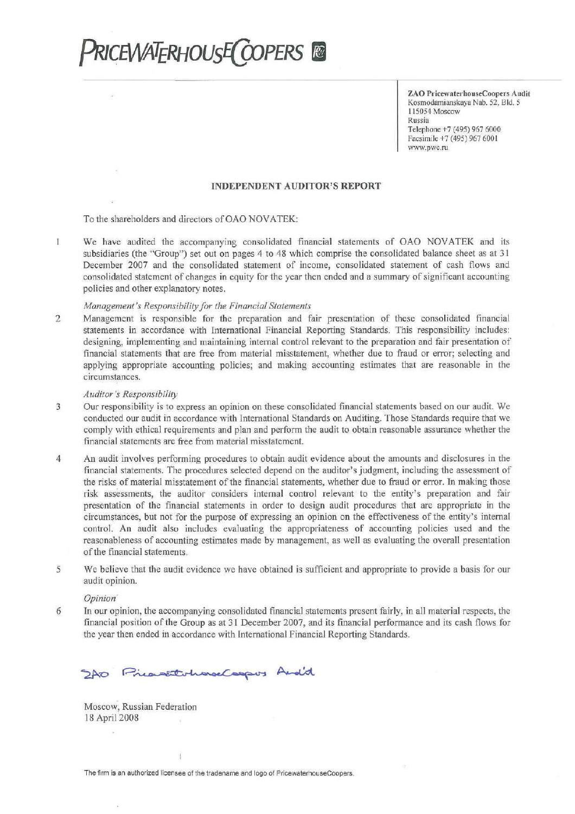

ZAO PricewaterhouseCoopers Audit Kosmodamianskaya Nab. 52, Bld. 5 115054 Moscow Russia Telephone +7 (495) 967 6000 Facsimile +7 (495) 967 6001 www.pwc.ru

#### **INDEPENDENT AUDITOR'S REPORT**

To the shareholders and directors of OAO NOVATEK:

We have audited the accompanying consolidated financial statements of OAO NOVATEK and its Ĩ subsidiaries (the "Group") set out on pages 4 to 48 which comprise the consolidated balance sheet as at 31 December 2007 and the consolidated statement of income, consolidated statement of cash flows and consolidated statement of changes in equity for the year then ended and a summary of significant accounting policies and other explanatory notes.

#### Management's Responsibility for the Financial Statements

Management is responsible for the preparation and fair presentation of these consolidated financial  $\overline{2}$ statements in accordance with International Financial Reporting Standards. This responsibility includes: designing, implementing and maintaining internal control relevant to the preparation and fair presentation of financial statements that are free from material misstatement, whether due to fraud or error; selecting and applying appropriate accounting policies; and making accounting estimates that are reasonable in the circumstances.

#### Auditor's Responsibility

×

- $\overline{3}$ Our responsibility is to express an opinion on these consolidated financial statements based on our audit. We conducted our audit in accordance with International Standards on Auditing. Those Standards require that we comply with ethical requirements and plan and perform the audit to obtain reasonable assurance whether the financial statements are free from material misstatement.
- $\overline{4}$ An audit involves performing procedures to obtain audit evidence about the amounts and disclosures in the financial statements. The procedures selected depend on the auditor's judgment, including the assessment of the risks of material misstatement of the financial statements, whether due to fraud or error. In making those risk assessments, the auditor considers internal control relevant to the entity's preparation and fair presentation of the financial statements in order to design audit procedures that are appropriate in the circumstances, but not for the purpose of expressing an opinion on the effectiveness of the entity's internal control. An audit also includes evaluating the appropriateness of accounting policies used and the reasonableness of accounting estimates made by management, as well as evaluating the overall presentation of the financial statements.
- 5 We believe that the audit evidence we have obtained is sufficient and appropriate to provide a basis for our audit opinion.

#### *Opinion*

In our opinion, the accompanying consolidated financial statements present fairly, in all material respects, the 6 financial position of the Group as at 31 December 2007, and its financial performance and its cash flows for the year then ended in accordance with International Financial Reporting Standards.

PriorsotheroeCaspo Andit

 $\frac{1}{k}$ 

Moscow, Russian Federation 18 April 2008

÷.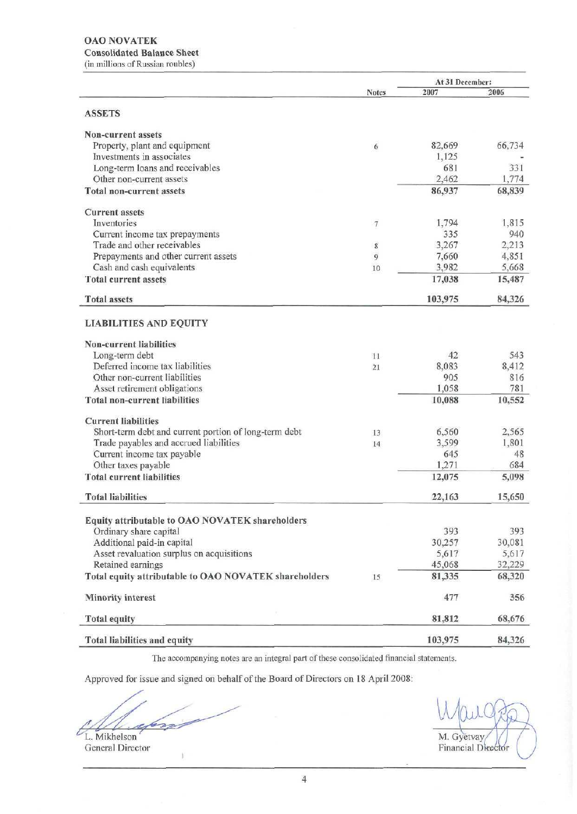# **OAO NOVATEK**

## **Consolidated Balance Sheet**

(in millions of Russian roubles)

|                                                       |              | At 31 December: |        |
|-------------------------------------------------------|--------------|-----------------|--------|
|                                                       | Notes        | 2007            | 2006   |
| <b>ASSETS</b>                                         |              |                 |        |
| Non-current assets                                    |              |                 |        |
| Property, plant and equipment                         | 6            | 82,669          | 66,734 |
| Investments in associates                             |              | 1,125           |        |
| Long-term loans and receivables                       |              | 681             | 331    |
| Other non-current assets                              |              | 2,462           | 1,774  |
| Total non-current assets                              |              | 86,937          | 68,839 |
| <b>Current</b> assets                                 |              |                 |        |
| Inventories                                           | $\tau$       | 1,794           | 1,815  |
| Current income tax prepayments                        |              | 335             | 940    |
| Trade and other receivables                           | 8            | 3,267           | 2,213  |
| Prepayments and other current assets                  | $\mathbf{Q}$ | 7,660           | 4,851  |
| Cash and cash equivalents                             | 10           | 3,982           | 5,668  |
| <b>Total current assets</b>                           |              | 17,038          | 15,487 |
| <b>Total assets</b>                                   |              | 103,975         | 84,326 |
| <b>LIABILITIES AND EQUITY</b>                         |              |                 |        |
| Non-current liabilities                               |              |                 |        |
| Long-term debt                                        | 11           | 42              | 543    |
| Deferred income tax liabilities                       | 21           | 8,083           | 8,412  |
| Other non-current liabilities                         |              | 905             | 816    |
| Asset retirement obligations                          |              | 1,058           | 781    |
| <b>Total non-current liabilities</b>                  |              | 10,088          | 10,552 |
| <b>Current liabilities</b>                            |              |                 |        |
| Short-term debt and current portion of long-term debt | 13           | 6,560           | 2,565  |
| Trade payables and accrued liabilities                | 14           | 3,599           | 1,801  |
| Current income tax payable                            |              | 645             | 48     |
| Other taxes payable                                   |              | 1,271           | 684    |
| <b>Total current liabilities</b>                      |              | 12,075          | 5,098  |
| <b>Total liabilities</b>                              |              | 22,163          | 15,650 |
| Equity attributable to OAO NOVATEK shareholders       |              |                 |        |
| Ordinary share capital                                |              | 393             | 393    |
| Additional paid-in capital                            |              | 30,257          | 30,081 |
| Asset revaluation surplus on acquisitions             |              | 5,617           | 5,617  |
| Retained earnings                                     |              | 45,068          | 32,229 |
| Total equity attributable to OAO NOVATEK shareholders | 15           | 81,335          | 68,320 |
| <b>Minority interest</b>                              |              | 477             | 356    |
| <b>Total equity</b>                                   |              | 81,812          | 68,676 |
| Total liabilities and equity                          |              | 103,975         | 84,326 |

The accompanying notes are an integral part of these consolidated financial statements.

Approved for issue and signed on behalf of the Board of Directors on 18 April 2008:

yong L. Mikhelson

 $\mathop{}_{\textstyle \sim}$ 

General Director

M. Gyetvay Financial Director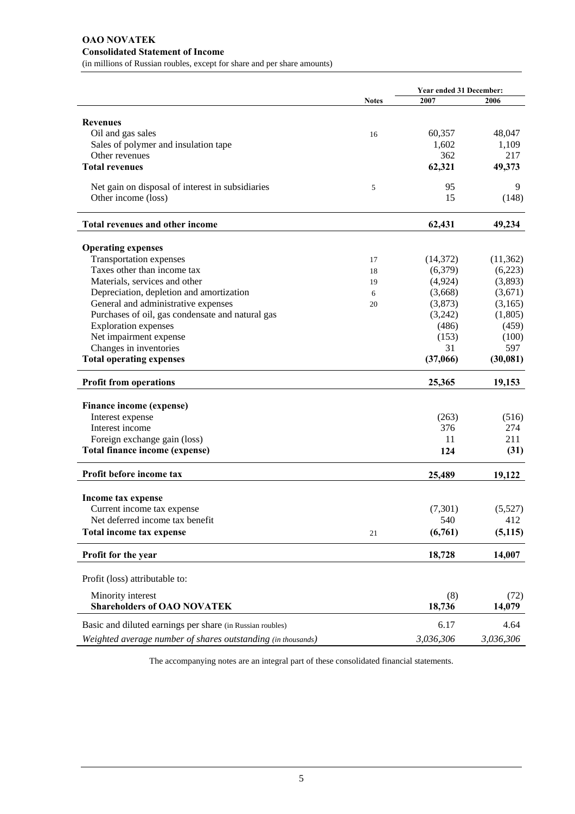#### **OAO NOVATEK Consolidated Statement of Income**

(in millions of Russian roubles, except for share and per share amounts)

|                                                              |              |              | Year ended 31 December: |  |  |
|--------------------------------------------------------------|--------------|--------------|-------------------------|--|--|
|                                                              | <b>Notes</b> | 2007         | 2006                    |  |  |
| <b>Revenues</b>                                              |              |              |                         |  |  |
| Oil and gas sales                                            |              | 60,357       | 48,047                  |  |  |
| Sales of polymer and insulation tape                         | 16           | 1,602        | 1,109                   |  |  |
| Other revenues                                               |              | 362          | 217                     |  |  |
| <b>Total revenues</b>                                        |              | 62,321       | 49,373                  |  |  |
|                                                              |              |              |                         |  |  |
| Net gain on disposal of interest in subsidiaries             | 5            | 95           | 9                       |  |  |
| Other income (loss)                                          |              | 15           | (148)                   |  |  |
| Total revenues and other income                              |              | 62,431       | 49,234                  |  |  |
| <b>Operating expenses</b>                                    |              |              |                         |  |  |
| <b>Transportation expenses</b>                               | 17           | (14, 372)    | (11, 362)               |  |  |
| Taxes other than income tax                                  | 18           | (6,379)      | (6,223)                 |  |  |
| Materials, services and other                                | 19           | (4,924)      | (3,893)                 |  |  |
| Depreciation, depletion and amortization                     | 6            | (3,668)      | (3,671)                 |  |  |
| General and administrative expenses                          | 20           | (3,873)      | (3,165)                 |  |  |
| Purchases of oil, gas condensate and natural gas             |              | (3,242)      | (1,805)                 |  |  |
| <b>Exploration</b> expenses                                  |              | (486)        | (459)                   |  |  |
| Net impairment expense                                       |              | (153)        | (100)                   |  |  |
| Changes in inventories                                       |              | 31           | 597                     |  |  |
| <b>Total operating expenses</b>                              |              | (37,066)     | (30, 081)               |  |  |
| <b>Profit from operations</b>                                |              | 25,365       | 19,153                  |  |  |
|                                                              |              |              |                         |  |  |
| Finance income (expense)                                     |              |              |                         |  |  |
| Interest expense<br>Interest income                          |              | (263)<br>376 | (516)<br>274            |  |  |
|                                                              |              | 11           | 211                     |  |  |
| Foreign exchange gain (loss)                                 |              |              |                         |  |  |
| Total finance income (expense)                               |              | 124          | (31)                    |  |  |
| Profit before income tax                                     |              | 25,489       | 19,122                  |  |  |
| Income tax expense                                           |              |              |                         |  |  |
| Current income tax expense                                   |              | (7,301)      | (5,527)                 |  |  |
| Net deferred income tax benefit                              |              | 540          | 412                     |  |  |
| Total income tax expense                                     | 21           | (6,761)      | (5,115)                 |  |  |
| Profit for the year                                          |              | 18,728       | 14,007                  |  |  |
|                                                              |              |              |                         |  |  |
| Profit (loss) attributable to:                               |              |              |                         |  |  |
| Minority interest<br><b>Shareholders of OAO NOVATEK</b>      |              | (8)          | (72)                    |  |  |
|                                                              |              | 18,736       | 14,079                  |  |  |
| Basic and diluted earnings per share (in Russian roubles)    |              | 6.17         | 4.64                    |  |  |
| Weighted average number of shares outstanding (in thousands) |              | 3,036,306    | 3,036,306               |  |  |

The accompanying notes are an integral part of these consolidated financial statements.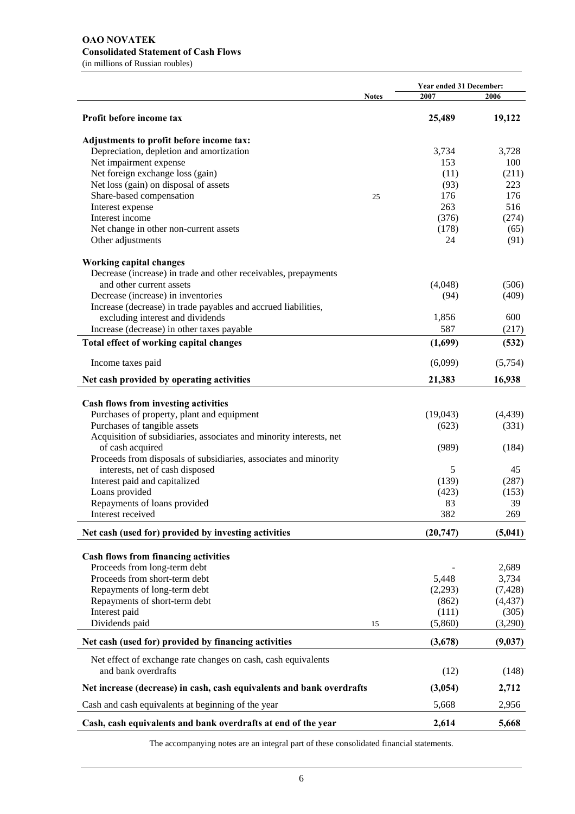#### **OAO NOVATEK Consolidated Statement of Cash Flows**

(in millions of Russian roubles)

|                                                                       |              | Year ended 31 December: |            |
|-----------------------------------------------------------------------|--------------|-------------------------|------------|
|                                                                       | <b>Notes</b> | 2007                    | 2006       |
| Profit before income tax                                              |              | 25,489                  | 19,122     |
|                                                                       |              |                         |            |
| Adjustments to profit before income tax:                              |              |                         |            |
| Depreciation, depletion and amortization                              |              | 3,734                   | 3,728      |
| Net impairment expense                                                |              | 153                     | 100        |
| Net foreign exchange loss (gain)                                      |              | (11)                    | (211)      |
| Net loss (gain) on disposal of assets                                 |              | (93)                    | 223<br>176 |
| Share-based compensation                                              | 25           | 176<br>263              | 516        |
| Interest expense<br>Interest income                                   |              | (376)                   | (274)      |
| Net change in other non-current assets                                |              | (178)                   | (65)       |
| Other adjustments                                                     |              | 24                      | (91)       |
| <b>Working capital changes</b>                                        |              |                         |            |
| Decrease (increase) in trade and other receivables, prepayments       |              |                         |            |
| and other current assets                                              |              | (4,048)                 | (506)      |
| Decrease (increase) in inventories                                    |              | (94)                    | (409)      |
| Increase (decrease) in trade payables and accrued liabilities,        |              |                         |            |
| excluding interest and dividends                                      |              | 1,856                   | 600        |
| Increase (decrease) in other taxes payable                            |              | 587                     | (217)      |
| Total effect of working capital changes                               |              | (1,699)                 | (532)      |
|                                                                       |              |                         |            |
| Income taxes paid                                                     |              | (6,099)                 | (5,754)    |
| Net cash provided by operating activities                             |              | 21,383                  | 16,938     |
| <b>Cash flows from investing activities</b>                           |              |                         |            |
| Purchases of property, plant and equipment                            |              | (19,043)                | (4, 439)   |
| Purchases of tangible assets                                          |              | (623)                   | (331)      |
| Acquisition of subsidiaries, associates and minority interests, net   |              |                         |            |
| of cash acquired                                                      |              | (989)                   | (184)      |
| Proceeds from disposals of subsidiaries, associates and minority      |              |                         |            |
| interests, net of cash disposed                                       |              | 5                       | 45         |
| Interest paid and capitalized                                         |              | (139)                   | (287)      |
| Loans provided                                                        |              | (423)                   | (153)      |
| Repayments of loans provided                                          |              | 83                      | 39         |
| Interest received                                                     |              | 382                     | 269        |
| Net cash (used for) provided by investing activities                  |              | (20, 747)               | (5,041)    |
|                                                                       |              |                         |            |
| <b>Cash flows from financing activities</b>                           |              |                         |            |
| Proceeds from long-term debt                                          |              |                         | 2,689      |
| Proceeds from short-term debt                                         |              | 5,448                   | 3,734      |
| Repayments of long-term debt                                          |              | (2,293)                 | (7, 428)   |
| Repayments of short-term debt                                         |              | (862)                   | (4, 437)   |
| Interest paid                                                         |              | (111)                   | (305)      |
| Dividends paid                                                        | 15           | (5,860)                 | (3,290)    |
| Net cash (used for) provided by financing activities                  |              | (3,678)                 | (9,037)    |
| Net effect of exchange rate changes on cash, cash equivalents         |              |                         |            |
| and bank overdrafts                                                   |              | (12)                    | (148)      |
| Net increase (decrease) in cash, cash equivalents and bank overdrafts |              | (3,054)                 | 2,712      |
| Cash and cash equivalents at beginning of the year                    |              | 5,668                   | 2,956      |
| Cash, cash equivalents and bank overdrafts at end of the year         |              | 2,614                   | 5,668      |

The accompanying notes are an integral part of these consolidated financial statements.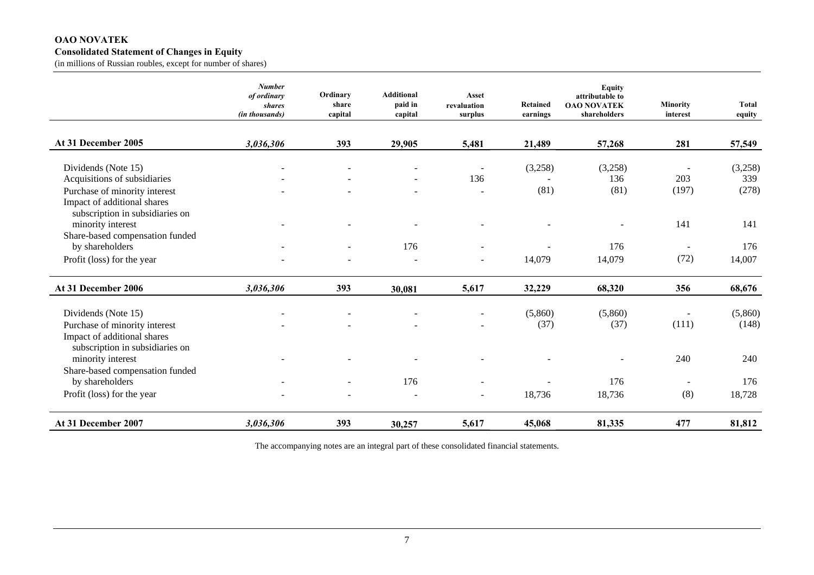#### **OAO NOVATEK Consolidated Statement of Changes in Equity**

(in millions of Russian roubles, except for number of shares)

|                                                                | <b>Number</b><br>of ordinary<br><b>shares</b><br>(in thousands) | Ordinary<br>share<br>capital | <b>Additional</b><br>paid in<br>capital | <b>Asset</b><br>revaluation<br>surplus | <b>Retained</b><br>earnings | Equity<br>attributable to<br><b>OAO NOVATEK</b><br>shareholders | <b>Minority</b><br>interest | <b>Total</b><br>equity |
|----------------------------------------------------------------|-----------------------------------------------------------------|------------------------------|-----------------------------------------|----------------------------------------|-----------------------------|-----------------------------------------------------------------|-----------------------------|------------------------|
| At 31 December 2005                                            | 3,036,306                                                       | 393                          | 29,905                                  | 5,481                                  | 21,489                      | 57,268                                                          | 281                         | 57,549                 |
| Dividends (Note 15)                                            |                                                                 |                              |                                         |                                        |                             |                                                                 |                             |                        |
| Acquisitions of subsidiaries                                   |                                                                 |                              |                                         | $\blacksquare$<br>136                  | (3,258)                     | (3,258)<br>136                                                  | 203                         | (3,258)<br>339         |
| Purchase of minority interest                                  |                                                                 |                              | $\overline{\phantom{a}}$                |                                        | (81)                        | (81)                                                            | (197)                       | (278)                  |
| Impact of additional shares<br>subscription in subsidiaries on |                                                                 |                              |                                         |                                        |                             |                                                                 |                             |                        |
| minority interest                                              |                                                                 |                              |                                         |                                        |                             |                                                                 | 141                         | 141                    |
| Share-based compensation funded                                |                                                                 |                              |                                         |                                        |                             |                                                                 |                             |                        |
| by shareholders                                                |                                                                 |                              | 176                                     |                                        |                             | 176                                                             |                             | 176                    |
| Profit (loss) for the year                                     |                                                                 |                              |                                         | $\blacksquare$                         | 14,079                      | 14,079                                                          | (72)                        | 14,007                 |
| At 31 December 2006                                            | 3,036,306                                                       | 393                          | 30,081                                  | 5,617                                  | 32,229                      | 68,320                                                          | 356                         | 68,676                 |
| Dividends (Note 15)                                            |                                                                 |                              |                                         | $\blacksquare$                         | (5,860)                     | (5,860)                                                         |                             | (5,860)                |
| Purchase of minority interest                                  |                                                                 |                              |                                         |                                        | (37)                        | (37)                                                            | (111)                       | (148)                  |
| Impact of additional shares<br>subscription in subsidiaries on |                                                                 |                              |                                         |                                        |                             |                                                                 |                             |                        |
| minority interest                                              |                                                                 |                              |                                         |                                        |                             |                                                                 | 240                         | 240                    |
| Share-based compensation funded                                |                                                                 |                              |                                         |                                        |                             |                                                                 |                             |                        |
| by shareholders                                                |                                                                 |                              | 176                                     |                                        |                             | 176                                                             | $\sim$                      | 176                    |
| Profit (loss) for the year                                     |                                                                 |                              |                                         | $\overline{a}$                         | 18,736                      | 18,736                                                          | (8)                         | 18,728                 |
| At 31 December 2007                                            | 3,036,306                                                       | 393                          | 30,257                                  | 5,617                                  | 45,068                      | 81,335                                                          | 477                         | 81,812                 |

The accompanying notes are an integral part of these consolidated financial statements.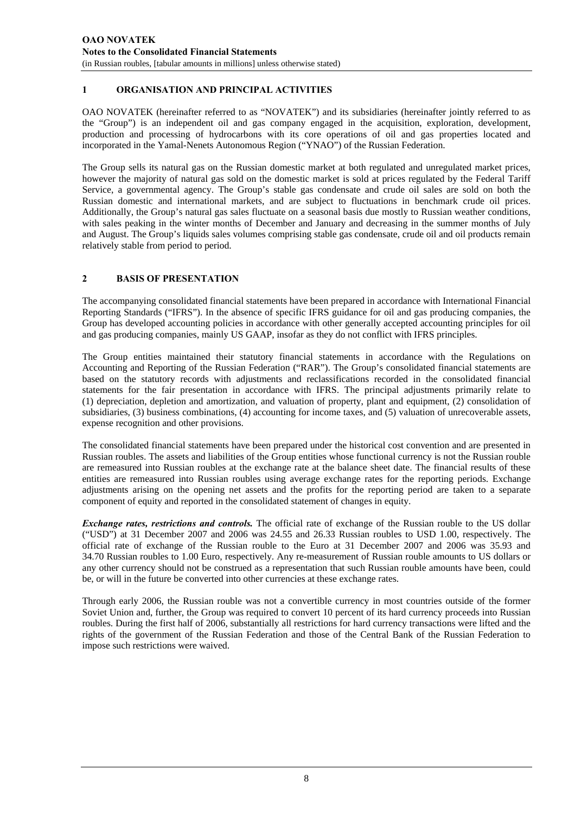#### **1 ORGANISATION AND PRINCIPAL ACTIVITIES**

OAO NOVATEK (hereinafter referred to as "NOVATEK") and its subsidiaries (hereinafter jointly referred to as the "Group") is an independent oil and gas company engaged in the acquisition, exploration, development, production and processing of hydrocarbons with its core operations of oil and gas properties located and incorporated in the Yamal-Nenets Autonomous Region ("YNAO") of the Russian Federation.

The Group sells its natural gas on the Russian domestic market at both regulated and unregulated market prices, however the majority of natural gas sold on the domestic market is sold at prices regulated by the Federal Tariff Service, a governmental agency. The Group's stable gas condensate and crude oil sales are sold on both the Russian domestic and international markets, and are subject to fluctuations in benchmark crude oil prices. Additionally, the Group's natural gas sales fluctuate on a seasonal basis due mostly to Russian weather conditions, with sales peaking in the winter months of December and January and decreasing in the summer months of July and August. The Group's liquids sales volumes comprising stable gas condensate, crude oil and oil products remain relatively stable from period to period.

#### **2 BASIS OF PRESENTATION**

The accompanying consolidated financial statements have been prepared in accordance with International Financial Reporting Standards ("IFRS"). In the absence of specific IFRS guidance for oil and gas producing companies, the Group has developed accounting policies in accordance with other generally accepted accounting principles for oil and gas producing companies, mainly US GAAP, insofar as they do not conflict with IFRS principles.

The Group entities maintained their statutory financial statements in accordance with the Regulations on Accounting and Reporting of the Russian Federation ("RAR"). The Group's consolidated financial statements are based on the statutory records with adjustments and reclassifications recorded in the consolidated financial statements for the fair presentation in accordance with IFRS. The principal adjustments primarily relate to (1) depreciation, depletion and amortization, and valuation of property, plant and equipment, (2) consolidation of subsidiaries, (3) business combinations, (4) accounting for income taxes, and (5) valuation of unrecoverable assets, expense recognition and other provisions.

The consolidated financial statements have been prepared under the historical cost convention and are presented in Russian roubles. The assets and liabilities of the Group entities whose functional currency is not the Russian rouble are remeasured into Russian roubles at the exchange rate at the balance sheet date. The financial results of these entities are remeasured into Russian roubles using average exchange rates for the reporting periods. Exchange adjustments arising on the opening net assets and the profits for the reporting period are taken to a separate component of equity and reported in the consolidated statement of changes in equity.

*Exchange rates, restrictions and controls.* The official rate of exchange of the Russian rouble to the US dollar ("USD") at 31 December 2007 and 2006 was 24.55 and 26.33 Russian roubles to USD 1.00, respectively. The official rate of exchange of the Russian rouble to the Euro at 31 December 2007 and 2006 was 35.93 and 34.70 Russian roubles to 1.00 Euro, respectively. Any re-measurement of Russian rouble amounts to US dollars or any other currency should not be construed as a representation that such Russian rouble amounts have been, could be, or will in the future be converted into other currencies at these exchange rates.

Through early 2006, the Russian rouble was not a convertible currency in most countries outside of the former Soviet Union and, further, the Group was required to convert 10 percent of its hard currency proceeds into Russian roubles. During the first half of 2006, substantially all restrictions for hard currency transactions were lifted and the rights of the government of the Russian Federation and those of the Central Bank of the Russian Federation to impose such restrictions were waived.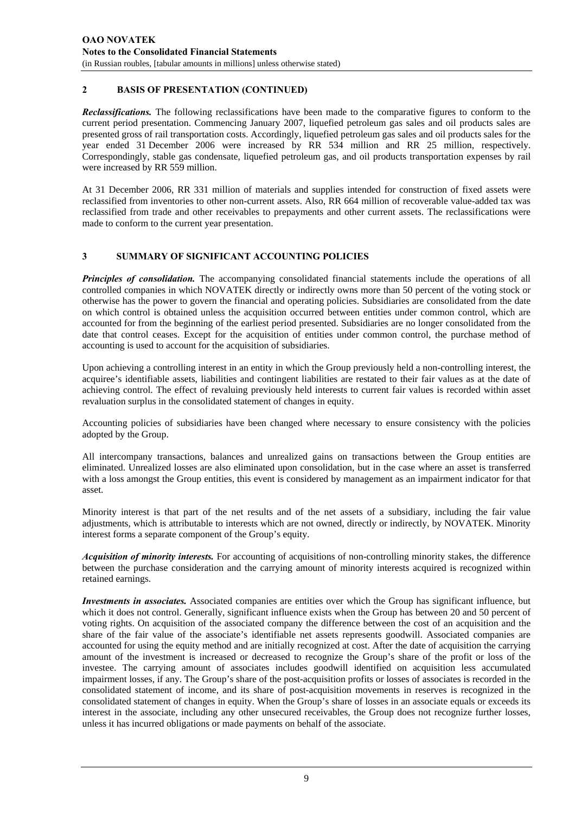#### **2 BASIS OF PRESENTATION (CONTINUED)**

*Reclassifications.* The following reclassifications have been made to the comparative figures to conform to the current period presentation. Commencing January 2007, liquefied petroleum gas sales and oil products sales are presented gross of rail transportation costs. Accordingly, liquefied petroleum gas sales and oil products sales for the year ended 31 December 2006 were increased by RR 534 million and RR 25 million, respectively. Correspondingly, stable gas condensate, liquefied petroleum gas, and oil products transportation expenses by rail were increased by RR 559 million.

At 31 December 2006, RR 331 million of materials and supplies intended for construction of fixed assets were reclassified from inventories to other non-current assets. Also, RR 664 million of recoverable value-added tax was reclassified from trade and other receivables to prepayments and other current assets. The reclassifications were made to conform to the current year presentation.

#### **3 SUMMARY OF SIGNIFICANT ACCOUNTING POLICIES**

*Principles of consolidation.* The accompanying consolidated financial statements include the operations of all controlled companies in which NOVATEK directly or indirectly owns more than 50 percent of the voting stock or otherwise has the power to govern the financial and operating policies. Subsidiaries are consolidated from the date on which control is obtained unless the acquisition occurred between entities under common control, which are accounted for from the beginning of the earliest period presented. Subsidiaries are no longer consolidated from the date that control ceases. Except for the acquisition of entities under common control, the purchase method of accounting is used to account for the acquisition of subsidiaries.

Upon achieving a controlling interest in an entity in which the Group previously held a non-controlling interest, the acquiree's identifiable assets, liabilities and contingent liabilities are restated to their fair values as at the date of achieving control. The effect of revaluing previously held interests to current fair values is recorded within asset revaluation surplus in the consolidated statement of changes in equity.

Accounting policies of subsidiaries have been changed where necessary to ensure consistency with the policies adopted by the Group.

All intercompany transactions, balances and unrealized gains on transactions between the Group entities are eliminated. Unrealized losses are also eliminated upon consolidation, but in the case where an asset is transferred with a loss amongst the Group entities, this event is considered by management as an impairment indicator for that asset.

Minority interest is that part of the net results and of the net assets of a subsidiary, including the fair value adjustments, which is attributable to interests which are not owned, directly or indirectly, by NOVATEK. Minority interest forms a separate component of the Group's equity.

*Acquisition of minority interests.* For accounting of acquisitions of non-controlling minority stakes, the difference between the purchase consideration and the carrying amount of minority interests acquired is recognized within retained earnings.

*Investments in associates.* Associated companies are entities over which the Group has significant influence, but which it does not control. Generally, significant influence exists when the Group has between 20 and 50 percent of voting rights. On acquisition of the associated company the difference between the cost of an acquisition and the share of the fair value of the associate's identifiable net assets represents goodwill. Associated companies are accounted for using the equity method and are initially recognized at cost. After the date of acquisition the carrying amount of the investment is increased or decreased to recognize the Group's share of the profit or loss of the investee. The carrying amount of associates includes goodwill identified on acquisition less accumulated impairment losses, if any. The Group's share of the post-acquisition profits or losses of associates is recorded in the consolidated statement of income, and its share of post-acquisition movements in reserves is recognized in the consolidated statement of changes in equity. When the Group's share of losses in an associate equals or exceeds its interest in the associate, including any other unsecured receivables, the Group does not recognize further losses, unless it has incurred obligations or made payments on behalf of the associate.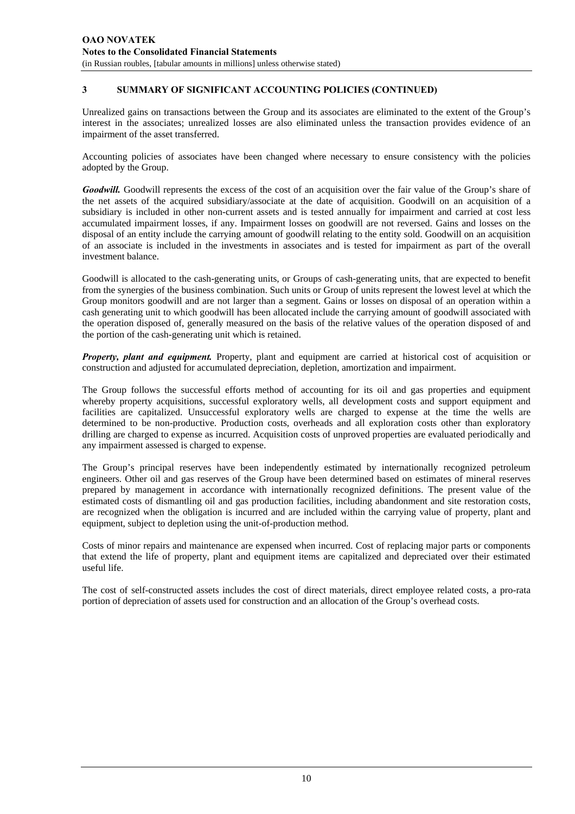Unrealized gains on transactions between the Group and its associates are eliminated to the extent of the Group's interest in the associates; unrealized losses are also eliminated unless the transaction provides evidence of an impairment of the asset transferred.

Accounting policies of associates have been changed where necessary to ensure consistency with the policies adopted by the Group.

*Goodwill.* Goodwill represents the excess of the cost of an acquisition over the fair value of the Group's share of the net assets of the acquired subsidiary/associate at the date of acquisition. Goodwill on an acquisition of a subsidiary is included in other non-current assets and is tested annually for impairment and carried at cost less accumulated impairment losses, if any. Impairment losses on goodwill are not reversed. Gains and losses on the disposal of an entity include the carrying amount of goodwill relating to the entity sold. Goodwill on an acquisition of an associate is included in the investments in associates and is tested for impairment as part of the overall investment balance.

Goodwill is allocated to the cash-generating units, or Groups of cash-generating units, that are expected to benefit from the synergies of the business combination. Such units or Group of units represent the lowest level at which the Group monitors goodwill and are not larger than a segment. Gains or losses on disposal of an operation within a cash generating unit to which goodwill has been allocated include the carrying amount of goodwill associated with the operation disposed of, generally measured on the basis of the relative values of the operation disposed of and the portion of the cash-generating unit which is retained.

*Property, plant and equipment.* Property, plant and equipment are carried at historical cost of acquisition or construction and adjusted for accumulated depreciation, depletion, amortization and impairment.

The Group follows the successful efforts method of accounting for its oil and gas properties and equipment whereby property acquisitions, successful exploratory wells, all development costs and support equipment and facilities are capitalized. Unsuccessful exploratory wells are charged to expense at the time the wells are determined to be non-productive. Production costs, overheads and all exploration costs other than exploratory drilling are charged to expense as incurred. Acquisition costs of unproved properties are evaluated periodically and any impairment assessed is charged to expense.

The Group's principal reserves have been independently estimated by internationally recognized petroleum engineers. Other oil and gas reserves of the Group have been determined based on estimates of mineral reserves prepared by management in accordance with internationally recognized definitions. The present value of the estimated costs of dismantling oil and gas production facilities, including abandonment and site restoration costs, are recognized when the obligation is incurred and are included within the carrying value of property, plant and equipment, subject to depletion using the unit-of-production method.

Costs of minor repairs and maintenance are expensed when incurred. Cost of replacing major parts or components that extend the life of property, plant and equipment items are capitalized and depreciated over their estimated useful life.

The cost of self-constructed assets includes the cost of direct materials, direct employee related costs, a pro-rata portion of depreciation of assets used for construction and an allocation of the Group's overhead costs.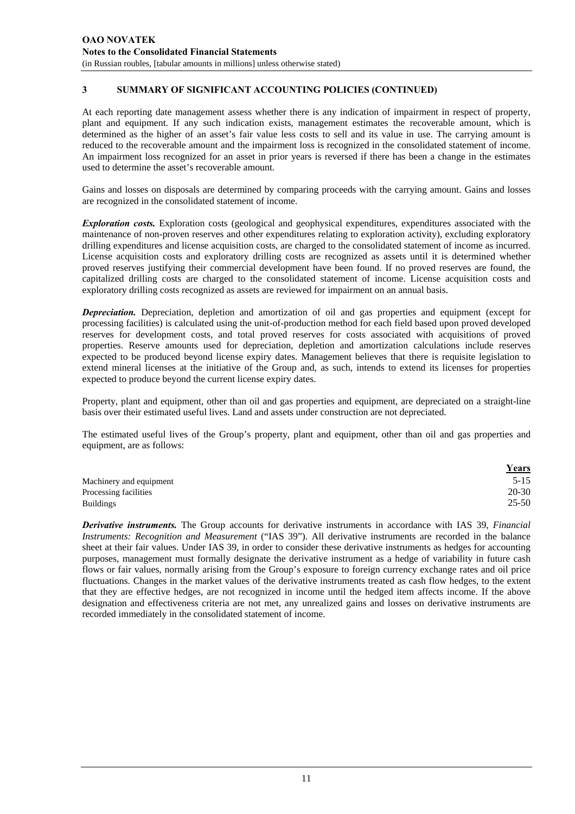At each reporting date management assess whether there is any indication of impairment in respect of property, plant and equipment. If any such indication exists, management estimates the recoverable amount, which is determined as the higher of an asset's fair value less costs to sell and its value in use. The carrying amount is reduced to the recoverable amount and the impairment loss is recognized in the consolidated statement of income. An impairment loss recognized for an asset in prior years is reversed if there has been a change in the estimates used to determine the asset's recoverable amount.

Gains and losses on disposals are determined by comparing proceeds with the carrying amount. Gains and losses are recognized in the consolidated statement of income.

*Exploration costs.* Exploration costs (geological and geophysical expenditures, expenditures associated with the maintenance of non-proven reserves and other expenditures relating to exploration activity), excluding exploratory drilling expenditures and license acquisition costs, are charged to the consolidated statement of income as incurred. License acquisition costs and exploratory drilling costs are recognized as assets until it is determined whether proved reserves justifying their commercial development have been found. If no proved reserves are found, the capitalized drilling costs are charged to the consolidated statement of income. License acquisition costs and exploratory drilling costs recognized as assets are reviewed for impairment on an annual basis.

*Depreciation.* Depreciation, depletion and amortization of oil and gas properties and equipment (except for processing facilities) is calculated using the unit-of-production method for each field based upon proved developed reserves for development costs, and total proved reserves for costs associated with acquisitions of proved properties. Reserve amounts used for depreciation, depletion and amortization calculations include reserves expected to be produced beyond license expiry dates. Management believes that there is requisite legislation to extend mineral licenses at the initiative of the Group and, as such, intends to extend its licenses for properties expected to produce beyond the current license expiry dates.

Property, plant and equipment, other than oil and gas properties and equipment, are depreciated on a straight-line basis over their estimated useful lives. Land and assets under construction are not depreciated.

The estimated useful lives of the Group's property, plant and equipment, other than oil and gas properties and equipment, are as follows:

|                         | <u>Years</u> |
|-------------------------|--------------|
| Machinery and equipment | $5 - 15$     |
| Processing facilities   | 20-30        |
| <b>Buildings</b>        | $25 - 50$    |

*Derivative instruments.* The Group accounts for derivative instruments in accordance with IAS 39, *Financial Instruments: Recognition and Measurement* ("IAS 39"). All derivative instruments are recorded in the balance sheet at their fair values. Under IAS 39, in order to consider these derivative instruments as hedges for accounting purposes, management must formally designate the derivative instrument as a hedge of variability in future cash flows or fair values, normally arising from the Group's exposure to foreign currency exchange rates and oil price fluctuations. Changes in the market values of the derivative instruments treated as cash flow hedges, to the extent that they are effective hedges, are not recognized in income until the hedged item affects income. If the above designation and effectiveness criteria are not met, any unrealized gains and losses on derivative instruments are recorded immediately in the consolidated statement of income.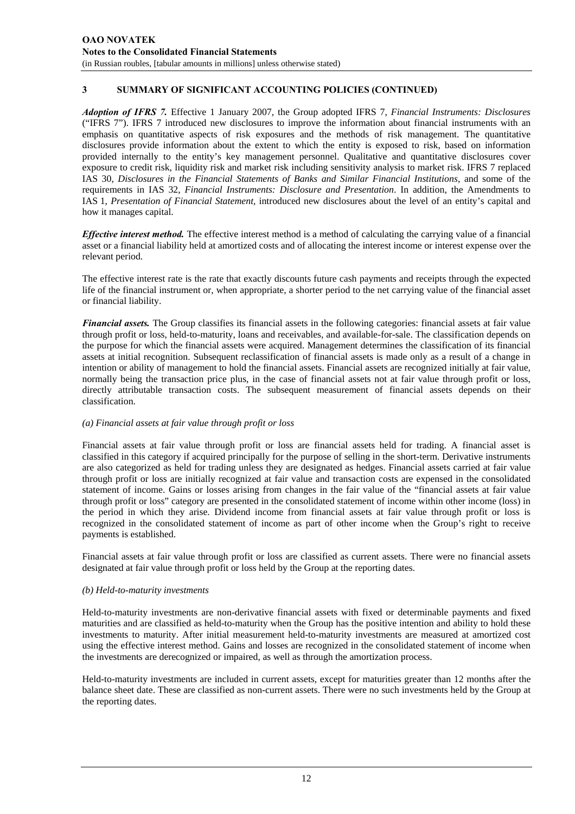*Adoption of IFRS 7.* Effective 1 January 2007, the Group adopted IFRS 7, *Financial Instruments: Disclosures*  ("IFRS 7"). IFRS 7 introduced new disclosures to improve the information about financial instruments with an emphasis on quantitative aspects of risk exposures and the methods of risk management. The quantitative disclosures provide information about the extent to which the entity is exposed to risk, based on information provided internally to the entity's key management personnel. Qualitative and quantitative disclosures cover exposure to credit risk, liquidity risk and market risk including sensitivity analysis to market risk. IFRS 7 replaced IAS 30, *Disclosures in the Financial Statements of Banks and Similar Financial Institutions*, and some of the requirements in IAS 32, *Financial Instruments: Disclosure and Presentation*. In addition, the Amendments to IAS 1, *Presentation of Financial Statement,* introduced new disclosures about the level of an entity's capital and how it manages capital.

*Effective interest method.* The effective interest method is a method of calculating the carrying value of a financial asset or a financial liability held at amortized costs and of allocating the interest income or interest expense over the relevant period.

The effective interest rate is the rate that exactly discounts future cash payments and receipts through the expected life of the financial instrument or, when appropriate, a shorter period to the net carrying value of the financial asset or financial liability.

*Financial assets.* The Group classifies its financial assets in the following categories: financial assets at fair value through profit or loss, held-to-maturity, loans and receivables, and available-for-sale. The classification depends on the purpose for which the financial assets were acquired. Management determines the classification of its financial assets at initial recognition. Subsequent reclassification of financial assets is made only as a result of a change in intention or ability of management to hold the financial assets. Financial assets are recognized initially at fair value, normally being the transaction price plus, in the case of financial assets not at fair value through profit or loss, directly attributable transaction costs. The subsequent measurement of financial assets depends on their classification.

#### *(a) Financial assets at fair value through profit or loss*

Financial assets at fair value through profit or loss are financial assets held for trading. A financial asset is classified in this category if acquired principally for the purpose of selling in the short-term. Derivative instruments are also categorized as held for trading unless they are designated as hedges. Financial assets carried at fair value through profit or loss are initially recognized at fair value and transaction costs are expensed in the consolidated statement of income. Gains or losses arising from changes in the fair value of the "financial assets at fair value through profit or loss" category are presented in the consolidated statement of income within other income (loss) in the period in which they arise. Dividend income from financial assets at fair value through profit or loss is recognized in the consolidated statement of income as part of other income when the Group's right to receive payments is established.

Financial assets at fair value through profit or loss are classified as current assets. There were no financial assets designated at fair value through profit or loss held by the Group at the reporting dates.

#### *(b) Held-to-maturity investments*

Held-to-maturity investments are non-derivative financial assets with fixed or determinable payments and fixed maturities and are classified as held-to-maturity when the Group has the positive intention and ability to hold these investments to maturity. After initial measurement held-to-maturity investments are measured at amortized cost using the effective interest method. Gains and losses are recognized in the consolidated statement of income when the investments are derecognized or impaired, as well as through the amortization process.

Held-to-maturity investments are included in current assets, except for maturities greater than 12 months after the balance sheet date. These are classified as non-current assets. There were no such investments held by the Group at the reporting dates.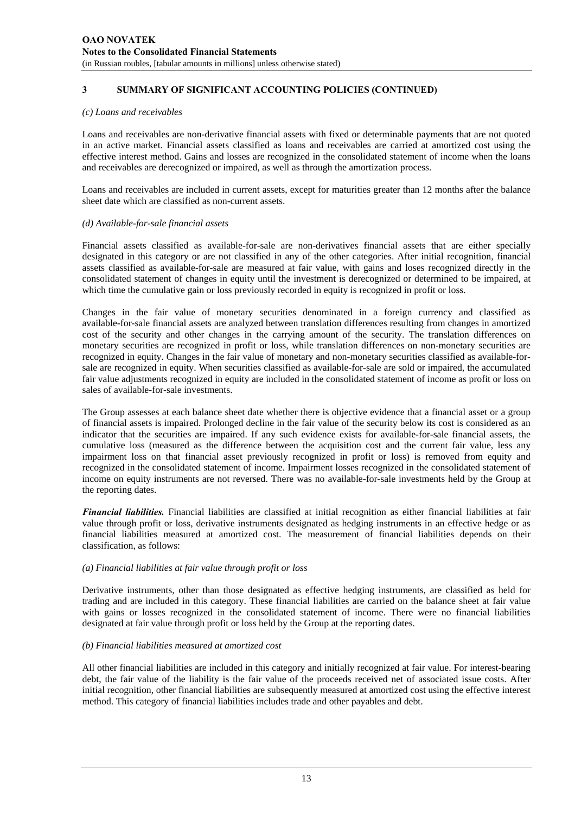#### *(c) Loans and receivables*

Loans and receivables are non-derivative financial assets with fixed or determinable payments that are not quoted in an active market. Financial assets classified as loans and receivables are carried at amortized cost using the effective interest method. Gains and losses are recognized in the consolidated statement of income when the loans and receivables are derecognized or impaired, as well as through the amortization process.

Loans and receivables are included in current assets, except for maturities greater than 12 months after the balance sheet date which are classified as non-current assets.

#### *(d) Available-for-sale financial assets*

Financial assets classified as available-for-sale are non-derivatives financial assets that are either specially designated in this category or are not classified in any of the other categories. After initial recognition, financial assets classified as available-for-sale are measured at fair value, with gains and loses recognized directly in the consolidated statement of changes in equity until the investment is derecognized or determined to be impaired, at which time the cumulative gain or loss previously recorded in equity is recognized in profit or loss.

Changes in the fair value of monetary securities denominated in a foreign currency and classified as available-for-sale financial assets are analyzed between translation differences resulting from changes in amortized cost of the security and other changes in the carrying amount of the security. The translation differences on monetary securities are recognized in profit or loss, while translation differences on non-monetary securities are recognized in equity. Changes in the fair value of monetary and non-monetary securities classified as available-forsale are recognized in equity. When securities classified as available-for-sale are sold or impaired, the accumulated fair value adjustments recognized in equity are included in the consolidated statement of income as profit or loss on sales of available-for-sale investments.

The Group assesses at each balance sheet date whether there is objective evidence that a financial asset or a group of financial assets is impaired. Prolonged decline in the fair value of the security below its cost is considered as an indicator that the securities are impaired. If any such evidence exists for available-for-sale financial assets, the cumulative loss (measured as the difference between the acquisition cost and the current fair value, less any impairment loss on that financial asset previously recognized in profit or loss) is removed from equity and recognized in the consolidated statement of income. Impairment losses recognized in the consolidated statement of income on equity instruments are not reversed. There was no available-for-sale investments held by the Group at the reporting dates.

*Financial liabilities.* Financial liabilities are classified at initial recognition as either financial liabilities at fair value through profit or loss, derivative instruments designated as hedging instruments in an effective hedge or as financial liabilities measured at amortized cost. The measurement of financial liabilities depends on their classification, as follows:

#### *(a) Financial liabilities at fair value through profit or loss*

Derivative instruments, other than those designated as effective hedging instruments, are classified as held for trading and are included in this category. These financial liabilities are carried on the balance sheet at fair value with gains or losses recognized in the consolidated statement of income. There were no financial liabilities designated at fair value through profit or loss held by the Group at the reporting dates.

#### *(b) Financial liabilities measured at amortized cost*

All other financial liabilities are included in this category and initially recognized at fair value. For interest-bearing debt, the fair value of the liability is the fair value of the proceeds received net of associated issue costs. After initial recognition, other financial liabilities are subsequently measured at amortized cost using the effective interest method. This category of financial liabilities includes trade and other payables and debt.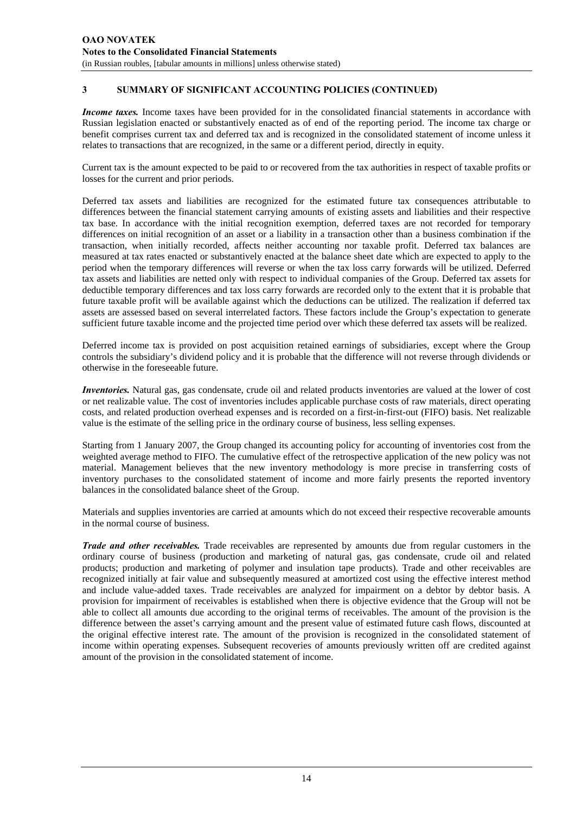*Income taxes.* Income taxes have been provided for in the consolidated financial statements in accordance with Russian legislation enacted or substantively enacted as of end of the reporting period. The income tax charge or benefit comprises current tax and deferred tax and is recognized in the consolidated statement of income unless it relates to transactions that are recognized, in the same or a different period, directly in equity.

Current tax is the amount expected to be paid to or recovered from the tax authorities in respect of taxable profits or losses for the current and prior periods.

Deferred tax assets and liabilities are recognized for the estimated future tax consequences attributable to differences between the financial statement carrying amounts of existing assets and liabilities and their respective tax base. In accordance with the initial recognition exemption, deferred taxes are not recorded for temporary differences on initial recognition of an asset or a liability in a transaction other than a business combination if the transaction, when initially recorded, affects neither accounting nor taxable profit. Deferred tax balances are measured at tax rates enacted or substantively enacted at the balance sheet date which are expected to apply to the period when the temporary differences will reverse or when the tax loss carry forwards will be utilized. Deferred tax assets and liabilities are netted only with respect to individual companies of the Group. Deferred tax assets for deductible temporary differences and tax loss carry forwards are recorded only to the extent that it is probable that future taxable profit will be available against which the deductions can be utilized. The realization if deferred tax assets are assessed based on several interrelated factors. These factors include the Group's expectation to generate sufficient future taxable income and the projected time period over which these deferred tax assets will be realized.

Deferred income tax is provided on post acquisition retained earnings of subsidiaries, except where the Group controls the subsidiary's dividend policy and it is probable that the difference will not reverse through dividends or otherwise in the foreseeable future.

*Inventories.* Natural gas, gas condensate, crude oil and related products inventories are valued at the lower of cost or net realizable value. The cost of inventories includes applicable purchase costs of raw materials, direct operating costs, and related production overhead expenses and is recorded on a first-in-first-out (FIFO) basis. Net realizable value is the estimate of the selling price in the ordinary course of business, less selling expenses.

Starting from 1 January 2007, the Group changed its accounting policy for accounting of inventories cost from the weighted average method to FIFO. The cumulative effect of the retrospective application of the new policy was not material. Management believes that the new inventory methodology is more precise in transferring costs of inventory purchases to the consolidated statement of income and more fairly presents the reported inventory balances in the consolidated balance sheet of the Group.

Materials and supplies inventories are carried at amounts which do not exceed their respective recoverable amounts in the normal course of business.

*Trade and other receivables.* Trade receivables are represented by amounts due from regular customers in the ordinary course of business (production and marketing of natural gas, gas condensate, crude oil and related products; production and marketing of polymer and insulation tape products). Trade and other receivables are recognized initially at fair value and subsequently measured at amortized cost using the effective interest method and include value-added taxes. Trade receivables are analyzed for impairment on a debtor by debtor basis. A provision for impairment of receivables is established when there is objective evidence that the Group will not be able to collect all amounts due according to the original terms of receivables. The amount of the provision is the difference between the asset's carrying amount and the present value of estimated future cash flows, discounted at the original effective interest rate. The amount of the provision is recognized in the consolidated statement of income within operating expenses. Subsequent recoveries of amounts previously written off are credited against amount of the provision in the consolidated statement of income.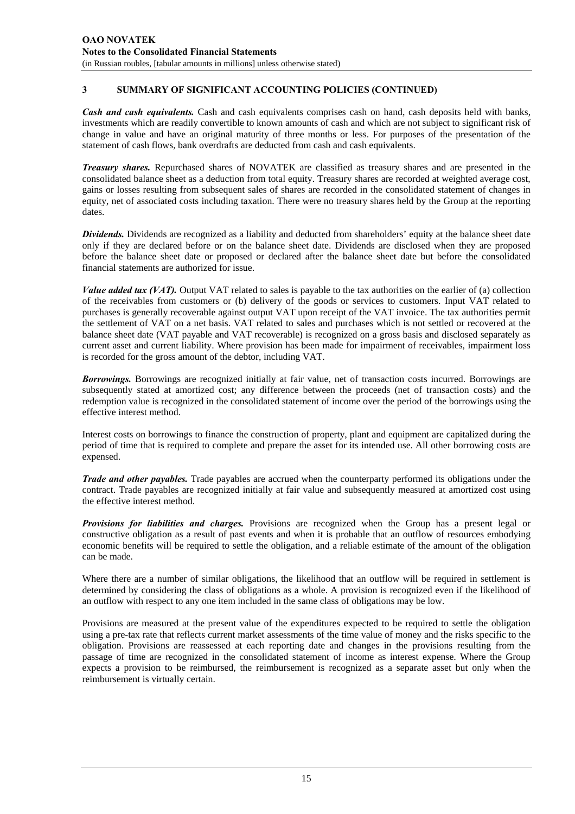*Cash and cash equivalents.* Cash and cash equivalents comprises cash on hand, cash deposits held with banks, investments which are readily convertible to known amounts of cash and which are not subject to significant risk of change in value and have an original maturity of three months or less. For purposes of the presentation of the statement of cash flows, bank overdrafts are deducted from cash and cash equivalents.

*Treasury shares.* Repurchased shares of NOVATEK are classified as treasury shares and are presented in the consolidated balance sheet as a deduction from total equity. Treasury shares are recorded at weighted average cost, gains or losses resulting from subsequent sales of shares are recorded in the consolidated statement of changes in equity, net of associated costs including taxation. There were no treasury shares held by the Group at the reporting dates.

*Dividends.* Dividends are recognized as a liability and deducted from shareholders' equity at the balance sheet date only if they are declared before or on the balance sheet date. Dividends are disclosed when they are proposed before the balance sheet date or proposed or declared after the balance sheet date but before the consolidated financial statements are authorized for issue.

*Value added tax (VAT)*. Output VAT related to sales is payable to the tax authorities on the earlier of (a) collection of the receivables from customers or (b) delivery of the goods or services to customers. Input VAT related to purchases is generally recoverable against output VAT upon receipt of the VAT invoice. The tax authorities permit the settlement of VAT on a net basis. VAT related to sales and purchases which is not settled or recovered at the balance sheet date (VAT payable and VAT recoverable) is recognized on a gross basis and disclosed separately as current asset and current liability. Where provision has been made for impairment of receivables, impairment loss is recorded for the gross amount of the debtor, including VAT.

*Borrowings.* Borrowings are recognized initially at fair value, net of transaction costs incurred. Borrowings are subsequently stated at amortized cost; any difference between the proceeds (net of transaction costs) and the redemption value is recognized in the consolidated statement of income over the period of the borrowings using the effective interest method.

Interest costs on borrowings to finance the construction of property, plant and equipment are capitalized during the period of time that is required to complete and prepare the asset for its intended use. All other borrowing costs are expensed.

*Trade and other payables.* Trade payables are accrued when the counterparty performed its obligations under the contract. Trade payables are recognized initially at fair value and subsequently measured at amortized cost using the effective interest method.

*Provisions for liabilities and charges.* Provisions are recognized when the Group has a present legal or constructive obligation as a result of past events and when it is probable that an outflow of resources embodying economic benefits will be required to settle the obligation, and a reliable estimate of the amount of the obligation can be made.

Where there are a number of similar obligations, the likelihood that an outflow will be required in settlement is determined by considering the class of obligations as a whole. A provision is recognized even if the likelihood of an outflow with respect to any one item included in the same class of obligations may be low.

Provisions are measured at the present value of the expenditures expected to be required to settle the obligation using a pre-tax rate that reflects current market assessments of the time value of money and the risks specific to the obligation. Provisions are reassessed at each reporting date and changes in the provisions resulting from the passage of time are recognized in the consolidated statement of income as interest expense. Where the Group expects a provision to be reimbursed, the reimbursement is recognized as a separate asset but only when the reimbursement is virtually certain.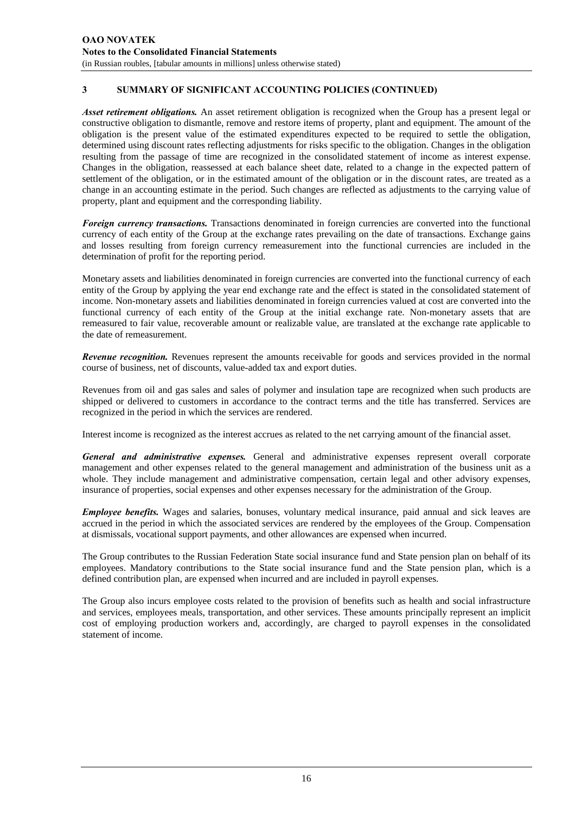*Asset retirement obligations.* An asset retirement obligation is recognized when the Group has a present legal or constructive obligation to dismantle, remove and restore items of property, plant and equipment. The amount of the obligation is the present value of the estimated expenditures expected to be required to settle the obligation, determined using discount rates reflecting adjustments for risks specific to the obligation. Changes in the obligation resulting from the passage of time are recognized in the consolidated statement of income as interest expense. Changes in the obligation, reassessed at each balance sheet date, related to a change in the expected pattern of settlement of the obligation, or in the estimated amount of the obligation or in the discount rates, are treated as a change in an accounting estimate in the period. Such changes are reflected as adjustments to the carrying value of property, plant and equipment and the corresponding liability.

*Foreign currency transactions.* Transactions denominated in foreign currencies are converted into the functional currency of each entity of the Group at the exchange rates prevailing on the date of transactions. Exchange gains and losses resulting from foreign currency remeasurement into the functional currencies are included in the determination of profit for the reporting period.

Monetary assets and liabilities denominated in foreign currencies are converted into the functional currency of each entity of the Group by applying the year end exchange rate and the effect is stated in the consolidated statement of income. Non-monetary assets and liabilities denominated in foreign currencies valued at cost are converted into the functional currency of each entity of the Group at the initial exchange rate. Non-monetary assets that are remeasured to fair value, recoverable amount or realizable value, are translated at the exchange rate applicable to the date of remeasurement.

*Revenue recognition.* Revenues represent the amounts receivable for goods and services provided in the normal course of business, net of discounts, value-added tax and export duties.

Revenues from oil and gas sales and sales of polymer and insulation tape are recognized when such products are shipped or delivered to customers in accordance to the contract terms and the title has transferred. Services are recognized in the period in which the services are rendered.

Interest income is recognized as the interest accrues as related to the net carrying amount of the financial asset.

*General and administrative expenses.* General and administrative expenses represent overall corporate management and other expenses related to the general management and administration of the business unit as a whole. They include management and administrative compensation, certain legal and other advisory expenses, insurance of properties, social expenses and other expenses necessary for the administration of the Group.

*Employee benefits.* Wages and salaries, bonuses, voluntary medical insurance, paid annual and sick leaves are accrued in the period in which the associated services are rendered by the employees of the Group. Compensation at dismissals, vocational support payments, and other allowances are expensed when incurred.

The Group contributes to the Russian Federation State social insurance fund and State pension plan on behalf of its employees. Mandatory contributions to the State social insurance fund and the State pension plan, which is a defined contribution plan, are expensed when incurred and are included in payroll expenses.

The Group also incurs employee costs related to the provision of benefits such as health and social infrastructure and services, employees meals, transportation, and other services. These amounts principally represent an implicit cost of employing production workers and, accordingly, are charged to payroll expenses in the consolidated statement of income.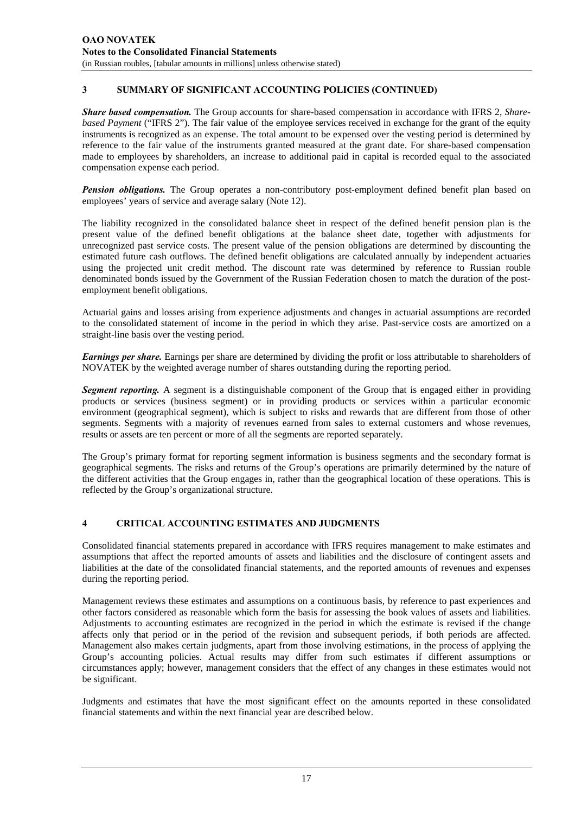*Share based compensation.* The Group accounts for share-based compensation in accordance with IFRS 2, *Sharebased Payment* ("IFRS 2"). The fair value of the employee services received in exchange for the grant of the equity instruments is recognized as an expense. The total amount to be expensed over the vesting period is determined by reference to the fair value of the instruments granted measured at the grant date. For share-based compensation made to employees by shareholders, an increase to additional paid in capital is recorded equal to the associated compensation expense each period.

*Pension obligations.* The Group operates a non-contributory post-employment defined benefit plan based on employees' years of service and average salary (Note 12).

The liability recognized in the consolidated balance sheet in respect of the defined benefit pension plan is the present value of the defined benefit obligations at the balance sheet date, together with adjustments for unrecognized past service costs. The present value of the pension obligations are determined by discounting the estimated future cash outflows. The defined benefit obligations are calculated annually by independent actuaries using the projected unit credit method. The discount rate was determined by reference to Russian rouble denominated bonds issued by the Government of the Russian Federation chosen to match the duration of the postemployment benefit obligations.

Actuarial gains and losses arising from experience adjustments and changes in actuarial assumptions are recorded to the consolidated statement of income in the period in which they arise. Past-service costs are amortized on a straight-line basis over the vesting period.

*Earnings per share.* Earnings per share are determined by dividing the profit or loss attributable to shareholders of NOVATEK by the weighted average number of shares outstanding during the reporting period.

**Segment reporting.** A segment is a distinguishable component of the Group that is engaged either in providing products or services (business segment) or in providing products or services within a particular economic environment (geographical segment), which is subject to risks and rewards that are different from those of other segments. Segments with a majority of revenues earned from sales to external customers and whose revenues, results or assets are ten percent or more of all the segments are reported separately.

The Group's primary format for reporting segment information is business segments and the secondary format is geographical segments. The risks and returns of the Group's operations are primarily determined by the nature of the different activities that the Group engages in, rather than the geographical location of these operations. This is reflected by the Group's organizational structure.

#### **4 CRITICAL ACCOUNTING ESTIMATES AND JUDGMENTS**

Consolidated financial statements prepared in accordance with IFRS requires management to make estimates and assumptions that affect the reported amounts of assets and liabilities and the disclosure of contingent assets and liabilities at the date of the consolidated financial statements, and the reported amounts of revenues and expenses during the reporting period.

Management reviews these estimates and assumptions on a continuous basis, by reference to past experiences and other factors considered as reasonable which form the basis for assessing the book values of assets and liabilities. Adjustments to accounting estimates are recognized in the period in which the estimate is revised if the change affects only that period or in the period of the revision and subsequent periods, if both periods are affected. Management also makes certain judgments, apart from those involving estimations, in the process of applying the Group's accounting policies. Actual results may differ from such estimates if different assumptions or circumstances apply; however, management considers that the effect of any changes in these estimates would not be significant.

Judgments and estimates that have the most significant effect on the amounts reported in these consolidated financial statements and within the next financial year are described below.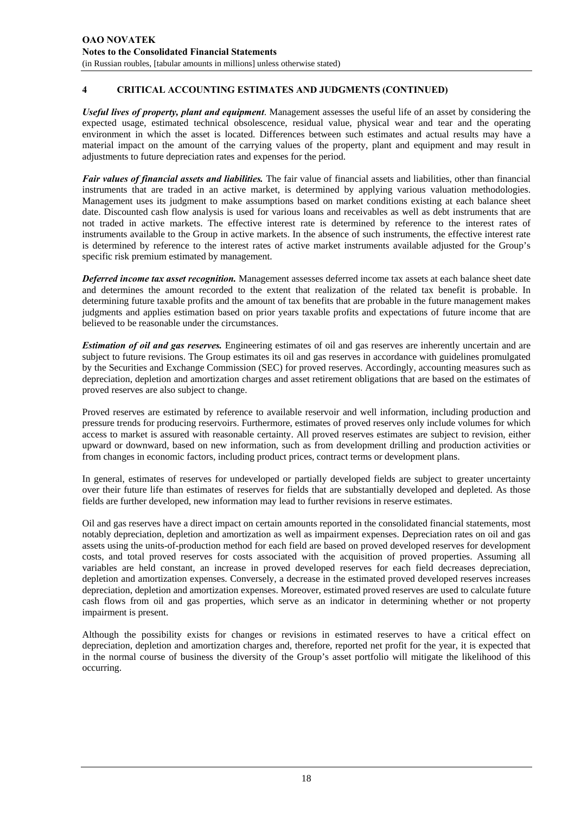#### **4 CRITICAL ACCOUNTING ESTIMATES AND JUDGMENTS (CONTINUED)**

*Useful lives of property, plant and equipment*. Management assesses the useful life of an asset by considering the expected usage, estimated technical obsolescence, residual value, physical wear and tear and the operating environment in which the asset is located. Differences between such estimates and actual results may have a material impact on the amount of the carrying values of the property, plant and equipment and may result in adjustments to future depreciation rates and expenses for the period.

*Fair values of financial assets and liabilities.* The fair value of financial assets and liabilities, other than financial instruments that are traded in an active market, is determined by applying various valuation methodologies. Management uses its judgment to make assumptions based on market conditions existing at each balance sheet date. Discounted cash flow analysis is used for various loans and receivables as well as debt instruments that are not traded in active markets. The effective interest rate is determined by reference to the interest rates of instruments available to the Group in active markets. In the absence of such instruments, the effective interest rate is determined by reference to the interest rates of active market instruments available adjusted for the Group's specific risk premium estimated by management.

*Deferred income tax asset recognition.* Management assesses deferred income tax assets at each balance sheet date and determines the amount recorded to the extent that realization of the related tax benefit is probable. In determining future taxable profits and the amount of tax benefits that are probable in the future management makes judgments and applies estimation based on prior years taxable profits and expectations of future income that are believed to be reasonable under the circumstances.

*Estimation of oil and gas reserves.* Engineering estimates of oil and gas reserves are inherently uncertain and are subject to future revisions. The Group estimates its oil and gas reserves in accordance with guidelines promulgated by the Securities and Exchange Commission (SEC) for proved reserves. Accordingly, accounting measures such as depreciation, depletion and amortization charges and asset retirement obligations that are based on the estimates of proved reserves are also subject to change.

Proved reserves are estimated by reference to available reservoir and well information, including production and pressure trends for producing reservoirs. Furthermore, estimates of proved reserves only include volumes for which access to market is assured with reasonable certainty. All proved reserves estimates are subject to revision, either upward or downward, based on new information, such as from development drilling and production activities or from changes in economic factors, including product prices, contract terms or development plans.

In general, estimates of reserves for undeveloped or partially developed fields are subject to greater uncertainty over their future life than estimates of reserves for fields that are substantially developed and depleted. As those fields are further developed, new information may lead to further revisions in reserve estimates.

Oil and gas reserves have a direct impact on certain amounts reported in the consolidated financial statements, most notably depreciation, depletion and amortization as well as impairment expenses. Depreciation rates on oil and gas assets using the units-of-production method for each field are based on proved developed reserves for development costs, and total proved reserves for costs associated with the acquisition of proved properties. Assuming all variables are held constant, an increase in proved developed reserves for each field decreases depreciation, depletion and amortization expenses. Conversely, a decrease in the estimated proved developed reserves increases depreciation, depletion and amortization expenses. Moreover, estimated proved reserves are used to calculate future cash flows from oil and gas properties, which serve as an indicator in determining whether or not property impairment is present.

Although the possibility exists for changes or revisions in estimated reserves to have a critical effect on depreciation, depletion and amortization charges and, therefore, reported net profit for the year, it is expected that in the normal course of business the diversity of the Group's asset portfolio will mitigate the likelihood of this occurring.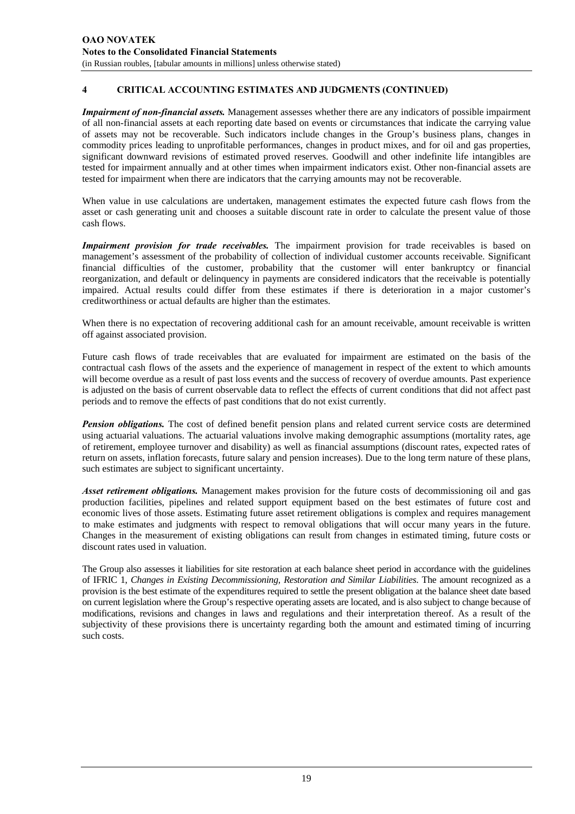#### **4 CRITICAL ACCOUNTING ESTIMATES AND JUDGMENTS (CONTINUED)**

*Impairment of non-financial assets.* Management assesses whether there are any indicators of possible impairment of all non-financial assets at each reporting date based on events or circumstances that indicate the carrying value of assets may not be recoverable. Such indicators include changes in the Group's business plans, changes in commodity prices leading to unprofitable performances, changes in product mixes, and for oil and gas properties, significant downward revisions of estimated proved reserves. Goodwill and other indefinite life intangibles are tested for impairment annually and at other times when impairment indicators exist. Other non-financial assets are tested for impairment when there are indicators that the carrying amounts may not be recoverable.

When value in use calculations are undertaken, management estimates the expected future cash flows from the asset or cash generating unit and chooses a suitable discount rate in order to calculate the present value of those cash flows.

*Impairment provision for trade receivables.* The impairment provision for trade receivables is based on management's assessment of the probability of collection of individual customer accounts receivable. Significant financial difficulties of the customer, probability that the customer will enter bankruptcy or financial reorganization, and default or delinquency in payments are considered indicators that the receivable is potentially impaired. Actual results could differ from these estimates if there is deterioration in a major customer's creditworthiness or actual defaults are higher than the estimates.

When there is no expectation of recovering additional cash for an amount receivable, amount receivable is written off against associated provision.

Future cash flows of trade receivables that are evaluated for impairment are estimated on the basis of the contractual cash flows of the assets and the experience of management in respect of the extent to which amounts will become overdue as a result of past loss events and the success of recovery of overdue amounts. Past experience is adjusted on the basis of current observable data to reflect the effects of current conditions that did not affect past periods and to remove the effects of past conditions that do not exist currently.

*Pension obligations.* The cost of defined benefit pension plans and related current service costs are determined using actuarial valuations. The actuarial valuations involve making demographic assumptions (mortality rates, age of retirement, employee turnover and disability) as well as financial assumptions (discount rates, expected rates of return on assets, inflation forecasts, future salary and pension increases). Due to the long term nature of these plans, such estimates are subject to significant uncertainty.

*Asset retirement obligations.* Management makes provision for the future costs of decommissioning oil and gas production facilities, pipelines and related support equipment based on the best estimates of future cost and economic lives of those assets. Estimating future asset retirement obligations is complex and requires management to make estimates and judgments with respect to removal obligations that will occur many years in the future. Changes in the measurement of existing obligations can result from changes in estimated timing, future costs or discount rates used in valuation.

The Group also assesses it liabilities for site restoration at each balance sheet period in accordance with the guidelines of IFRIC 1, *Changes in Existing Decommissioning, Restoration and Similar Liabilities*. The amount recognized as a provision is the best estimate of the expenditures required to settle the present obligation at the balance sheet date based on current legislation where the Group's respective operating assets are located, and is also subject to change because of modifications, revisions and changes in laws and regulations and their interpretation thereof. As a result of the subjectivity of these provisions there is uncertainty regarding both the amount and estimated timing of incurring such costs.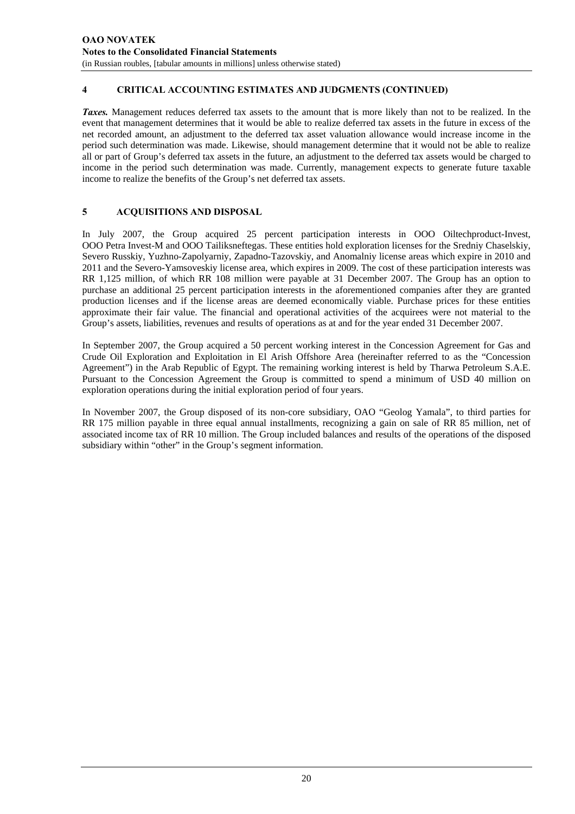#### **4 CRITICAL ACCOUNTING ESTIMATES AND JUDGMENTS (CONTINUED)**

*Taxes.* Management reduces deferred tax assets to the amount that is more likely than not to be realized. In the event that management determines that it would be able to realize deferred tax assets in the future in excess of the net recorded amount, an adjustment to the deferred tax asset valuation allowance would increase income in the period such determination was made. Likewise, should management determine that it would not be able to realize all or part of Group's deferred tax assets in the future, an adjustment to the deferred tax assets would be charged to income in the period such determination was made. Currently, management expects to generate future taxable income to realize the benefits of the Group's net deferred tax assets.

#### **5 ACQUISITIONS AND DISPOSAL**

In July 2007, the Group acquired 25 percent participation interests in OOO Oiltechproduct-Invest, OOO Petra Invest-M and OOO Tailiksneftegas. These entities hold exploration licenses for the Sredniy Chaselskiy, Severo Russkiy, Yuzhno-Zapolyarniy, Zapadno-Tazovskiy, and Anomalniy license areas which expire in 2010 and 2011 and the Severo-Yamsoveskiy license area, which expires in 2009. The cost of these participation interests was RR 1,125 million, of which RR 108 million were payable at 31 December 2007. The Group has an option to purchase an additional 25 percent participation interests in the aforementioned companies after they are granted production licenses and if the license areas are deemed economically viable. Purchase prices for these entities approximate their fair value. The financial and operational activities of the acquirees were not material to the Group's assets, liabilities, revenues and results of operations as at and for the year ended 31 December 2007.

In September 2007, the Group acquired a 50 percent working interest in the Concession Agreement for Gas and Crude Oil Exploration and Exploitation in El Arish Offshore Area (hereinafter referred to as the "Concession Agreement") in the Arab Republic of Egypt. The remaining working interest is held by Tharwa Petroleum S.A.E. Pursuant to the Concession Agreement the Group is committed to spend a minimum of USD 40 million on exploration operations during the initial exploration period of four years.

In November 2007, the Group disposed of its non-core subsidiary, OAO "Geolog Yamala", to third parties for RR 175 million payable in three equal annual installments, recognizing a gain on sale of RR 85 million, net of associated income tax of RR 10 million. The Group included balances and results of the operations of the disposed subsidiary within "other" in the Group's segment information.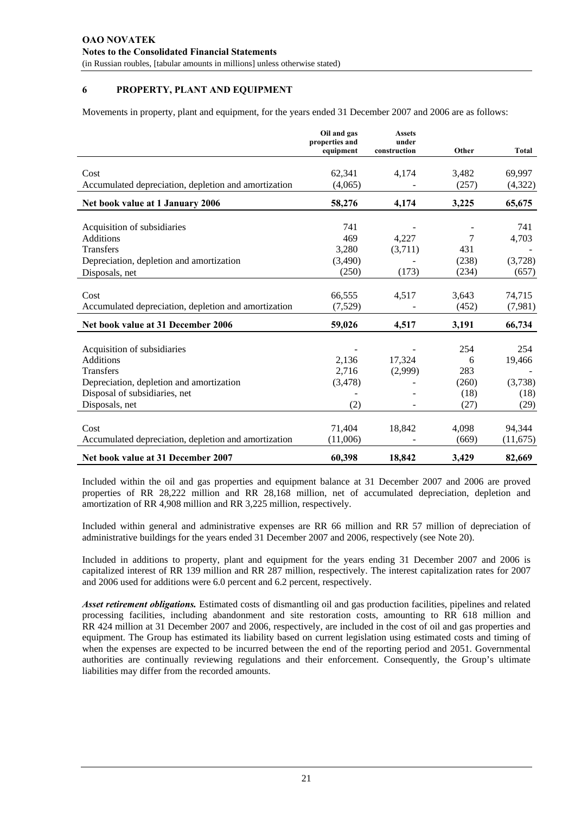#### **6 PROPERTY, PLANT AND EQUIPMENT**

Movements in property, plant and equipment, for the years ended 31 December 2007 and 2006 are as follows:

|                                                      | Oil and gas<br>properties and<br>equipment | <b>Assets</b><br>under<br>construction | Other | <b>Total</b> |
|------------------------------------------------------|--------------------------------------------|----------------------------------------|-------|--------------|
|                                                      |                                            |                                        |       |              |
| Cost                                                 | 62,341                                     | 4,174                                  | 3,482 | 69,997       |
| Accumulated depreciation, depletion and amortization | (4,065)                                    |                                        | (257) | (4,322)      |
| Net book value at 1 January 2006                     | 58,276                                     | 4,174                                  | 3,225 | 65,675       |
|                                                      |                                            |                                        |       |              |
| Acquisition of subsidiaries                          | 741                                        |                                        |       | 741          |
| Additions                                            | 469                                        | 4,227                                  | 7     | 4,703        |
| Transfers                                            | 3,280                                      | (3,711)                                | 431   |              |
| Depreciation, depletion and amortization             | (3,490)                                    |                                        | (238) | (3,728)      |
| Disposals, net                                       | (250)                                      | (173)                                  | (234) | (657)        |
|                                                      |                                            |                                        |       |              |
| Cost                                                 | 66,555                                     | 4,517                                  | 3,643 | 74,715       |
| Accumulated depreciation, depletion and amortization | (7,529)                                    |                                        | (452) | (7,981)      |
| Net book value at 31 December 2006                   | 59,026                                     | 4,517                                  | 3,191 | 66,734       |
|                                                      |                                            |                                        |       |              |
| Acquisition of subsidiaries                          |                                            |                                        | 254   | 254          |
| Additions                                            | 2,136                                      | 17,324                                 | 6     | 19,466       |
| <b>Transfers</b>                                     | 2,716                                      | (2,999)                                | 283   |              |
| Depreciation, depletion and amortization             | (3,478)                                    |                                        | (260) | (3,738)      |
| Disposal of subsidiaries, net                        |                                            |                                        | (18)  | (18)         |
| Disposals, net                                       | (2)                                        |                                        | (27)  | (29)         |
|                                                      |                                            |                                        |       |              |
| Cost                                                 | 71.404                                     | 18,842                                 | 4.098 | 94,344       |
| Accumulated depreciation, depletion and amortization | (11,006)                                   |                                        | (669) | (11, 675)    |
| Net book value at 31 December 2007                   | 60,398                                     | 18,842                                 | 3,429 | 82,669       |

Included within the oil and gas properties and equipment balance at 31 December 2007 and 2006 are proved properties of RR 28,222 million and RR 28,168 million, net of accumulated depreciation, depletion and amortization of RR 4,908 million and RR 3,225 million, respectively.

Included within general and administrative expenses are RR 66 million and RR 57 million of depreciation of administrative buildings for the years ended 31 December 2007 and 2006, respectively (see Note 20).

Included in additions to property, plant and equipment for the years ending 31 December 2007 and 2006 is capitalized interest of RR 139 million and RR 287 million, respectively. The interest capitalization rates for 2007 and 2006 used for additions were 6.0 percent and 6.2 percent, respectively.

*Asset retirement obligations.* Estimated costs of dismantling oil and gas production facilities, pipelines and related processing facilities, including abandonment and site restoration costs, amounting to RR 618 million and RR 424 million at 31 December 2007 and 2006, respectively, are included in the cost of oil and gas properties and equipment. The Group has estimated its liability based on current legislation using estimated costs and timing of when the expenses are expected to be incurred between the end of the reporting period and 2051. Governmental authorities are continually reviewing regulations and their enforcement. Consequently, the Group's ultimate liabilities may differ from the recorded amounts.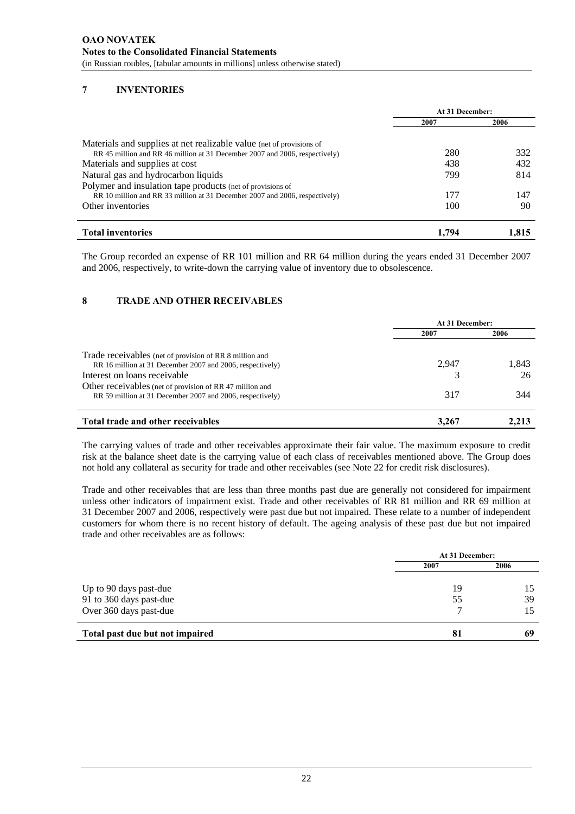#### **7 INVENTORIES**

|                                                                                                                                                    | At 31 December: |           |
|----------------------------------------------------------------------------------------------------------------------------------------------------|-----------------|-----------|
|                                                                                                                                                    | 2007            | 2006      |
| Materials and supplies at net realizable value (net of provisions of<br>RR 45 million and RR 46 million at 31 December 2007 and 2006, respectively | 280             | 332       |
| Materials and supplies at cost                                                                                                                     | 438             | 432       |
| Natural gas and hydrocarbon liquids                                                                                                                | 799             | 814       |
| Polymer and insulation tape products (net of provisions of                                                                                         |                 |           |
| RR 10 million and RR 33 million at 31 December 2007 and 2006, respectively)<br>Other inventories                                                   | 177<br>100      | 147<br>90 |
| <b>Total inventories</b>                                                                                                                           | 1.794           | 1.815     |

The Group recorded an expense of RR 101 million and RR 64 million during the years ended 31 December 2007 and 2006, respectively, to write-down the carrying value of inventory due to obsolescence.

#### **8 TRADE AND OTHER RECEIVABLES**

|                                                                                                                                                      | At 31 December: |             |
|------------------------------------------------------------------------------------------------------------------------------------------------------|-----------------|-------------|
|                                                                                                                                                      | 2007            | 2006        |
| Trade receivables (net of provision of RR 8 million and<br>RR 16 million at 31 December 2007 and 2006, respectively)<br>Interest on loans receivable | 2.947           | 1,843<br>26 |
| Other receivables (net of provision of RR 47 million and<br>RR 59 million at 31 December 2007 and 2006, respectively)                                | 317             | 344         |
| Total trade and other receivables                                                                                                                    | 3,267           | 2.213       |

The carrying values of trade and other receivables approximate their fair value. The maximum exposure to credit risk at the balance sheet date is the carrying value of each class of receivables mentioned above. The Group does not hold any collateral as security for trade and other receivables (see Note 22 for credit risk disclosures).

Trade and other receivables that are less than three months past due are generally not considered for impairment unless other indicators of impairment exist. Trade and other receivables of RR 81 million and RR 69 million at 31 December 2007 and 2006, respectively were past due but not impaired. These relate to a number of independent customers for whom there is no recent history of default. The ageing analysis of these past due but not impaired trade and other receivables are as follows:

|                                 | At 31 December: |      |  |
|---------------------------------|-----------------|------|--|
|                                 | 2007            | 2006 |  |
| Up to 90 days past-due          | 19              |      |  |
| 91 to 360 days past-due         | 55              | 39   |  |
| Over 360 days past-due          |                 | 15   |  |
| Total past due but not impaired | 81              | 69   |  |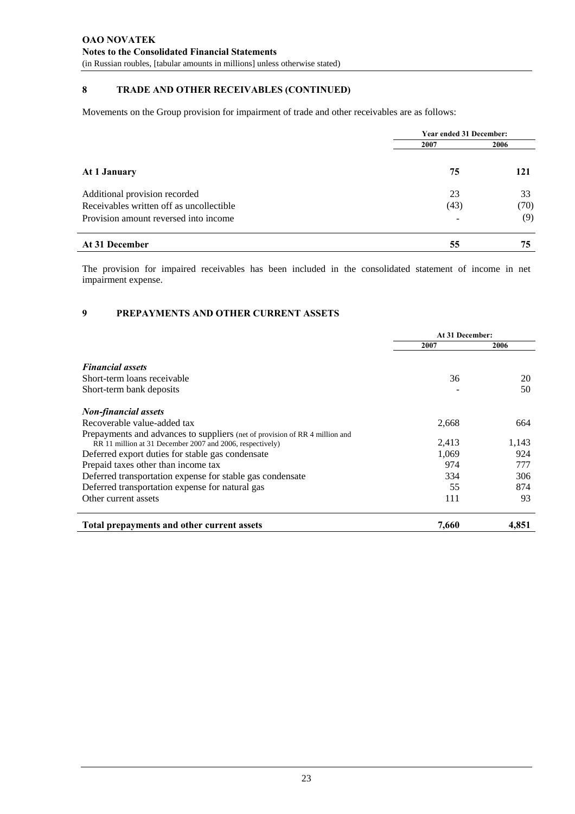#### **8 TRADE AND OTHER RECEIVABLES (CONTINUED)**

Movements on the Group provision for impairment of trade and other receivables are as follows:

|                                          | <b>Year ended 31 December:</b> |      |
|------------------------------------------|--------------------------------|------|
|                                          | 2007                           | 2006 |
| At 1 January                             | 75                             | 121  |
| Additional provision recorded            | 23                             | 33   |
| Receivables written off as uncollectible | (43)                           | (70) |
| Provision amount reversed into income    |                                | (9)  |
| At 31 December                           | 55                             | 75   |

The provision for impaired receivables has been included in the consolidated statement of income in net impairment expense.

#### **9 PREPAYMENTS AND OTHER CURRENT ASSETS**

|                                                                                                                                          | At 31 December: |       |
|------------------------------------------------------------------------------------------------------------------------------------------|-----------------|-------|
|                                                                                                                                          | 2007            | 2006  |
| <b>Financial assets</b>                                                                                                                  |                 |       |
| Short-term loans receivable                                                                                                              | 36              | 20    |
| Short-term bank deposits                                                                                                                 |                 | 50    |
| <b>Non-financial assets</b>                                                                                                              |                 |       |
| Recoverable value-added tax                                                                                                              | 2,668           | 664   |
| Prepayments and advances to suppliers (net of provision of RR 4 million and<br>RR 11 million at 31 December 2007 and 2006, respectively) | 2,413           | 1,143 |
| Deferred export duties for stable gas condensate                                                                                         | 1.069           | 924   |
| Prepaid taxes other than income tax                                                                                                      | 974             | 777   |
| Deferred transportation expense for stable gas condensate                                                                                | 334             | 306   |
| Deferred transportation expense for natural gas                                                                                          | 55              | 874   |
| Other current assets                                                                                                                     | 111             | 93    |
| Total prepayments and other current assets                                                                                               | 7,660           | 4,851 |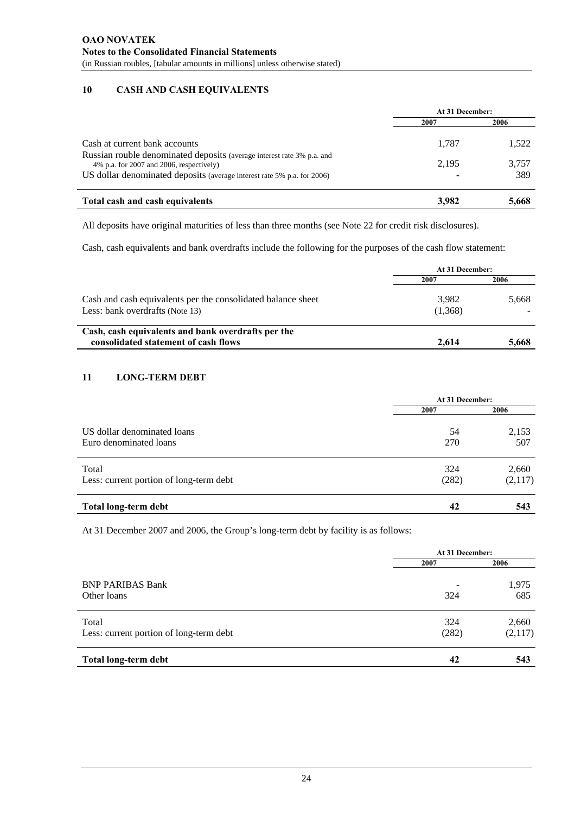#### **10 CASH AND CASH EQUIVALENTS**

|                                                                                                                    | At 31 December: |       |
|--------------------------------------------------------------------------------------------------------------------|-----------------|-------|
|                                                                                                                    | 2007            | 2006  |
| Cash at current bank accounts                                                                                      | 1,787           | 1,522 |
| Russian rouble denominated deposits (average interest rate 3% p.a. and<br>4% p.a. for 2007 and 2006, respectively) | 2,195           | 3,757 |
| US dollar denominated deposits (average interest rate 5% p.a. for 2006)                                            |                 | 389   |
| Total cash and cash equivalents                                                                                    | 3,982           | 5,668 |

All deposits have original maturities of less than three months (see Note 22 for credit risk disclosures).

Cash, cash equivalents and bank overdrafts include the following for the purposes of the cash flow statement:

|                                                                                                 | At 31 December:  |       |
|-------------------------------------------------------------------------------------------------|------------------|-------|
|                                                                                                 | 2007             | 2006  |
| Cash and cash equivalents per the consolidated balance sheet<br>Less: bank overdrafts (Note 13) | 3,982<br>(1,368) | 5.668 |
| Cash, cash equivalents and bank overdrafts per the<br>consolidated statement of cash flows      | 2.614            | 5.668 |

#### **11 LONG-TERM DEBT**

|                                                       | At 31 December: |                  |
|-------------------------------------------------------|-----------------|------------------|
|                                                       | 2007            | 2006             |
| US dollar denominated loans<br>Euro denominated loans | 54<br>270       | 2,153<br>507     |
| Total<br>Less: current portion of long-term debt      | 324<br>(282)    | 2,660<br>(2,117) |
| Total long-term debt                                  | 42              | 543              |

At 31 December 2007 and 2006, the Group's long-term debt by facility is as follows:

|                                                  | At 31 December: |                  |
|--------------------------------------------------|-----------------|------------------|
|                                                  | 2007            | 2006             |
| <b>BNP PARIBAS Bank</b><br>Other loans           | 324             | 1,975<br>685     |
| Total<br>Less: current portion of long-term debt | 324<br>(282)    | 2,660<br>(2,117) |
| <b>Total long-term debt</b>                      | 42              | 543              |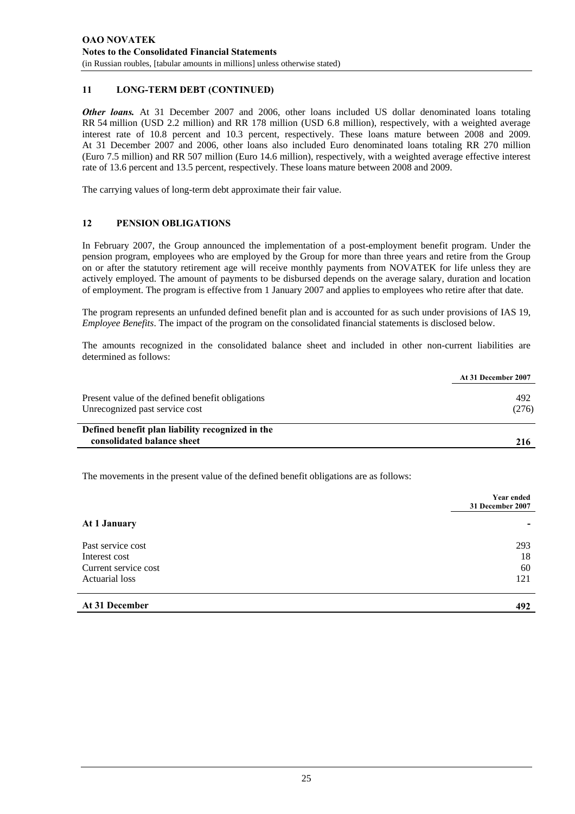#### **11 LONG-TERM DEBT (CONTINUED)**

*Other loans.* At 31 December 2007 and 2006, other loans included US dollar denominated loans totaling RR 54 million (USD 2.2 million) and RR 178 million (USD 6.8 million), respectively, with a weighted average interest rate of 10.8 percent and 10.3 percent, respectively. These loans mature between 2008 and 2009. At 31 December 2007 and 2006, other loans also included Euro denominated loans totaling RR 270 million (Euro 7.5 million) and RR 507 million (Euro 14.6 million), respectively, with a weighted average effective interest rate of 13.6 percent and 13.5 percent, respectively. These loans mature between 2008 and 2009.

The carrying values of long-term debt approximate their fair value.

#### **12 PENSION OBLIGATIONS**

In February 2007, the Group announced the implementation of a post-employment benefit program. Under the pension program, employees who are employed by the Group for more than three years and retire from the Group on or after the statutory retirement age will receive monthly payments from NOVATEK for life unless they are actively employed. The amount of payments to be disbursed depends on the average salary, duration and location of employment. The program is effective from 1 January 2007 and applies to employees who retire after that date.

The program represents an unfunded defined benefit plan and is accounted for as such under provisions of IAS 19, *Employee Benefits*. The impact of the program on the consolidated financial statements is disclosed below.

The amounts recognized in the consolidated balance sheet and included in other non-current liabilities are determined as follows:

|                                                  | At 31 December 2007 |
|--------------------------------------------------|---------------------|
| Present value of the defined benefit obligations | 492                 |
| Unrecognized past service cost                   | (276)               |
| Defined benefit plan liability recognized in the |                     |
| consolidated balance sheet                       | 216                 |
|                                                  |                     |

The movements in the present value of the defined benefit obligations are as follows:

|                      | <b>Year ended</b><br>31 December 2007 |
|----------------------|---------------------------------------|
| At 1 January         |                                       |
| Past service cost    | 293                                   |
| Interest cost        | 18                                    |
| Current service cost | 60                                    |
| Actuarial loss       | 121                                   |
| At 31 December       | 492                                   |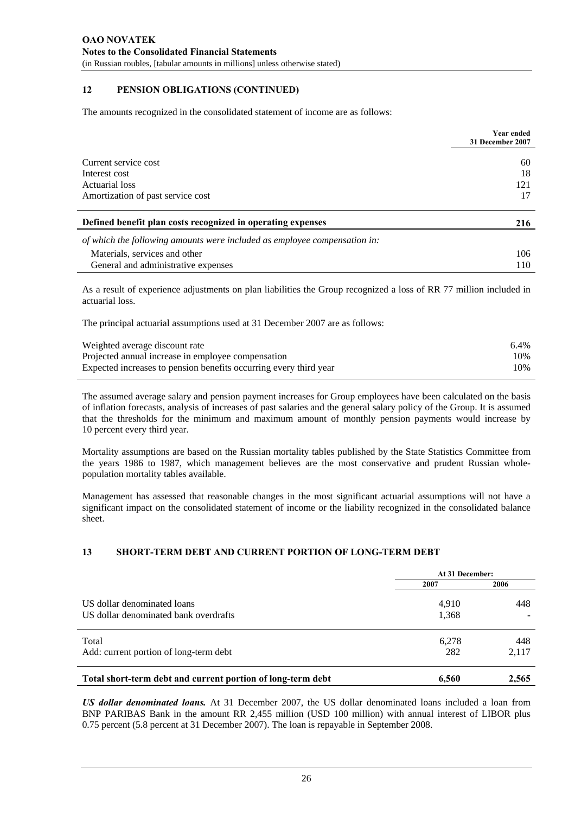#### **12 PENSION OBLIGATIONS (CONTINUED)**

The amounts recognized in the consolidated statement of income are as follows:

|                                                                           | Year ended<br>31 December 2007 |
|---------------------------------------------------------------------------|--------------------------------|
| Current service cost                                                      | 60                             |
| Interest cost                                                             | 18                             |
| Actuarial loss                                                            | 121                            |
| Amortization of past service cost                                         | 17                             |
| Defined benefit plan costs recognized in operating expenses               | 216                            |
| of which the following amounts were included as employee compensation in: |                                |
| Materials, services and other                                             | 106                            |
| General and administrative expenses                                       | 110                            |
|                                                                           |                                |

As a result of experience adjustments on plan liabilities the Group recognized a loss of RR 77 million included in actuarial loss.

The principal actuarial assumptions used at 31 December 2007 are as follows:

| Weighted average discount rate                                    | $6.4\%$ |
|-------------------------------------------------------------------|---------|
| Projected annual increase in employee compensation                | 10%     |
| Expected increases to pension benefits occurring every third year | 10%     |

The assumed average salary and pension payment increases for Group employees have been calculated on the basis of inflation forecasts, analysis of increases of past salaries and the general salary policy of the Group. It is assumed that the thresholds for the minimum and maximum amount of monthly pension payments would increase by 10 percent every third year.

Mortality assumptions are based on the Russian mortality tables published by the State Statistics Committee from the years 1986 to 1987, which management believes are the most conservative and prudent Russian wholepopulation mortality tables available.

Management has assessed that reasonable changes in the most significant actuarial assumptions will not have a significant impact on the consolidated statement of income or the liability recognized in the consolidated balance sheet.

#### **13 SHORT-TERM DEBT AND CURRENT PORTION OF LONG-TERM DEBT**

|                                                             | At 31 December: |       |
|-------------------------------------------------------------|-----------------|-------|
|                                                             | 2007            | 2006  |
| US dollar denominated loans                                 | 4,910           | 448   |
| US dollar denominated bank overdrafts                       | 1,368           |       |
| Total                                                       | 6.278           | 448   |
| Add: current portion of long-term debt                      | 282             | 2,117 |
| Total short-term debt and current portion of long-term debt | 6,560           | 2,565 |

*US dollar denominated loans.* At 31 December 2007, the US dollar denominated loans included a loan from BNP PARIBAS Bank in the amount RR 2,455 million (USD 100 million) with annual interest of LIBOR plus 0.75 percent (5.8 percent at 31 December 2007). The loan is repayable in September 2008.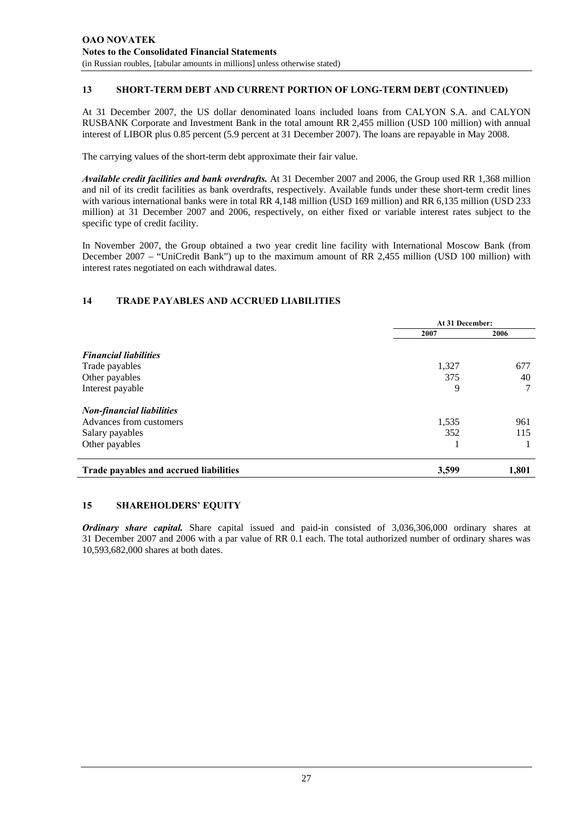#### **13 SHORT-TERM DEBT AND CURRENT PORTION OF LONG-TERM DEBT (CONTINUED)**

At 31 December 2007, the US dollar denominated loans included loans from CALYON S.A. and CALYON RUSBANK Corporate and Investment Bank in the total amount RR 2,455 million (USD 100 million) with annual interest of LIBOR plus 0.85 percent (5.9 percent at 31 December 2007). The loans are repayable in May 2008.

The carrying values of the short-term debt approximate their fair value.

*Available credit facilities and bank overdrafts.* At 31 December 2007 and 2006, the Group used RR 1,368 million and nil of its credit facilities as bank overdrafts, respectively. Available funds under these short-term credit lines with various international banks were in total RR 4,148 million (USD 169 million) and RR 6,135 million (USD 233 million) at 31 December 2007 and 2006, respectively, on either fixed or variable interest rates subject to the specific type of credit facility.

In November 2007, the Group obtained a two year credit line facility with International Moscow Bank (from December 2007 – "UniCredit Bank") up to the maximum amount of RR 2,455 million (USD 100 million) with interest rates negotiated on each withdrawal dates.

#### **14 TRADE PAYABLES AND ACCRUED LIABILITIES**

|                                        | At 31 December:   |       |
|----------------------------------------|-------------------|-------|
|                                        | 2007              | 2006  |
| <b>Financial liabilities</b>           |                   |       |
| Trade payables                         | 1,327<br>375<br>9 | 677   |
| Other payables<br>Interest payable     |                   | 40    |
|                                        |                   |       |
| <b>Non-financial liabilities</b>       |                   |       |
| Advances from customers                | 1,535             | 961   |
| Salary payables                        | 352               | 115   |
| Other payables                         |                   |       |
| Trade payables and accrued liabilities | 3,599             | 1,801 |

#### **15 SHAREHOLDERS' EQUITY**

*Ordinary share capital.* Share capital issued and paid-in consisted of 3,036,306,000 ordinary shares at 31 December 2007 and 2006 with a par value of RR 0.1 each. The total authorized number of ordinary shares was 10,593,682,000 shares at both dates.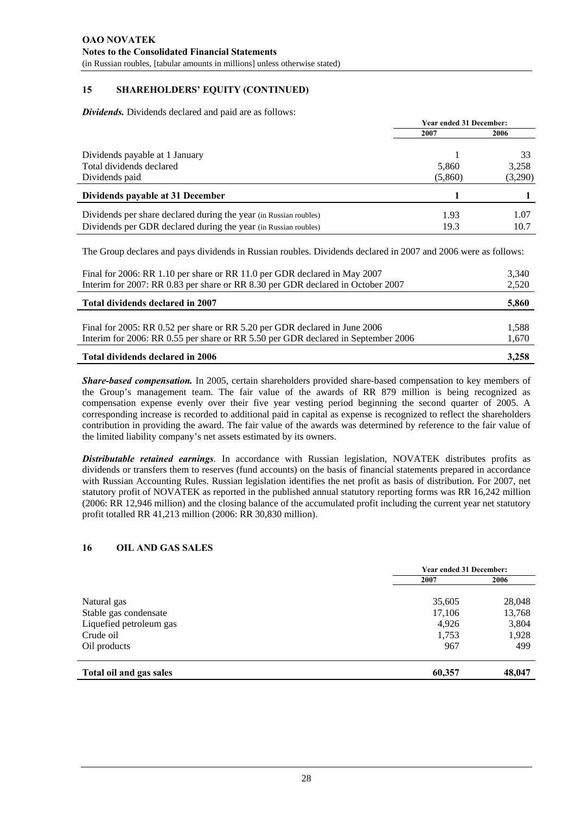#### **15 SHAREHOLDERS' EQUITY (CONTINUED)**

*Dividends.* Dividends declared and paid are as follows:

|                                                                   | <b>Year ended 31 December:</b> |         |
|-------------------------------------------------------------------|--------------------------------|---------|
|                                                                   | 2007                           | 2006    |
| Dividends payable at 1 January                                    |                                | 33      |
| Total dividends declared                                          | 5,860                          | 3,258   |
| Dividends paid                                                    | (5,860)                        | (3,290) |
| Dividends payable at 31 December                                  |                                |         |
| Dividends per share declared during the year (in Russian roubles) | 1.93                           | 1.07    |
| Dividends per GDR declared during the year (in Russian roubles)   | 19.3                           | 10.7    |

The Group declares and pays dividends in Russian roubles. Dividends declared in 2007 and 2006 were as follows:

| Final for 2006: RR 1.10 per share or RR 11.0 per GDR declared in May 2007<br>Interim for 2007: RR 0.83 per share or RR 8.30 per GDR declared in October 2007 | 3,340<br>2,520 |
|--------------------------------------------------------------------------------------------------------------------------------------------------------------|----------------|
| Total dividends declared in 2007                                                                                                                             | 5,860          |
|                                                                                                                                                              |                |
| Final for 2005: RR 0.52 per share or RR 5.20 per GDR declared in June 2006                                                                                   | 1,588          |
| Interim for 2006: RR 0.55 per share or RR 5.50 per GDR declared in September 2006                                                                            | 1,670          |
| Total dividends declared in 2006                                                                                                                             | 3,258          |

*Share-based compensation.* In 2005, certain shareholders provided share-based compensation to key members of the Group's management team. The fair value of the awards of RR 879 million is being recognized as compensation expense evenly over their five year vesting period beginning the second quarter of 2005. A corresponding increase is recorded to additional paid in capital as expense is recognized to reflect the shareholders contribution in providing the award. The fair value of the awards was determined by reference to the fair value of the limited liability company's net assets estimated by its owners.

*Distributable retained earnings.* In accordance with Russian legislation, NOVATEK distributes profits as dividends or transfers them to reserves (fund accounts) on the basis of financial statements prepared in accordance with Russian Accounting Rules. Russian legislation identifies the net profit as basis of distribution. For 2007, net statutory profit of NOVATEK as reported in the published annual statutory reporting forms was RR 16,242 million (2006: RR 12,946 million) and the closing balance of the accumulated profit including the current year net statutory profit totalled RR 41,213 million (2006: RR 30,830 million).

#### **16 OIL AND GAS SALES**

|                                                  | <b>Year ended 31 December:</b> |                          |
|--------------------------------------------------|--------------------------------|--------------------------|
|                                                  | 2007                           | 2006                     |
| Natural gas                                      | 35,605                         | 28,048                   |
| Stable gas condensate<br>Liquefied petroleum gas | 17,106<br>4,926<br>1,753       | 13,768<br>3,804<br>1,928 |
|                                                  |                                |                          |
| Oil products                                     |                                |                          |
| Total oil and gas sales                          | 60,357                         | 48,047                   |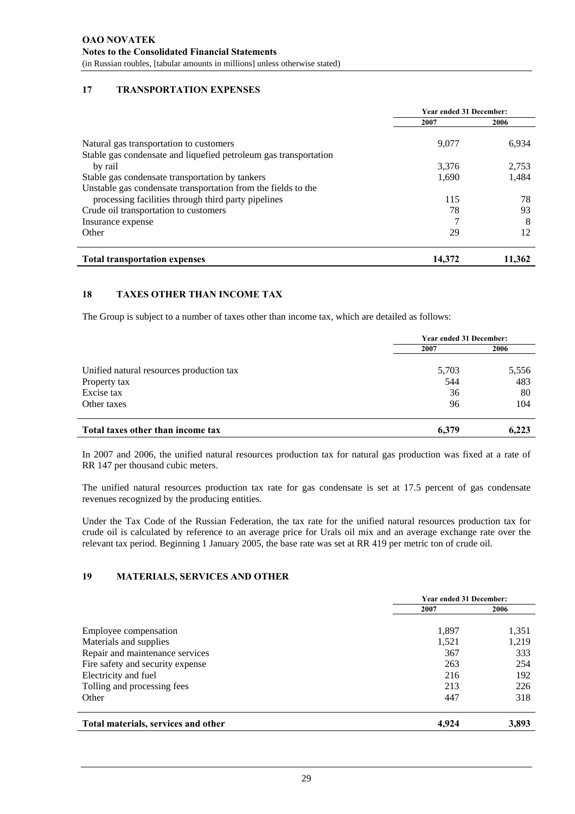#### **17 TRANSPORTATION EXPENSES**

|                                                                                                             | <b>Year ended 31 December:</b> |        |  |
|-------------------------------------------------------------------------------------------------------------|--------------------------------|--------|--|
|                                                                                                             | 2007                           | 2006   |  |
| Natural gas transportation to customers<br>Stable gas condensate and liquefied petroleum gas transportation | 9,077                          | 6,934  |  |
| by rail                                                                                                     | 3.376                          | 2,753  |  |
| Stable gas condensate transportation by tankers                                                             | 1,690                          | 1,484  |  |
| Unstable gas condensate transportation from the fields to the                                               |                                |        |  |
| processing facilities through third party pipelines                                                         | 115                            | 78     |  |
| Crude oil transportation to customers                                                                       | 78                             | 93     |  |
| Insurance expense                                                                                           |                                | 8      |  |
| Other                                                                                                       | 29                             | 12     |  |
| <b>Total transportation expenses</b>                                                                        | 14.372                         | 11.362 |  |

#### **18 TAXES OTHER THAN INCOME TAX**

The Group is subject to a number of taxes other than income tax, which are detailed as follows:

|                                          | <b>Year ended 31 December:</b> |           |             |
|------------------------------------------|--------------------------------|-----------|-------------|
|                                          | 2007                           | 2006      |             |
| Unified natural resources production tax | 5,703                          | 5,556     |             |
| Property tax<br>Excise tax               | 544<br>36                      | 483<br>80 |             |
|                                          |                                |           | Other taxes |
| Total taxes other than income tax        | 6,379                          | 6.223     |             |

In 2007 and 2006, the unified natural resources production tax for natural gas production was fixed at a rate of RR 147 per thousand cubic meters.

The unified natural resources production tax rate for gas condensate is set at 17.5 percent of gas condensate revenues recognized by the producing entities.

Under the Tax Code of the Russian Federation, the tax rate for the unified natural resources production tax for crude oil is calculated by reference to an average price for Urals oil mix and an average exchange rate over the relevant tax period. Beginning 1 January 2005, the base rate was set at RR 419 per metric ton of crude oil.

#### **19 MATERIALS, SERVICES AND OTHER**

|                                     | <b>Year ended 31 December:</b> |       |  |
|-------------------------------------|--------------------------------|-------|--|
|                                     | 2007                           | 2006  |  |
|                                     |                                |       |  |
| Employee compensation               | 1,897                          | 1,351 |  |
| Materials and supplies              | 1,521                          | 1,219 |  |
| Repair and maintenance services     | 367                            | 333   |  |
| Fire safety and security expense    | 263                            | 254   |  |
| Electricity and fuel                | 216                            | 192   |  |
| Tolling and processing fees         | 213                            | 226   |  |
| Other                               | 447                            | 318   |  |
| Total materials, services and other | 4,924                          | 3,893 |  |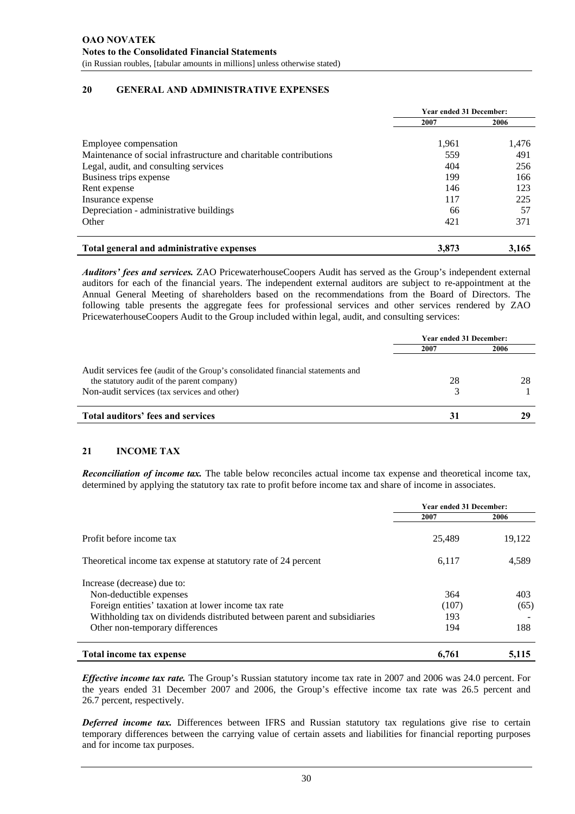#### **20 GENERAL AND ADMINISTRATIVE EXPENSES**

|                                                                                            | <b>Year ended 31 December:</b> |              |  |
|--------------------------------------------------------------------------------------------|--------------------------------|--------------|--|
|                                                                                            | 2007                           | 2006         |  |
| Employee compensation<br>Maintenance of social infrastructure and charitable contributions | 1,961<br>559                   | 1,476<br>491 |  |
| Legal, audit, and consulting services                                                      | 404                            | 256          |  |
| Business trips expense                                                                     | 199                            | 166          |  |
| Rent expense                                                                               | 146                            | 123          |  |
| Insurance expense                                                                          | 117                            | 225          |  |
| Depreciation - administrative buildings                                                    | 66                             | 57           |  |
| Other                                                                                      | 421                            | 371          |  |
| Total general and administrative expenses                                                  | 3,873                          | 3.165        |  |

*Auditors' fees and services.* ZAO PricewaterhouseCoopers Audit has served as the Group's independent external auditors for each of the financial years. The independent external auditors are subject to re-appointment at the Annual General Meeting of shareholders based on the recommendations from the Board of Directors. The following table presents the aggregate fees for professional services and other services rendered by ZAO PricewaterhouseCoopers Audit to the Group included within legal, audit, and consulting services:

|                                                                                                                                                                             | <b>Year ended 31 December:</b> |      |  |
|-----------------------------------------------------------------------------------------------------------------------------------------------------------------------------|--------------------------------|------|--|
|                                                                                                                                                                             | 2007                           | 2006 |  |
| Audit services fee (audit of the Group's consolidated financial statements and<br>the statutory audit of the parent company)<br>Non-audit services (tax services and other) | 28                             | 28   |  |
| Total auditors' fees and services                                                                                                                                           |                                |      |  |

#### **21 INCOME TAX**

*Reconciliation of income tax.* The table below reconciles actual income tax expense and theoretical income tax, determined by applying the statutory tax rate to profit before income tax and share of income in associates.

|                                                                          | <b>Year ended 31 December:</b> |        |
|--------------------------------------------------------------------------|--------------------------------|--------|
|                                                                          | 2007                           | 2006   |
| Profit before income tax                                                 | 25,489                         | 19,122 |
| Theoretical income tax expense at statutory rate of 24 percent           | 6,117                          | 4,589  |
| Increase (decrease) due to:                                              |                                |        |
| Non-deductible expenses                                                  | 364                            | 403    |
| Foreign entities' taxation at lower income tax rate                      | (107)                          | (65)   |
| Withholding tax on dividends distributed between parent and subsidiaries | 193                            |        |
| Other non-temporary differences                                          | 194                            | 188    |
| Total income tax expense                                                 | 6.761                          | 5.115  |

*Effective income tax rate.* The Group's Russian statutory income tax rate in 2007 and 2006 was 24.0 percent. For the years ended 31 December 2007 and 2006, the Group's effective income tax rate was 26.5 percent and 26.7 percent, respectively.

**Deferred income tax.** Differences between IFRS and Russian statutory tax regulations give rise to certain temporary differences between the carrying value of certain assets and liabilities for financial reporting purposes and for income tax purposes.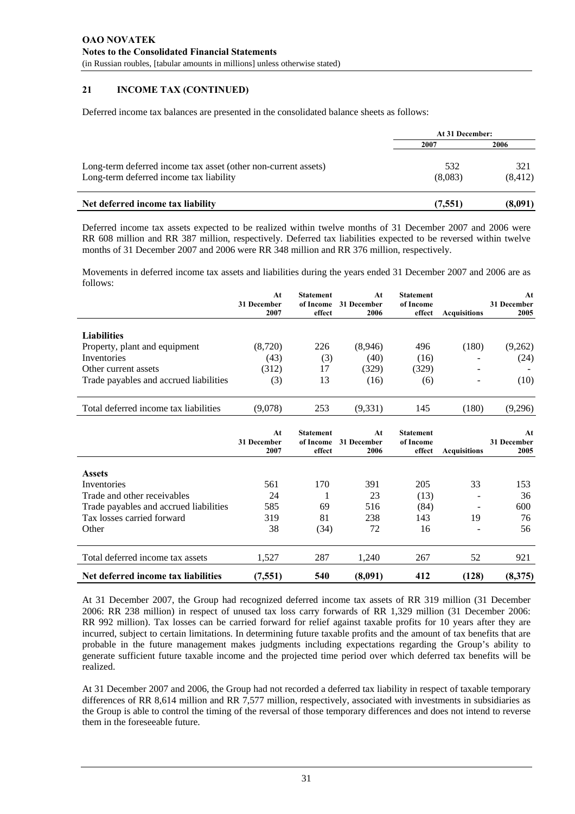#### **21 INCOME TAX (CONTINUED)**

Deferred income tax balances are presented in the consolidated balance sheets as follows:

|                                                                                                           | At 31 December: |                 |  |
|-----------------------------------------------------------------------------------------------------------|-----------------|-----------------|--|
|                                                                                                           | 2007            | 2006            |  |
| Long-term deferred income tax asset (other non-current assets)<br>Long-term deferred income tax liability | 532<br>(8,083)  | 321<br>(8, 412) |  |
|                                                                                                           |                 |                 |  |
| Net deferred income tax liability                                                                         | (7,551)         | (8,091)         |  |

Deferred income tax assets expected to be realized within twelve months of 31 December 2007 and 2006 were RR 608 million and RR 387 million, respectively. Deferred tax liabilities expected to be reversed within twelve months of 31 December 2007 and 2006 were RR 348 million and RR 376 million, respectively.

Movements in deferred income tax assets and liabilities during the years ended 31 December 2007 and 2006 are as follows:

|                                        | At<br>31 December<br>2007 | <b>Statement</b><br>of Income<br>effect | At<br>31 December<br>2006 | <b>Statement</b><br>of Income<br>effect | <b>Acquisitions</b> | At<br>31 December<br>2005 |
|----------------------------------------|---------------------------|-----------------------------------------|---------------------------|-----------------------------------------|---------------------|---------------------------|
| <b>Liabilities</b>                     |                           |                                         |                           |                                         |                     |                           |
| Property, plant and equipment          | (8,720)                   | 226                                     | (8,946)                   | 496                                     | (180)               | (9,262)                   |
| Inventories                            | (43)                      | (3)                                     | (40)                      | (16)                                    |                     | (24)                      |
| Other current assets                   | (312)                     | 17                                      | (329)                     | (329)                                   |                     |                           |
| Trade payables and accrued liabilities | (3)                       | 13                                      | (16)                      | (6)                                     |                     | (10)                      |
| Total deferred income tax liabilities  | (9,078)                   | 253                                     | (9, 331)                  | 145                                     | (180)               | (9,296)                   |
|                                        | At<br>31 December<br>2007 | <b>Statement</b><br>of Income<br>effect | At<br>31 December<br>2006 | <b>Statement</b><br>of Income<br>effect | <b>Acquisitions</b> | At<br>31 December<br>2005 |
| <b>Assets</b>                          |                           |                                         |                           |                                         |                     |                           |
| Inventories                            | 561                       | 170                                     | 391                       | 205                                     | 33                  | 153                       |
| Trade and other receivables            | 24                        | 1                                       | 23                        | (13)                                    |                     | 36                        |
| Trade payables and accrued liabilities | 585                       | 69                                      | 516                       | (84)                                    |                     | 600                       |
| Tax losses carried forward             | 319                       | 81                                      | 238                       | 143                                     | 19                  | 76                        |
| Other                                  | 38                        | (34)                                    | 72                        | 16                                      |                     | 56                        |
| Total deferred income tax assets       | 1,527                     | 287                                     | 1,240                     | 267                                     | 52                  | 921                       |
| Net deferred income tax liabilities    | (7, 551)                  | 540                                     | (8,091)                   | 412                                     | (128)               | (8,375)                   |

At 31 December 2007, the Group had recognized deferred income tax assets of RR 319 million (31 December 2006: RR 238 million) in respect of unused tax loss carry forwards of RR 1,329 million (31 December 2006: RR 992 million). Tax losses can be carried forward for relief against taxable profits for 10 years after they are incurred, subject to certain limitations. In determining future taxable profits and the amount of tax benefits that are probable in the future management makes judgments including expectations regarding the Group's ability to generate sufficient future taxable income and the projected time period over which deferred tax benefits will be realized.

At 31 December 2007 and 2006, the Group had not recorded a deferred tax liability in respect of taxable temporary differences of RR 8,614 million and RR 7,577 million, respectively, associated with investments in subsidiaries as the Group is able to control the timing of the reversal of those temporary differences and does not intend to reverse them in the foreseeable future.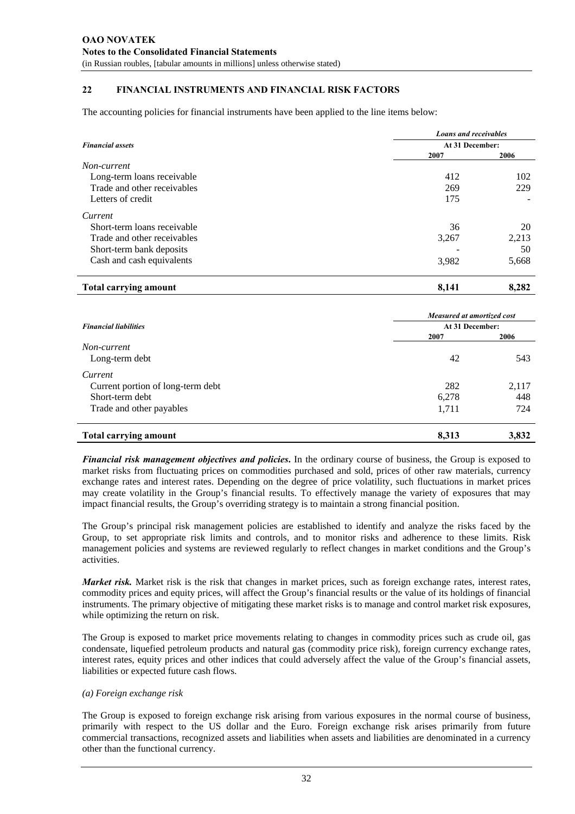#### **22 FINANCIAL INSTRUMENTS AND FINANCIAL RISK FACTORS**

The accounting policies for financial instruments have been applied to the line items below:

|                              | <b>Loans and receivables</b><br>At 31 December: |       |  |  |
|------------------------------|-------------------------------------------------|-------|--|--|
| <b>Financial assets</b>      |                                                 |       |  |  |
|                              | 2007                                            | 2006  |  |  |
| Non-current                  |                                                 |       |  |  |
| Long-term loans receivable   | 412                                             | 102   |  |  |
| Trade and other receivables  | 269                                             | 229   |  |  |
| Letters of credit            | 175                                             |       |  |  |
| Current                      |                                                 |       |  |  |
| Short-term loans receivable  | 36                                              | 20    |  |  |
| Trade and other receivables  | 3,267                                           | 2,213 |  |  |
| Short-term bank deposits     |                                                 | 50    |  |  |
| Cash and cash equivalents    | 3,982                                           | 5,668 |  |  |
| <b>Total carrying amount</b> | 8,141                                           | 8,282 |  |  |

|                                   | Measured at amortized cost |       |  |
|-----------------------------------|----------------------------|-------|--|
| <b>Financial liabilities</b>      | At 31 December:            |       |  |
|                                   | 2007                       | 2006  |  |
| Non-current                       |                            |       |  |
| Long-term debt                    | 42                         | 543   |  |
| Current                           |                            |       |  |
| Current portion of long-term debt | 282                        | 2,117 |  |
| Short-term debt                   | 6,278                      | 448   |  |
| Trade and other payables          | 1,711                      | 724   |  |
| <b>Total carrying amount</b>      | 8,313                      | 3,832 |  |

*Financial risk management objectives and policies***.** In the ordinary course of business, the Group is exposed to market risks from fluctuating prices on commodities purchased and sold, prices of other raw materials, currency exchange rates and interest rates. Depending on the degree of price volatility, such fluctuations in market prices may create volatility in the Group's financial results. To effectively manage the variety of exposures that may impact financial results, the Group's overriding strategy is to maintain a strong financial position.

The Group's principal risk management policies are established to identify and analyze the risks faced by the Group, to set appropriate risk limits and controls, and to monitor risks and adherence to these limits. Risk management policies and systems are reviewed regularly to reflect changes in market conditions and the Group's activities.

*Market risk.* Market risk is the risk that changes in market prices, such as foreign exchange rates, interest rates, commodity prices and equity prices, will affect the Group's financial results or the value of its holdings of financial instruments. The primary objective of mitigating these market risks is to manage and control market risk exposures, while optimizing the return on risk.

The Group is exposed to market price movements relating to changes in commodity prices such as crude oil, gas condensate, liquefied petroleum products and natural gas (commodity price risk), foreign currency exchange rates, interest rates, equity prices and other indices that could adversely affect the value of the Group's financial assets, liabilities or expected future cash flows.

#### *(a) Foreign exchange risk*

The Group is exposed to foreign exchange risk arising from various exposures in the normal course of business, primarily with respect to the US dollar and the Euro. Foreign exchange risk arises primarily from future commercial transactions, recognized assets and liabilities when assets and liabilities are denominated in a currency other than the functional currency.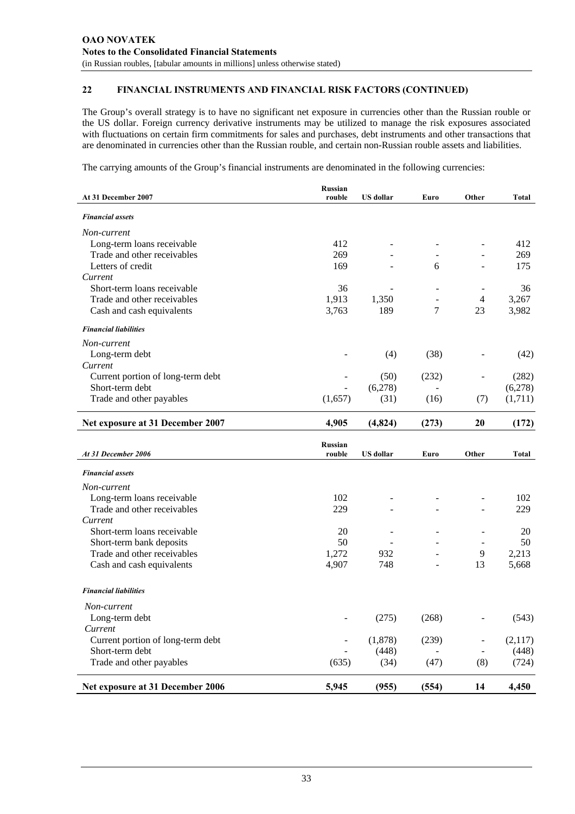The Group's overall strategy is to have no significant net exposure in currencies other than the Russian rouble or the US dollar. Foreign currency derivative instruments may be utilized to manage the risk exposures associated with fluctuations on certain firm commitments for sales and purchases, debt instruments and other transactions that are denominated in currencies other than the Russian rouble, and certain non-Russian rouble assets and liabilities.

The carrying amounts of the Group's financial instruments are denominated in the following currencies:

|                                   | <b>Russian</b>               |                  |       |                          |              |
|-----------------------------------|------------------------------|------------------|-------|--------------------------|--------------|
| At 31 December 2007               | rouble                       | US dollar        | Euro  | Other                    | <b>Total</b> |
| <b>Financial assets</b>           |                              |                  |       |                          |              |
| Non-current                       |                              |                  |       |                          |              |
| Long-term loans receivable        | 412                          |                  |       |                          | 412          |
| Trade and other receivables       | 269                          |                  |       |                          | 269          |
| Letters of credit                 | 169                          |                  | 6     |                          | 175          |
| Current                           |                              |                  |       |                          |              |
| Short-term loans receivable       | 36                           |                  |       |                          | 36           |
| Trade and other receivables       | 1,913                        | 1,350            |       | $\overline{4}$           | 3,267        |
| Cash and cash equivalents         | 3,763                        | 189              | 7     | 23                       | 3,982        |
| <b>Financial liabilities</b>      |                              |                  |       |                          |              |
| Non-current                       |                              |                  |       |                          |              |
| Long-term debt                    |                              | (4)              | (38)  |                          | (42)         |
| Current                           |                              |                  |       |                          |              |
| Current portion of long-term debt |                              | (50)             | (232) |                          | (282)        |
| Short-term debt                   |                              | (6,278)          |       |                          | (6,278)      |
| Trade and other payables          | (1,657)                      | (31)             | (16)  | (7)                      | (1,711)      |
| Net exposure at 31 December 2007  | 4,905                        | (4,824)          | (273) | 20                       | (172)        |
|                                   | <b>Russian</b>               |                  |       |                          |              |
| At 31 December 2006               | rouble                       | <b>US</b> dollar | Euro  | Other                    | <b>Total</b> |
| <b>Financial assets</b>           |                              |                  |       |                          |              |
| Non-current                       |                              |                  |       |                          |              |
| Long-term loans receivable        | 102                          |                  |       |                          | 102          |
| Trade and other receivables       | 229                          |                  |       |                          | 229          |
| Current                           |                              |                  |       |                          |              |
| Short-term loans receivable       | 20                           |                  |       | ۰                        | 20           |
| Short-term bank deposits          | 50                           |                  |       |                          | 50           |
| Trade and other receivables       | 1,272                        | 932              |       | 9                        | 2,213        |
| Cash and cash equivalents         | 4,907                        | 748              |       | 13                       | 5,668        |
| <b>Financial liabilities</b>      |                              |                  |       |                          |              |
| Non-current                       |                              |                  |       |                          |              |
| Long-term debt                    |                              | (275)            | (268) |                          | (543)        |
| Current                           |                              |                  |       |                          |              |
| Current portion of long-term debt | $\qquad \qquad \blacksquare$ | (1,878)          | (239) | $\qquad \qquad -$        | (2,117)      |
| Short-term debt                   | $\overline{a}$               | (448)            |       | $\overline{\phantom{a}}$ | (448)        |
| Trade and other payables          | (635)                        | (34)             | (47)  | (8)                      | (724)        |
| Net exposure at 31 December 2006  | 5,945                        | (955)            | (554) | 14                       | 4,450        |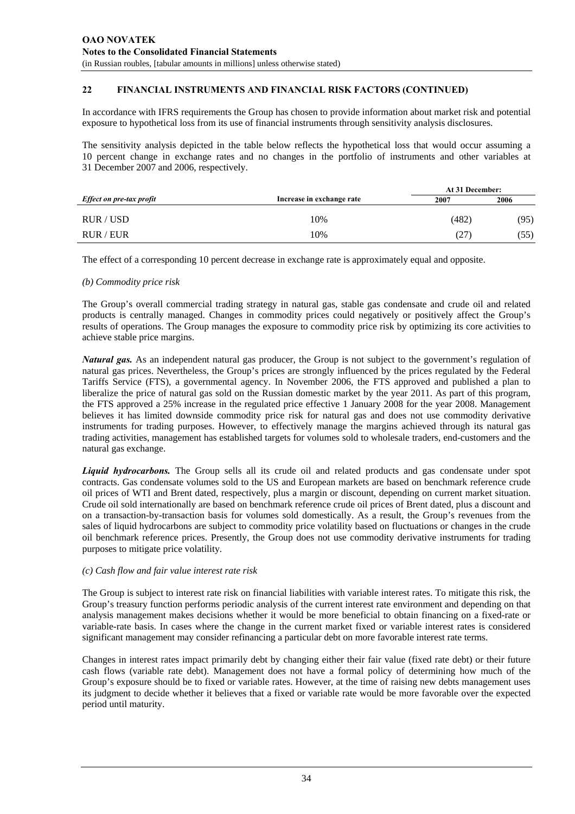In accordance with IFRS requirements the Group has chosen to provide information about market risk and potential exposure to hypothetical loss from its use of financial instruments through sensitivity analysis disclosures.

The sensitivity analysis depicted in the table below reflects the hypothetical loss that would occur assuming a 10 percent change in exchange rates and no changes in the portfolio of instruments and other variables at 31 December 2007 and 2006, respectively.

|                          |                           | At 31 December: |      |
|--------------------------|---------------------------|-----------------|------|
| Effect on pre-tax profit | Increase in exchange rate | 2007            | 2006 |
|                          |                           |                 |      |
| RUR / USD                | 10%                       | (482)           | (95) |
| RUR / EUR                | 10%                       | (27             | (55) |

The effect of a corresponding 10 percent decrease in exchange rate is approximately equal and opposite.

#### *(b) Commodity price risk*

The Group's overall commercial trading strategy in natural gas, stable gas condensate and crude oil and related products is centrally managed. Changes in commodity prices could negatively or positively affect the Group's results of operations. The Group manages the exposure to commodity price risk by optimizing its core activities to achieve stable price margins.

*Natural gas.* As an independent natural gas producer, the Group is not subject to the government's regulation of natural gas prices. Nevertheless, the Group's prices are strongly influenced by the prices regulated by the Federal Tariffs Service (FTS), a governmental agency. In November 2006, the FTS approved and published a plan to liberalize the price of natural gas sold on the Russian domestic market by the year 2011. As part of this program, the FTS approved a 25% increase in the regulated price effective 1 January 2008 for the year 2008. Management believes it has limited downside commodity price risk for natural gas and does not use commodity derivative instruments for trading purposes. However, to effectively manage the margins achieved through its natural gas trading activities, management has established targets for volumes sold to wholesale traders, end-customers and the natural gas exchange.

*Liquid hydrocarbons.* The Group sells all its crude oil and related products and gas condensate under spot contracts. Gas condensate volumes sold to the US and European markets are based on benchmark reference crude oil prices of WTI and Brent dated, respectively, plus a margin or discount, depending on current market situation. Crude oil sold internationally are based on benchmark reference crude oil prices of Brent dated, plus a discount and on a transaction-by-transaction basis for volumes sold domestically. As a result, the Group's revenues from the sales of liquid hydrocarbons are subject to commodity price volatility based on fluctuations or changes in the crude oil benchmark reference prices. Presently, the Group does not use commodity derivative instruments for trading purposes to mitigate price volatility.

#### *(c) Cash flow and fair value interest rate risk*

The Group is subject to interest rate risk on financial liabilities with variable interest rates. To mitigate this risk, the Group's treasury function performs periodic analysis of the current interest rate environment and depending on that analysis management makes decisions whether it would be more beneficial to obtain financing on a fixed-rate or variable-rate basis. In cases where the change in the current market fixed or variable interest rates is considered significant management may consider refinancing a particular debt on more favorable interest rate terms.

Changes in interest rates impact primarily debt by changing either their fair value (fixed rate debt) or their future cash flows (variable rate debt). Management does not have a formal policy of determining how much of the Group's exposure should be to fixed or variable rates. However, at the time of raising new debts management uses its judgment to decide whether it believes that a fixed or variable rate would be more favorable over the expected period until maturity.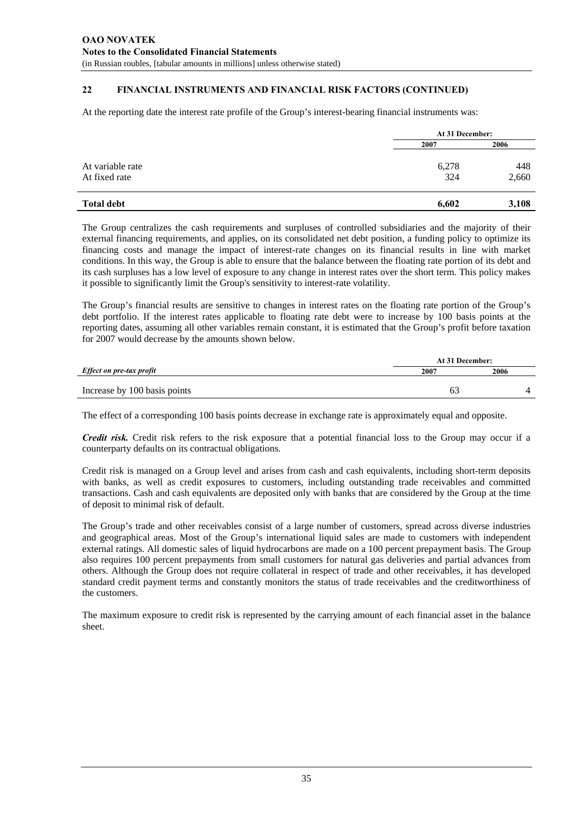At the reporting date the interest rate profile of the Group's interest-bearing financial instruments was:

|                                   |              | At 31 December: |  |
|-----------------------------------|--------------|-----------------|--|
|                                   | 2007         | 2006            |  |
| At variable rate<br>At fixed rate | 6,278<br>324 | 448<br>2,660    |  |
| <b>Total debt</b>                 | 6,602        | 3,108           |  |

The Group centralizes the cash requirements and surpluses of controlled subsidiaries and the majority of their external financing requirements, and applies, on its consolidated net debt position, a funding policy to optimize its financing costs and manage the impact of interest-rate changes on its financial results in line with market conditions. In this way, the Group is able to ensure that the balance between the floating rate portion of its debt and its cash surpluses has a low level of exposure to any change in interest rates over the short term. This policy makes it possible to significantly limit the Group's sensitivity to interest-rate volatility.

The Group's financial results are sensitive to changes in interest rates on the floating rate portion of the Group's debt portfolio. If the interest rates applicable to floating rate debt were to increase by 100 basis points at the reporting dates, assuming all other variables remain constant, it is estimated that the Group's profit before taxation for 2007 would decrease by the amounts shown below.

|                              | At 31 December: |      |
|------------------------------|-----------------|------|
| Effect on pre-tax profit     | 2007            | 2006 |
|                              |                 |      |
| Increase by 100 basis points | 63              |      |

The effect of a corresponding 100 basis points decrease in exchange rate is approximately equal and opposite.

*Credit risk.* Credit risk refers to the risk exposure that a potential financial loss to the Group may occur if a counterparty defaults on its contractual obligations.

Credit risk is managed on a Group level and arises from cash and cash equivalents, including short-term deposits with banks, as well as credit exposures to customers, including outstanding trade receivables and committed transactions. Cash and cash equivalents are deposited only with banks that are considered by the Group at the time of deposit to minimal risk of default.

The Group's trade and other receivables consist of a large number of customers, spread across diverse industries and geographical areas. Most of the Group's international liquid sales are made to customers with independent external ratings. All domestic sales of liquid hydrocarbons are made on a 100 percent prepayment basis. The Group also requires 100 percent prepayments from small customers for natural gas deliveries and partial advances from others. Although the Group does not require collateral in respect of trade and other receivables, it has developed standard credit payment terms and constantly monitors the status of trade receivables and the creditworthiness of the customers.

The maximum exposure to credit risk is represented by the carrying amount of each financial asset in the balance sheet.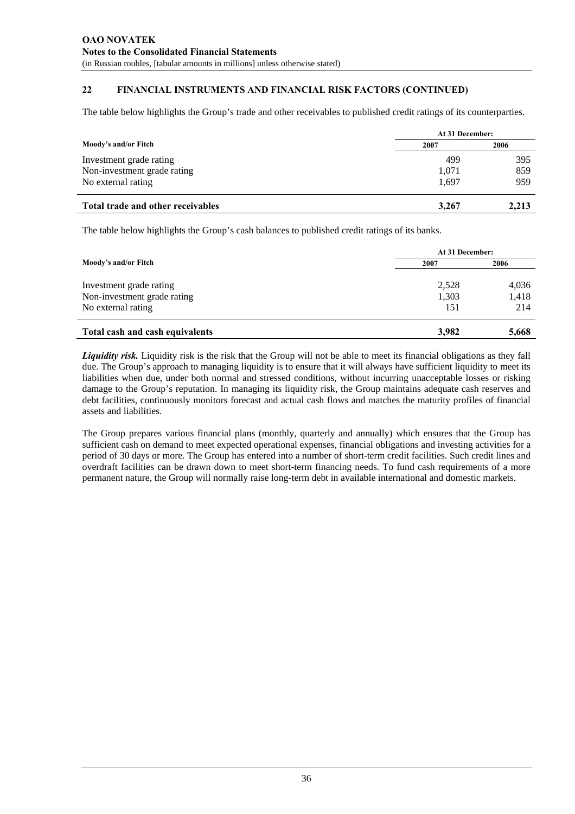The table below highlights the Group's trade and other receivables to published credit ratings of its counterparties.

|                                   | At 31 December: |       |  |
|-----------------------------------|-----------------|-------|--|
| Moody's and/or Fitch              | 2007            | 2006  |  |
| Investment grade rating           | 499             | 395   |  |
| Non-investment grade rating       | 1,071           | 859   |  |
| No external rating                | 1.697           | 959   |  |
| Total trade and other receivables | 3,267           | 2.213 |  |

The table below highlights the Group's cash balances to published credit ratings of its banks.

|                                 | At 31 December: |       |  |
|---------------------------------|-----------------|-------|--|
| Moody's and/or Fitch            | 2007            | 2006  |  |
| Investment grade rating         | 2,528           | 4,036 |  |
| Non-investment grade rating     | 1,303           | 1,418 |  |
| No external rating              | 151             | 214   |  |
| Total cash and cash equivalents | 3,982           | 5,668 |  |

*Liquidity risk.* Liquidity risk is the risk that the Group will not be able to meet its financial obligations as they fall due. The Group's approach to managing liquidity is to ensure that it will always have sufficient liquidity to meet its liabilities when due, under both normal and stressed conditions, without incurring unacceptable losses or risking damage to the Group's reputation. In managing its liquidity risk, the Group maintains adequate cash reserves and debt facilities, continuously monitors forecast and actual cash flows and matches the maturity profiles of financial assets and liabilities.

The Group prepares various financial plans (monthly, quarterly and annually) which ensures that the Group has sufficient cash on demand to meet expected operational expenses, financial obligations and investing activities for a period of 30 days or more. The Group has entered into a number of short-term credit facilities. Such credit lines and overdraft facilities can be drawn down to meet short-term financing needs. To fund cash requirements of a more permanent nature, the Group will normally raise long-term debt in available international and domestic markets.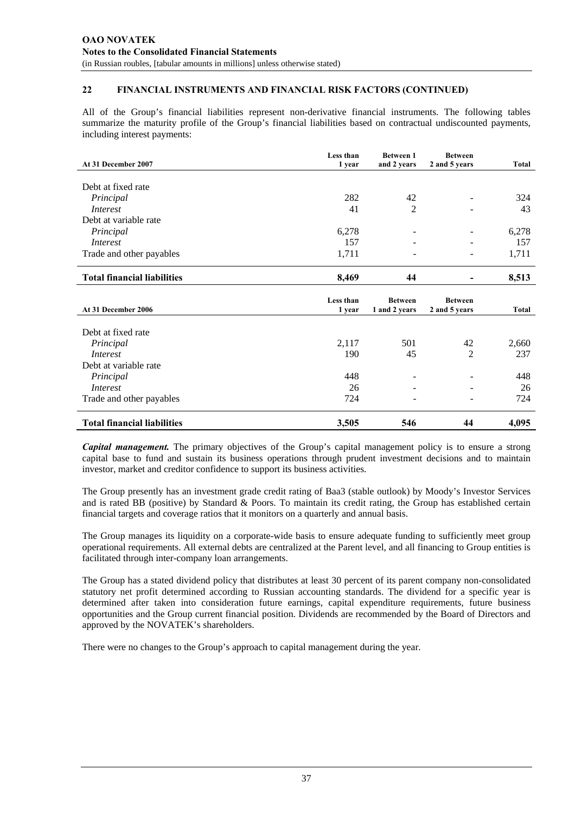All of the Group's financial liabilities represent non-derivative financial instruments. The following tables summarize the maturity profile of the Group's financial liabilities based on contractual undiscounted payments, including interest payments:

| At 31 December 2007                         | Less than<br>1 year | <b>Between 1</b><br>and 2 years | <b>Between</b><br>2 and 5 years | <b>Total</b> |
|---------------------------------------------|---------------------|---------------------------------|---------------------------------|--------------|
|                                             |                     |                                 |                                 |              |
| Debt at fixed rate                          |                     |                                 |                                 |              |
| Principal                                   | 282                 | 42                              |                                 | 324          |
| <i>Interest</i>                             | 41                  | $\overline{2}$                  | $\overline{\phantom{a}}$        | 43           |
| Debt at variable rate                       |                     |                                 |                                 |              |
| Principal                                   | 6,278               |                                 |                                 | 6,278        |
| Interest                                    | 157                 |                                 |                                 | 157          |
| Trade and other payables                    | 1,711               |                                 | $\blacksquare$                  | 1,711        |
| <b>Total financial liabilities</b>          | 8,469               | 44                              | $\overline{\phantom{a}}$        | 8,513        |
|                                             |                     |                                 |                                 |              |
|                                             | Less than           | <b>Between</b>                  | <b>Between</b>                  |              |
| At 31 December 2006                         | 1 year              | 1 and 2 years                   | 2 and 5 years                   | <b>Total</b> |
|                                             |                     |                                 |                                 |              |
| Debt at fixed rate                          |                     |                                 |                                 |              |
| Principal                                   | 2,117               | 501                             | 42                              | 2,660        |
| <i>Interest</i>                             | 190                 | 45                              | $\overline{2}$                  | 237          |
| Debt at variable rate                       |                     |                                 |                                 |              |
| Principal                                   | 448                 |                                 |                                 | 448          |
| <i>Interest</i><br>Trade and other payables | 26<br>724           |                                 |                                 | 26<br>724    |

*Capital management.* The primary objectives of the Group's capital management policy is to ensure a strong capital base to fund and sustain its business operations through prudent investment decisions and to maintain investor, market and creditor confidence to support its business activities.

The Group presently has an investment grade credit rating of Baa3 (stable outlook) by Moody's Investor Services and is rated BB (positive) by Standard & Poors. To maintain its credit rating, the Group has established certain financial targets and coverage ratios that it monitors on a quarterly and annual basis.

The Group manages its liquidity on a corporate-wide basis to ensure adequate funding to sufficiently meet group operational requirements. All external debts are centralized at the Parent level, and all financing to Group entities is facilitated through inter-company loan arrangements.

The Group has a stated dividend policy that distributes at least 30 percent of its parent company non-consolidated statutory net profit determined according to Russian accounting standards. The dividend for a specific year is determined after taken into consideration future earnings, capital expenditure requirements, future business opportunities and the Group current financial position. Dividends are recommended by the Board of Directors and approved by the NOVATEK's shareholders.

There were no changes to the Group's approach to capital management during the year.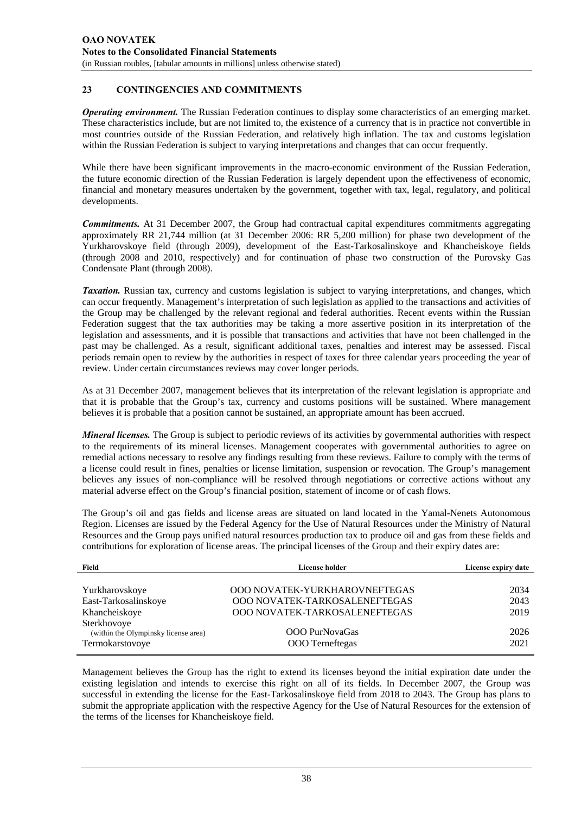#### **23 CONTINGENCIES AND COMMITMENTS**

*Operating environment.* The Russian Federation continues to display some characteristics of an emerging market. These characteristics include, but are not limited to, the existence of a currency that is in practice not convertible in most countries outside of the Russian Federation, and relatively high inflation. The tax and customs legislation within the Russian Federation is subject to varying interpretations and changes that can occur frequently.

While there have been significant improvements in the macro-economic environment of the Russian Federation, the future economic direction of the Russian Federation is largely dependent upon the effectiveness of economic, financial and monetary measures undertaken by the government, together with tax, legal, regulatory, and political developments.

*Commitments.* At 31 December 2007, the Group had contractual capital expenditures commitments aggregating approximately RR 21,744 million (at 31 December 2006: RR 5,200 million) for phase two development of the Yurkharovskoye field (through 2009), development of the East-Tarkosalinskoye and Khancheiskoye fields (through 2008 and 2010, respectively) and for continuation of phase two construction of the Purovsky Gas Condensate Plant (through 2008).

*Taxation.* Russian tax, currency and customs legislation is subject to varying interpretations, and changes, which can occur frequently. Management's interpretation of such legislation as applied to the transactions and activities of the Group may be challenged by the relevant regional and federal authorities. Recent events within the Russian Federation suggest that the tax authorities may be taking a more assertive position in its interpretation of the legislation and assessments, and it is possible that transactions and activities that have not been challenged in the past may be challenged. As a result, significant additional taxes, penalties and interest may be assessed. Fiscal periods remain open to review by the authorities in respect of taxes for three calendar years proceeding the year of review. Under certain circumstances reviews may cover longer periods.

As at 31 December 2007, management believes that its interpretation of the relevant legislation is appropriate and that it is probable that the Group's tax, currency and customs positions will be sustained. Where management believes it is probable that a position cannot be sustained, an appropriate amount has been accrued.

*Mineral licenses.* The Group is subject to periodic reviews of its activities by governmental authorities with respect to the requirements of its mineral licenses. Management cooperates with governmental authorities to agree on remedial actions necessary to resolve any findings resulting from these reviews. Failure to comply with the terms of a license could result in fines, penalties or license limitation, suspension or revocation. The Group's management believes any issues of non-compliance will be resolved through negotiations or corrective actions without any material adverse effect on the Group's financial position, statement of income or of cash flows.

The Group's oil and gas fields and license areas are situated on land located in the Yamal-Nenets Autonomous Region. Licenses are issued by the Federal Agency for the Use of Natural Resources under the Ministry of Natural Resources and the Group pays unified natural resources production tax to produce oil and gas from these fields and contributions for exploration of license areas. The principal licenses of the Group and their expiry dates are:

| Field                                                                  | License holder                                                                                                | License expiry date  |
|------------------------------------------------------------------------|---------------------------------------------------------------------------------------------------------------|----------------------|
| Yurkharovskoye<br>East-Tarkosalinskoye<br>Khancheiskoye<br>Sterkhovoye | <b>OOO NOVATEK-YURKHAROVNEFTEGAS</b><br>OOO NOVATEK-TARKOSALENEFTEGAS<br><b>OOO NOVATEK-TARKOSALENEFTEGAS</b> | 2034<br>2043<br>2019 |
| (within the Olympinsky license area)<br>Termokarstovoye                | OOO PurNovaGas<br>OOO Terneftegas                                                                             | 2026<br>2021         |

Management believes the Group has the right to extend its licenses beyond the initial expiration date under the existing legislation and intends to exercise this right on all of its fields. In December 2007, the Group was successful in extending the license for the East-Tarkosalinskoye field from 2018 to 2043. The Group has plans to submit the appropriate application with the respective Agency for the Use of Natural Resources for the extension of the terms of the licenses for Khancheiskoye field.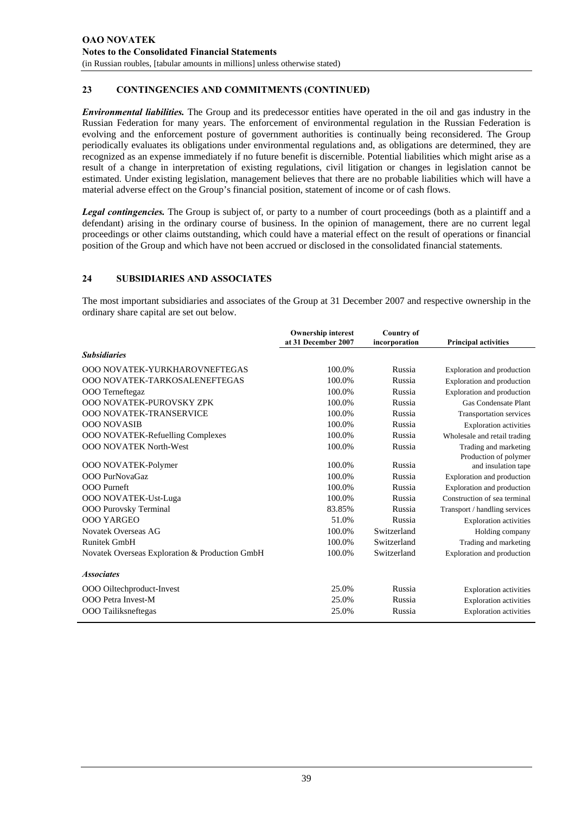#### **23 CONTINGENCIES AND COMMITMENTS (CONTINUED)**

*Environmental liabilities.* The Group and its predecessor entities have operated in the oil and gas industry in the Russian Federation for many years. The enforcement of environmental regulation in the Russian Federation is evolving and the enforcement posture of government authorities is continually being reconsidered. The Group periodically evaluates its obligations under environmental regulations and, as obligations are determined, they are recognized as an expense immediately if no future benefit is discernible. Potential liabilities which might arise as a result of a change in interpretation of existing regulations, civil litigation or changes in legislation cannot be estimated. Under existing legislation, management believes that there are no probable liabilities which will have a material adverse effect on the Group's financial position, statement of income or of cash flows.

*Legal contingencies.* The Group is subject of, or party to a number of court proceedings (both as a plaintiff and a defendant) arising in the ordinary course of business. In the opinion of management, there are no current legal proceedings or other claims outstanding, which could have a material effect on the result of operations or financial position of the Group and which have not been accrued or disclosed in the consolidated financial statements.

#### **24 SUBSIDIARIES AND ASSOCIATES**

The most important subsidiaries and associates of the Group at 31 December 2007 and respective ownership in the ordinary share capital are set out below.

|                                                | <b>Ownership interest</b><br>at 31 December 2007 | <b>Country of</b><br>incorporation | <b>Principal activities</b>    |
|------------------------------------------------|--------------------------------------------------|------------------------------------|--------------------------------|
| <b>Subsidiaries</b>                            |                                                  |                                    |                                |
| OOO NOVATEK-YURKHAROVNEFTEGAS                  | 100.0%                                           | Russia                             | Exploration and production     |
| <b>OOO NOVATEK-TARKOSALENEFTEGAS</b>           | 100.0%                                           | Russia                             | Exploration and production     |
| OOO Terneftegaz                                | 100.0%                                           | Russia                             | Exploration and production     |
| OOO NOVATEK-PUROVSKY ZPK                       | 100.0%                                           | Russia                             | <b>Gas Condensate Plant</b>    |
| <b>OOO NOVATEK-TRANSERVICE</b>                 | 100.0%                                           | Russia                             | <b>Transportation services</b> |
| <b>OOO NOVASIB</b>                             | 100.0%                                           | Russia                             | <b>Exploration activities</b>  |
| <b>OOO NOVATEK-Refuelling Complexes</b>        | 100.0%                                           | Russia                             | Wholesale and retail trading   |
| <b>OOO NOVATEK North-West</b>                  | 100.0%                                           | Russia                             | Trading and marketing          |
|                                                |                                                  |                                    | Production of polymer          |
| <b>OOO NOVATEK-Polymer</b>                     | 100.0%                                           | Russia                             | and insulation tape            |
| OOO PurNovaGaz                                 | 100.0%                                           | Russia                             | Exploration and production     |
| OOO Purneft                                    | 100.0%                                           | Russia                             | Exploration and production     |
| <b>OOO NOVATEK-Ust-Luga</b>                    | 100.0%                                           | Russia                             | Construction of sea terminal   |
| OOO Purovsky Terminal                          | 83.85%                                           | Russia                             | Transport / handling services  |
| <b>OOO YARGEO</b>                              | 51.0%                                            | Russia                             | <b>Exploration activities</b>  |
| Novatek Overseas AG                            | 100.0%                                           | Switzerland                        | Holding company                |
| <b>Runitek GmbH</b>                            | 100.0%                                           | Switzerland                        | Trading and marketing          |
| Novatek Overseas Exploration & Production GmbH | 100.0%                                           | Switzerland                        | Exploration and production     |
| <i><b>Associates</b></i>                       |                                                  |                                    |                                |
| OOO Oiltechproduct-Invest                      | 25.0%                                            | Russia                             | <b>Exploration activities</b>  |
| OOO Petra Invest-M                             | 25.0%                                            | Russia                             | <b>Exploration activities</b>  |
| OOO Tailiksneftegas                            | 25.0%                                            | Russia                             | <b>Exploration activities</b>  |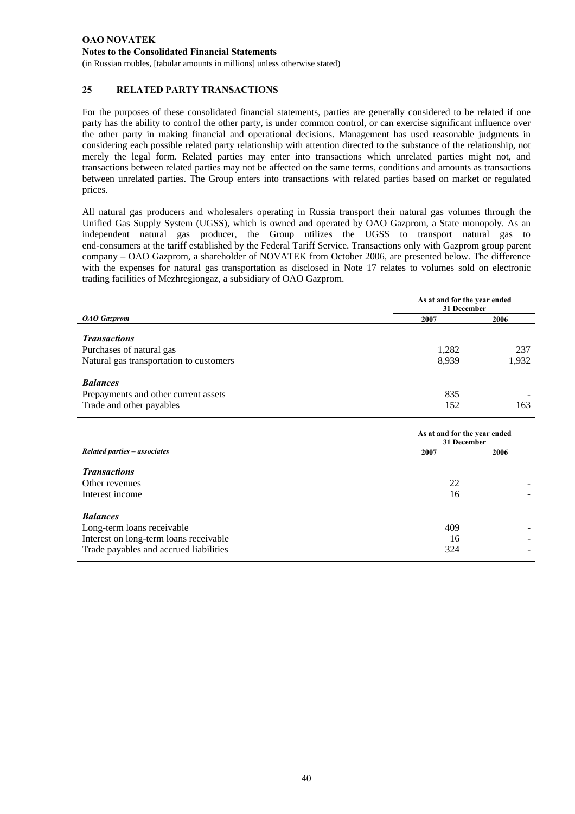#### **25 RELATED PARTY TRANSACTIONS**

For the purposes of these consolidated financial statements, parties are generally considered to be related if one party has the ability to control the other party, is under common control, or can exercise significant influence over the other party in making financial and operational decisions. Management has used reasonable judgments in considering each possible related party relationship with attention directed to the substance of the relationship, not merely the legal form. Related parties may enter into transactions which unrelated parties might not, and transactions between related parties may not be affected on the same terms, conditions and amounts as transactions between unrelated parties. The Group enters into transactions with related parties based on market or regulated prices.

All natural gas producers and wholesalers operating in Russia transport their natural gas volumes through the Unified Gas Supply System (UGSS), which is owned and operated by OAO Gazprom, a State monopoly. As an independent natural gas producer, the Group utilizes the UGSS to transport natural gas to end-consumers at the tariff established by the Federal Tariff Service. Transactions only with Gazprom group parent company – OAO Gazprom, a shareholder of NOVATEK from October 2006, are presented below. The difference with the expenses for natural gas transportation as disclosed in Note 17 relates to volumes sold on electronic trading facilities of Mezhregiongaz, a subsidiary of OAO Gazprom.

|                                                                                     | As at and for the year ended<br>31 December |       |
|-------------------------------------------------------------------------------------|---------------------------------------------|-------|
| <b>OAO</b> Gazprom                                                                  | 2007                                        | 2006  |
| <b>Transactions</b>                                                                 |                                             |       |
| Purchases of natural gas                                                            | 1,282                                       | 237   |
| Natural gas transportation to customers                                             | 8,939                                       | 1,932 |
| <b>Balances</b><br>Prepayments and other current assets<br>Trade and other payables | 835<br>152                                  | 163   |

|                                        | As at and for the year ended<br>31 December |      |  |
|----------------------------------------|---------------------------------------------|------|--|
| <b>Related parties – associates</b>    | 2007                                        | 2006 |  |
| <b>Transactions</b>                    |                                             |      |  |
| Other revenues                         | 22                                          |      |  |
| Interest income                        | 16                                          |      |  |
| <b>Balances</b>                        |                                             |      |  |
| Long-term loans receivable             | 409                                         |      |  |
| Interest on long-term loans receivable | 16                                          |      |  |
| Trade payables and accrued liabilities | 324                                         |      |  |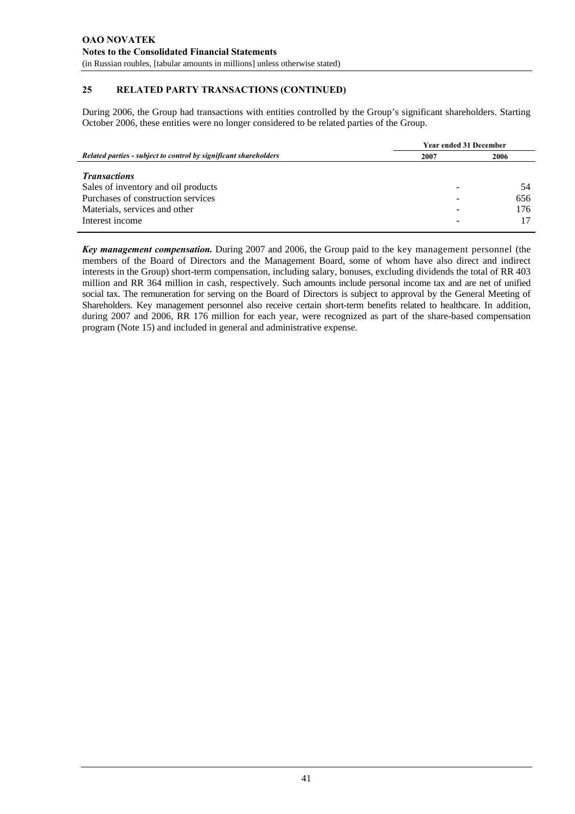#### **25 RELATED PARTY TRANSACTIONS (CONTINUED)**

During 2006, the Group had transactions with entities controlled by the Group's significant shareholders. Starting October 2006, these entities were no longer considered to be related parties of the Group.

|                                                                  | <b>Year ended 31 December</b> |      |
|------------------------------------------------------------------|-------------------------------|------|
| Related parties - subject to control by significant shareholders | 2007                          | 2006 |
| <b>Transactions</b>                                              |                               |      |
| Sales of inventory and oil products                              |                               | 54   |
| Purchases of construction services                               |                               | 656  |
| Materials, services and other                                    |                               | 176  |
| Interest income                                                  |                               |      |

*Key management compensation.* During 2007 and 2006, the Group paid to the key management personnel (the members of the Board of Directors and the Management Board, some of whom have also direct and indirect interests in the Group) short-term compensation, including salary, bonuses, excluding dividends the total of RR 403 million and RR 364 million in cash, respectively. Such amounts include personal income tax and are net of unified social tax. The remuneration for serving on the Board of Directors is subject to approval by the General Meeting of Shareholders. Key management personnel also receive certain short-term benefits related to healthcare. In addition, during 2007 and 2006, RR 176 million for each year, were recognized as part of the share-based compensation program (Note 15) and included in general and administrative expense.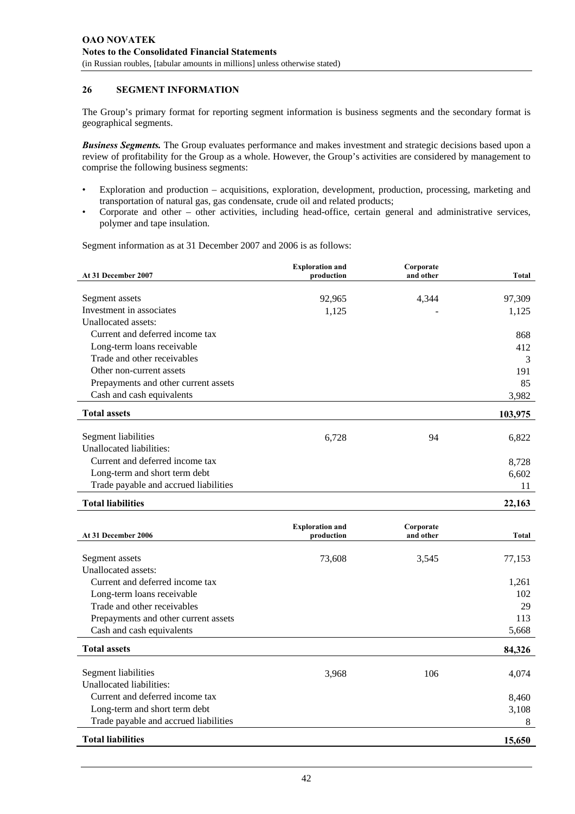#### **26 SEGMENT INFORMATION**

The Group's primary format for reporting segment information is business segments and the secondary format is geographical segments.

*Business Segments.* The Group evaluates performance and makes investment and strategic decisions based upon a review of profitability for the Group as a whole. However, the Group's activities are considered by management to comprise the following business segments:

- Exploration and production acquisitions, exploration, development, production, processing, marketing and transportation of natural gas, gas condensate, crude oil and related products;
- Corporate and other other activities, including head-office, certain general and administrative services, polymer and tape insulation.

Segment information as at 31 December 2007 and 2006 is as follows:

| At 31 December 2007                                                    | <b>Exploration and</b><br>production | Corporate<br>and other | Total   |
|------------------------------------------------------------------------|--------------------------------------|------------------------|---------|
| Segment assets                                                         | 92,965                               | 4,344                  | 97,309  |
| Investment in associates                                               | 1,125                                |                        | 1,125   |
| Unallocated assets:                                                    |                                      |                        |         |
| Current and deferred income tax                                        |                                      |                        | 868     |
| Long-term loans receivable                                             |                                      |                        | 412     |
| Trade and other receivables                                            |                                      |                        | 3       |
| Other non-current assets                                               |                                      |                        | 191     |
| Prepayments and other current assets                                   |                                      |                        | 85      |
| Cash and cash equivalents                                              |                                      |                        | 3,982   |
| <b>Total assets</b>                                                    |                                      |                        | 103,975 |
| Segment liabilities                                                    | 6,728                                | 94                     | 6,822   |
| Unallocated liabilities:                                               |                                      |                        |         |
| Current and deferred income tax                                        |                                      |                        | 8,728   |
| Long-term and short term debt                                          |                                      |                        | 6,602   |
| Trade payable and accrued liabilities                                  |                                      |                        | 11      |
| <b>Total liabilities</b>                                               |                                      |                        | 22,163  |
|                                                                        | <b>Exploration and</b>               | Corporate              |         |
| At 31 December 2006                                                    | production                           | and other              | Total   |
|                                                                        |                                      |                        |         |
| Segment assets<br>Unallocated assets:                                  | 73,608                               | 3,545                  | 77,153  |
| Current and deferred income tax                                        |                                      |                        | 1,261   |
| Long-term loans receivable                                             |                                      |                        | 102     |
| Trade and other receivables                                            |                                      |                        | 29      |
| Prepayments and other current assets                                   |                                      |                        | 113     |
| Cash and cash equivalents                                              |                                      |                        | 5,668   |
| <b>Total assets</b>                                                    |                                      |                        | 84,326  |
|                                                                        |                                      |                        |         |
| Segment liabilities                                                    | 3,968                                | 106                    | 4,074   |
| Unallocated liabilities:                                               |                                      |                        |         |
| Current and deferred income tax                                        |                                      |                        | 8,460   |
| Long-term and short term debt<br>Trade payable and accrued liabilities |                                      |                        | 3,108   |
|                                                                        |                                      |                        | 8       |
| <b>Total liabilities</b>                                               |                                      |                        | 15,650  |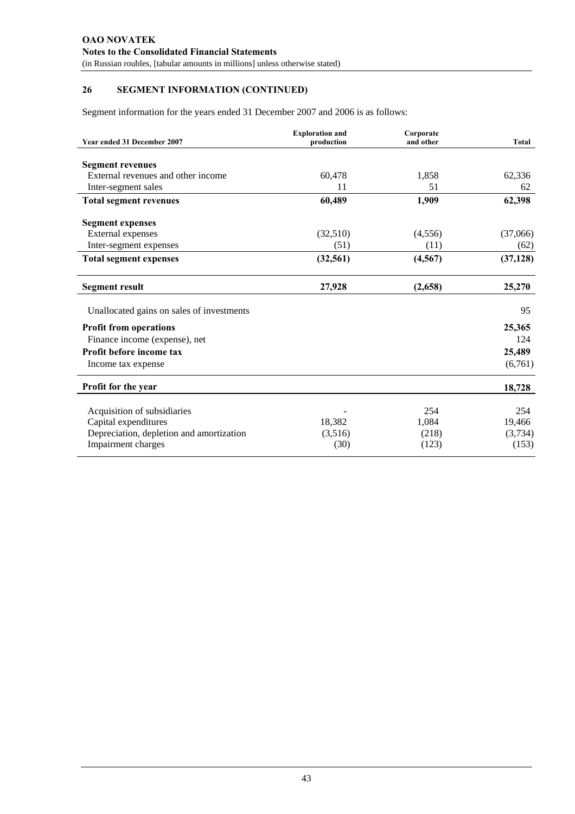#### **26 SEGMENT INFORMATION (CONTINUED)**

Segment information for the years ended 31 December 2007 and 2006 is as follows:

| Year ended 31 December 2007               | <b>Exploration and</b><br>production | Corporate<br>and other | Total     |
|-------------------------------------------|--------------------------------------|------------------------|-----------|
|                                           |                                      |                        |           |
| <b>Segment revenues</b>                   |                                      |                        |           |
| External revenues and other income        | 60,478                               | 1,858                  | 62,336    |
| Inter-segment sales                       | 11                                   | 51                     | 62        |
| <b>Total segment revenues</b>             | 60,489                               | 1,909                  | 62,398    |
| <b>Segment expenses</b>                   |                                      |                        |           |
| <b>External expenses</b>                  | (32,510)                             | (4,556)                | (37,066)  |
| Inter-segment expenses                    | (51)                                 | (11)                   | (62)      |
| <b>Total segment expenses</b>             | (32, 561)                            | (4, 567)               | (37, 128) |
| <b>Segment result</b>                     | 27,928                               | (2,658)                | 25,270    |
| Unallocated gains on sales of investments |                                      |                        | 95        |
| <b>Profit from operations</b>             |                                      |                        | 25,365    |
| Finance income (expense), net             |                                      |                        | 124       |
| Profit before income tax                  |                                      |                        | 25,489    |
| Income tax expense                        |                                      |                        | (6,761)   |
| Profit for the year                       |                                      |                        | 18,728    |
| Acquisition of subsidiaries               |                                      | 254                    | 254       |
| Capital expenditures                      | 18,382                               | 1,084                  | 19,466    |
| Depreciation, depletion and amortization  | (3,516)                              | (218)                  | (3,734)   |
| Impairment charges                        | (30)                                 | (123)                  | (153)     |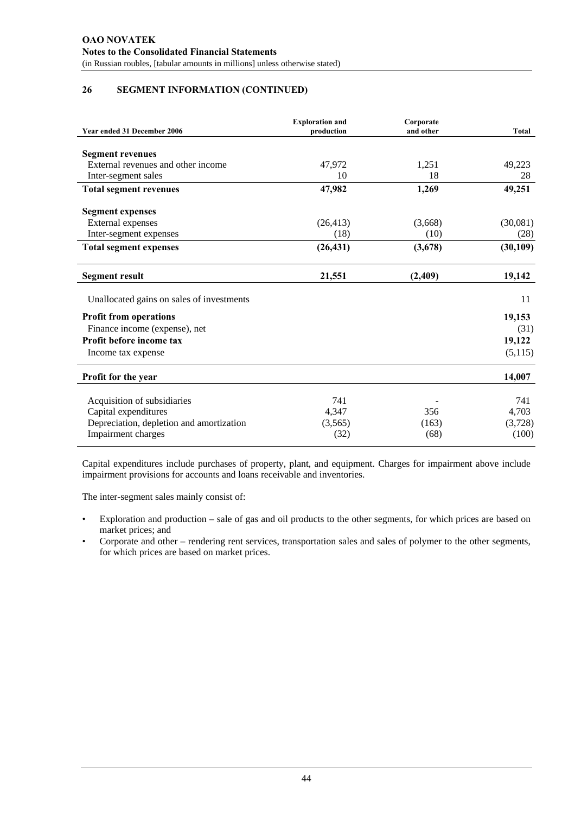#### **26 SEGMENT INFORMATION (CONTINUED)**

| <b>Year ended 31 December 2006</b>        | <b>Exploration and</b><br>production | Corporate<br>and other | <b>Total</b> |
|-------------------------------------------|--------------------------------------|------------------------|--------------|
|                                           |                                      |                        |              |
| <b>Segment revenues</b>                   |                                      |                        |              |
| External revenues and other income        | 47,972                               | 1,251                  | 49,223       |
| Inter-segment sales                       | 10                                   | 18                     | 28           |
| <b>Total segment revenues</b>             | 47,982                               | 1,269                  | 49,251       |
| <b>Segment expenses</b>                   |                                      |                        |              |
| External expenses                         | (26, 413)                            | (3,668)                | (30,081)     |
| Inter-segment expenses                    | (18)                                 | (10)                   | (28)         |
| <b>Total segment expenses</b>             | (26, 431)                            | (3,678)                | (30, 109)    |
| <b>Segment result</b>                     | 21,551                               | (2,409)                | 19,142       |
| Unallocated gains on sales of investments |                                      |                        | 11           |
| <b>Profit from operations</b>             |                                      |                        | 19,153       |
| Finance income (expense), net             |                                      |                        | (31)         |
| Profit before income tax                  |                                      |                        | 19,122       |
| Income tax expense                        |                                      |                        | (5,115)      |
| Profit for the year                       |                                      |                        | 14,007       |
|                                           |                                      |                        |              |
| Acquisition of subsidiaries               | 741                                  |                        | 741          |
| Capital expenditures                      | 4,347                                | 356                    | 4,703        |
| Depreciation, depletion and amortization  | (3,565)                              | (163)                  | (3,728)      |
| Impairment charges                        | (32)                                 | (68)                   | (100)        |

Capital expenditures include purchases of property, plant, and equipment. Charges for impairment above include impairment provisions for accounts and loans receivable and inventories.

The inter-segment sales mainly consist of:

- Exploration and production sale of gas and oil products to the other segments, for which prices are based on market prices; and
- Corporate and other rendering rent services, transportation sales and sales of polymer to the other segments, for which prices are based on market prices.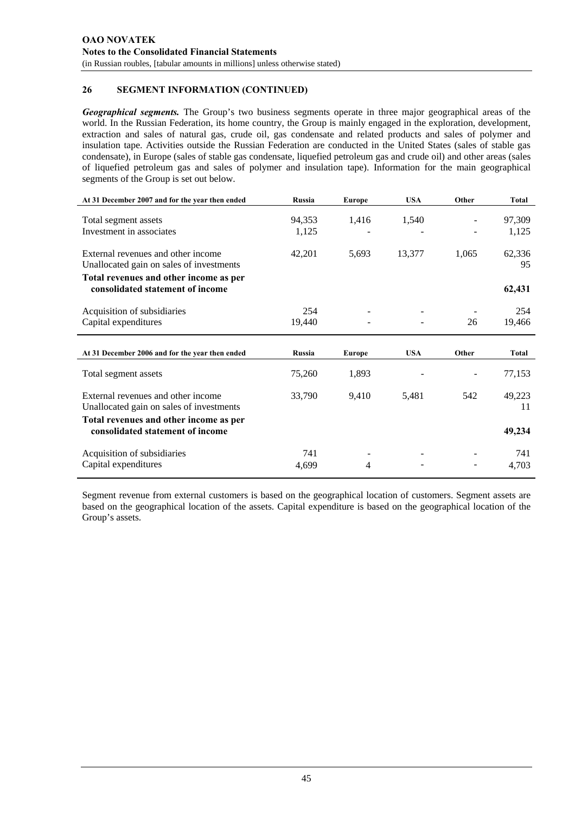#### **26 SEGMENT INFORMATION (CONTINUED)**

*Geographical segments.* The Group's two business segments operate in three major geographical areas of the world. In the Russian Federation, its home country, the Group is mainly engaged in the exploration, development, extraction and sales of natural gas, crude oil, gas condensate and related products and sales of polymer and insulation tape. Activities outside the Russian Federation are conducted in the United States (sales of stable gas condensate), in Europe (sales of stable gas condensate, liquefied petroleum gas and crude oil) and other areas (sales of liquefied petroleum gas and sales of polymer and insulation tape). Information for the main geographical segments of the Group is set out below.

| At 31 December 2007 and for the year then ended                                | <b>Russia</b>   | <b>Europe</b> | <b>USA</b> | Other | <b>Total</b>    |
|--------------------------------------------------------------------------------|-----------------|---------------|------------|-------|-----------------|
| Total segment assets<br>Investment in associates                               | 94,353<br>1,125 | 1,416         | 1,540      |       | 97,309<br>1,125 |
| External revenues and other income<br>Unallocated gain on sales of investments | 42,201          | 5,693         | 13,377     | 1,065 | 62,336<br>95    |
| Total revenues and other income as per<br>consolidated statement of income     |                 |               |            |       | 62,431          |
| Acquisition of subsidiaries<br>Capital expenditures                            | 254<br>19,440   |               |            | 26    | 254<br>19,466   |
|                                                                                |                 |               |            |       |                 |
| At 31 December 2006 and for the year then ended                                | Russia          | <b>Europe</b> | <b>USA</b> | Other | <b>Total</b>    |
| Total segment assets                                                           | 75,260          | 1,893         |            |       | 77,153          |
| External revenues and other income<br>Unallocated gain on sales of investments | 33,790          | 9,410         | 5,481      | 542   | 49,223<br>11    |
| Total revenues and other income as per<br>consolidated statement of income     |                 |               |            |       | 49,234          |

Segment revenue from external customers is based on the geographical location of customers. Segment assets are based on the geographical location of the assets. Capital expenditure is based on the geographical location of the Group's assets.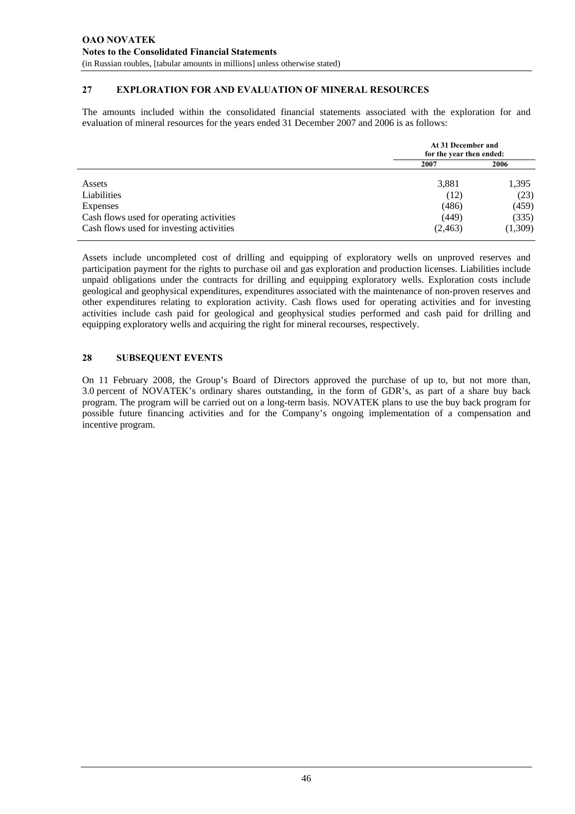#### **27 EXPLORATION FOR AND EVALUATION OF MINERAL RESOURCES**

The amounts included within the consolidated financial statements associated with the exploration for and evaluation of mineral resources for the years ended 31 December 2007 and 2006 is as follows:

|                                          | At 31 December and<br>for the year then ended: |         |  |
|------------------------------------------|------------------------------------------------|---------|--|
|                                          | 2007                                           | 2006    |  |
| Assets                                   | 3,881                                          | 1,395   |  |
| Liabilities                              | (12)                                           | (23)    |  |
| Expenses                                 | (486)                                          | (459)   |  |
| Cash flows used for operating activities | (449)                                          | (335)   |  |
| Cash flows used for investing activities | (2,463)                                        | (1,309) |  |

Assets include uncompleted cost of drilling and equipping of exploratory wells on unproved reserves and participation payment for the rights to purchase oil and gas exploration and production licenses. Liabilities include unpaid obligations under the contracts for drilling and equipping exploratory wells. Exploration costs include geological and geophysical expenditures, expenditures associated with the maintenance of non-proven reserves and other expenditures relating to exploration activity. Cash flows used for operating activities and for investing activities include cash paid for geological and geophysical studies performed and cash paid for drilling and equipping exploratory wells and acquiring the right for mineral recourses, respectively.

#### **28 SUBSEQUENT EVENTS**

On 11 February 2008, the Group's Board of Directors approved the purchase of up to, but not more than, 3.0 percent of NOVATEK's ordinary shares outstanding, in the form of GDR's, as part of a share buy back program. The program will be carried out on a long-term basis. NOVATEK plans to use the buy back program for possible future financing activities and for the Company's ongoing implementation of a compensation and incentive program.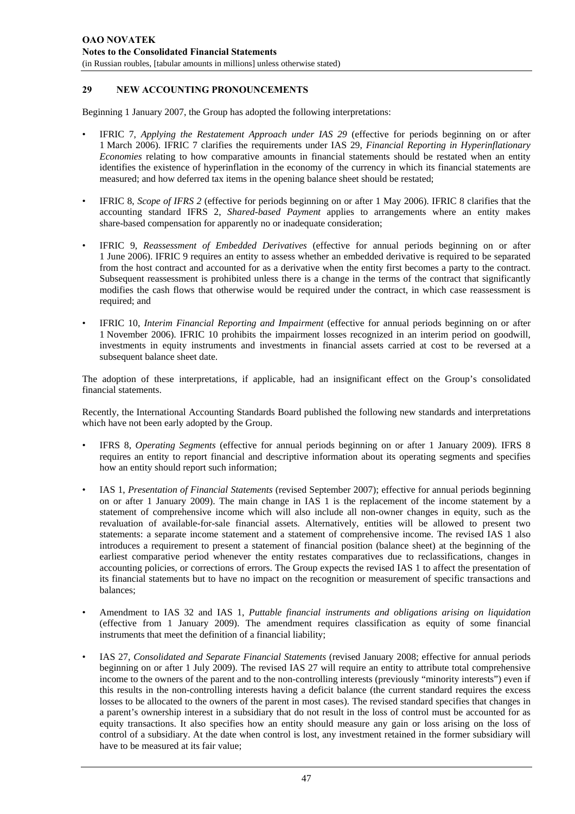#### **29 NEW ACCOUNTING PRONOUNCEMENTS**

Beginning 1 January 2007, the Group has adopted the following interpretations:

- IFRIC 7, *Applying the Restatement Approach under IAS 29* (effective for periods beginning on or after 1 March 2006). IFRIC 7 clarifies the requirements under IAS 29, *Financial Reporting in Hyperinflationary Economies* relating to how comparative amounts in financial statements should be restated when an entity identifies the existence of hyperinflation in the economy of the currency in which its financial statements are measured; and how deferred tax items in the opening balance sheet should be restated;
- IFRIC 8, *Scope of IFRS 2* (effective for periods beginning on or after 1 May 2006). IFRIC 8 clarifies that the accounting standard IFRS 2, *Shared-based Payment* applies to arrangements where an entity makes share-based compensation for apparently no or inadequate consideration;
- IFRIC 9, *Reassessment of Embedded Derivatives* (effective for annual periods beginning on or after 1 June 2006). IFRIC 9 requires an entity to assess whether an embedded derivative is required to be separated from the host contract and accounted for as a derivative when the entity first becomes a party to the contract. Subsequent reassessment is prohibited unless there is a change in the terms of the contract that significantly modifies the cash flows that otherwise would be required under the contract, in which case reassessment is required; and
- IFRIC 10, *Interim Financial Reporting and Impairment* (effective for annual periods beginning on or after 1 November 2006). IFRIC 10 prohibits the impairment losses recognized in an interim period on goodwill, investments in equity instruments and investments in financial assets carried at cost to be reversed at a subsequent balance sheet date.

The adoption of these interpretations, if applicable, had an insignificant effect on the Group's consolidated financial statements.

Recently, the International Accounting Standards Board published the following new standards and interpretations which have not been early adopted by the Group.

- IFRS 8, *Operating Segments* (effective for annual periods beginning on or after 1 January 2009)*.* IFRS 8 requires an entity to report financial and descriptive information about its operating segments and specifies how an entity should report such information;
- IAS 1, *Presentation of Financial Statements* (revised September 2007); effective for annual periods beginning on or after 1 January 2009). The main change in IAS 1 is the replacement of the income statement by a statement of comprehensive income which will also include all non-owner changes in equity, such as the revaluation of available-for-sale financial assets. Alternatively, entities will be allowed to present two statements: a separate income statement and a statement of comprehensive income. The revised IAS 1 also introduces a requirement to present a statement of financial position (balance sheet) at the beginning of the earliest comparative period whenever the entity restates comparatives due to reclassifications, changes in accounting policies, or corrections of errors. The Group expects the revised IAS 1 to affect the presentation of its financial statements but to have no impact on the recognition or measurement of specific transactions and balances;
- Amendment to IAS 32 and IAS 1, *Puttable financial instruments and obligations arising on liquidation*  (effective from 1 January 2009). The amendment requires classification as equity of some financial instruments that meet the definition of a financial liability;
- IAS 27, *Consolidated and Separate Financial Statements* (revised January 2008; effective for annual periods beginning on or after 1 July 2009). The revised IAS 27 will require an entity to attribute total comprehensive income to the owners of the parent and to the non-controlling interests (previously "minority interests") even if this results in the non-controlling interests having a deficit balance (the current standard requires the excess losses to be allocated to the owners of the parent in most cases). The revised standard specifies that changes in a parent's ownership interest in a subsidiary that do not result in the loss of control must be accounted for as equity transactions. It also specifies how an entity should measure any gain or loss arising on the loss of control of a subsidiary. At the date when control is lost, any investment retained in the former subsidiary will have to be measured at its fair value;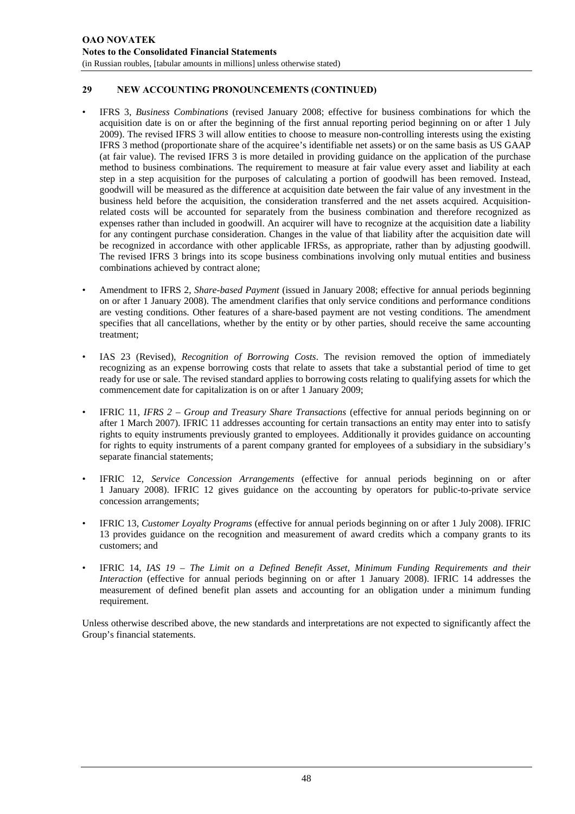#### **29 NEW ACCOUNTING PRONOUNCEMENTS (CONTINUED)**

- IFRS 3, *Business Combinations* (revised January 2008; effective for business combinations for which the acquisition date is on or after the beginning of the first annual reporting period beginning on or after 1 July 2009). The revised IFRS 3 will allow entities to choose to measure non-controlling interests using the existing IFRS 3 method (proportionate share of the acquiree's identifiable net assets) or on the same basis as US GAAP (at fair value). The revised IFRS 3 is more detailed in providing guidance on the application of the purchase method to business combinations. The requirement to measure at fair value every asset and liability at each step in a step acquisition for the purposes of calculating a portion of goodwill has been removed. Instead, goodwill will be measured as the difference at acquisition date between the fair value of any investment in the business held before the acquisition, the consideration transferred and the net assets acquired. Acquisitionrelated costs will be accounted for separately from the business combination and therefore recognized as expenses rather than included in goodwill. An acquirer will have to recognize at the acquisition date a liability for any contingent purchase consideration. Changes in the value of that liability after the acquisition date will be recognized in accordance with other applicable IFRSs, as appropriate, rather than by adjusting goodwill. The revised IFRS 3 brings into its scope business combinations involving only mutual entities and business combinations achieved by contract alone;
- Amendment to IFRS 2, *Share-based Payment* (issued in January 2008; effective for annual periods beginning on or after 1 January 2008). The amendment clarifies that only service conditions and performance conditions are vesting conditions. Other features of a share-based payment are not vesting conditions. The amendment specifies that all cancellations, whether by the entity or by other parties, should receive the same accounting treatment;
- IAS 23 (Revised), *Recognition of Borrowing Costs*. The revision removed the option of immediately recognizing as an expense borrowing costs that relate to assets that take a substantial period of time to get ready for use or sale. The revised standard applies to borrowing costs relating to qualifying assets for which the commencement date for capitalization is on or after 1 January 2009;
- IFRIC 11, *IFRS 2 Group and Treasury Share Transactions* (effective for annual periods beginning on or after 1 March 2007). IFRIC 11 addresses accounting for certain transactions an entity may enter into to satisfy rights to equity instruments previously granted to employees. Additionally it provides guidance on accounting for rights to equity instruments of a parent company granted for employees of a subsidiary in the subsidiary's separate financial statements;
- IFRIC 12, *Service Concession Arrangements* (effective for annual periods beginning on or after 1 January 2008). IFRIC 12 gives guidance on the accounting by operators for public-to-private service concession arrangements;
- IFRIC 13, *Customer Loyalty Programs* (effective for annual periods beginning on or after 1 July 2008). IFRIC 13 provides guidance on the recognition and measurement of award credits which a company grants to its customers; and
- IFRIC 14, *IAS 19 The Limit on a Defined Benefit Asset, Minimum Funding Requirements and their Interaction* (effective for annual periods beginning on or after 1 January 2008). IFRIC 14 addresses the measurement of defined benefit plan assets and accounting for an obligation under a minimum funding requirement.

Unless otherwise described above, the new standards and interpretations are not expected to significantly affect the Group's financial statements.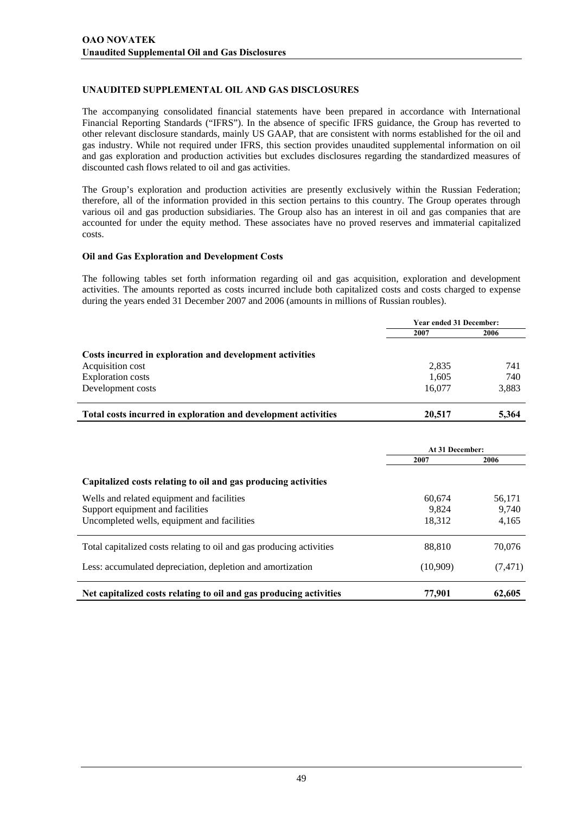#### **UNAUDITED SUPPLEMENTAL OIL AND GAS DISCLOSURES**

The accompanying consolidated financial statements have been prepared in accordance with International Financial Reporting Standards ("IFRS"). In the absence of specific IFRS guidance, the Group has reverted to other relevant disclosure standards, mainly US GAAP, that are consistent with norms established for the oil and gas industry. While not required under IFRS, this section provides unaudited supplemental information on oil and gas exploration and production activities but excludes disclosures regarding the standardized measures of discounted cash flows related to oil and gas activities.

The Group's exploration and production activities are presently exclusively within the Russian Federation; therefore, all of the information provided in this section pertains to this country. The Group operates through various oil and gas production subsidiaries. The Group also has an interest in oil and gas companies that are accounted for under the equity method. These associates have no proved reserves and immaterial capitalized costs.

#### **Oil and Gas Exploration and Development Costs**

The following tables set forth information regarding oil and gas acquisition, exploration and development activities. The amounts reported as costs incurred include both capitalized costs and costs charged to expense during the years ended 31 December 2007 and 2006 (amounts in millions of Russian roubles).

|                                                                | Year ended 31 December: |       |  |
|----------------------------------------------------------------|-------------------------|-------|--|
|                                                                | 2007                    | 2006  |  |
| Costs incurred in exploration and development activities       |                         |       |  |
| Acquisition cost                                               | 2,835                   | 741   |  |
| <b>Exploration costs</b>                                       | 1,605                   | 740   |  |
| Development costs                                              | 16.077                  | 3,883 |  |
| Total costs incurred in exploration and development activities | 20,517                  | 5.364 |  |

|                                                                      | At 31 December: |          |  |
|----------------------------------------------------------------------|-----------------|----------|--|
|                                                                      | 2007            | 2006     |  |
| Capitalized costs relating to oil and gas producing activities       |                 |          |  |
| Wells and related equipment and facilities                           | 60.674          | 56.171   |  |
| Support equipment and facilities                                     | 9.824           | 9.740    |  |
| Uncompleted wells, equipment and facilities                          | 18,312          | 4,165    |  |
| Total capitalized costs relating to oil and gas producing activities | 88.810          | 70,076   |  |
| Less: accumulated depreciation, depletion and amortization           | (10,909)        | (7, 471) |  |
| Net capitalized costs relating to oil and gas producing activities   | 77.901          | 62,605   |  |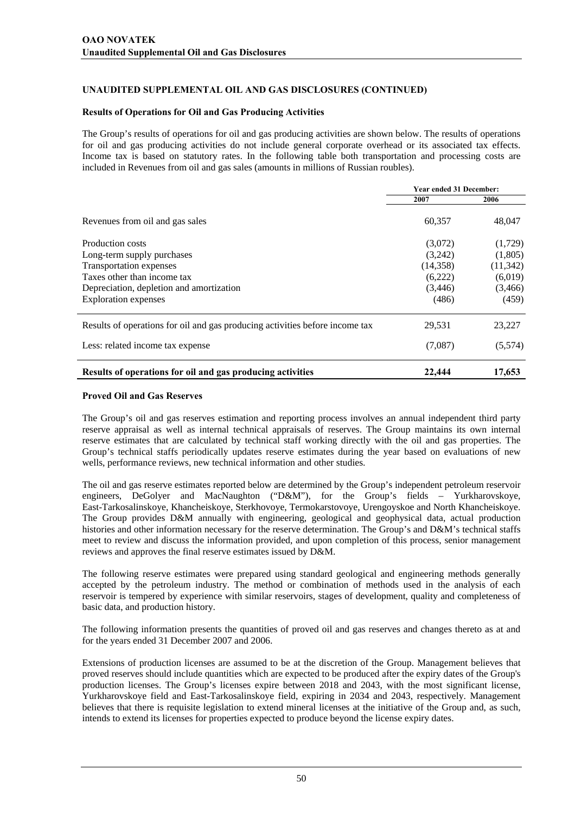#### **UNAUDITED SUPPLEMENTAL OIL AND GAS DISCLOSURES (CONTINUED)**

#### **Results of Operations for Oil and Gas Producing Activities**

The Group's results of operations for oil and gas producing activities are shown below. The results of operations for oil and gas producing activities do not include general corporate overhead or its associated tax effects. Income tax is based on statutory rates. In the following table both transportation and processing costs are included in Revenues from oil and gas sales (amounts in millions of Russian roubles).

|                                                                              | <b>Year ended 31 December:</b> |           |  |
|------------------------------------------------------------------------------|--------------------------------|-----------|--|
|                                                                              | 2007                           | 2006      |  |
| Revenues from oil and gas sales                                              | 60,357                         | 48,047    |  |
| Production costs                                                             | (3,072)                        | (1,729)   |  |
| Long-term supply purchases                                                   | (3,242)                        | (1,805)   |  |
| Transportation expenses                                                      | (14,358)                       | (11, 342) |  |
| Taxes other than income tax                                                  | (6,222)                        | (6,019)   |  |
| Depreciation, depletion and amortization                                     | (3,446)                        | (3,466)   |  |
| <b>Exploration</b> expenses                                                  | (486)                          | (459)     |  |
| Results of operations for oil and gas producing activities before income tax | 29,531                         | 23,227    |  |
| Less: related income tax expense                                             | (7,087)                        | (5,574)   |  |
| Results of operations for oil and gas producing activities                   | 22,444                         | 17,653    |  |

#### **Proved Oil and Gas Reserves**

The Group's oil and gas reserves estimation and reporting process involves an annual independent third party reserve appraisal as well as internal technical appraisals of reserves. The Group maintains its own internal reserve estimates that are calculated by technical staff working directly with the oil and gas properties. The Group's technical staffs periodically updates reserve estimates during the year based on evaluations of new wells, performance reviews, new technical information and other studies.

The oil and gas reserve estimates reported below are determined by the Group's independent petroleum reservoir engineers, DeGolyer and MacNaughton ("D&M"), for the Group's fields – Yurkharovskoye, East-Tarkosalinskoye, Khancheiskoye, Sterkhovoye, Termokarstovoye, Urengoyskoe and North Khancheiskoye. The Group provides D&M annually with engineering, geological and geophysical data, actual production histories and other information necessary for the reserve determination. The Group's and D&M's technical staffs meet to review and discuss the information provided, and upon completion of this process, senior management reviews and approves the final reserve estimates issued by D&M.

The following reserve estimates were prepared using standard geological and engineering methods generally accepted by the petroleum industry. The method or combination of methods used in the analysis of each reservoir is tempered by experience with similar reservoirs, stages of development, quality and completeness of basic data, and production history.

The following information presents the quantities of proved oil and gas reserves and changes thereto as at and for the years ended 31 December 2007 and 2006.

Extensions of production licenses are assumed to be at the discretion of the Group. Management believes that proved reserves should include quantities which are expected to be produced after the expiry dates of the Group's production licenses. The Group's licenses expire between 2018 and 2043, with the most significant license, Yurkharovskoye field and East-Tarkosalinskoye field, expiring in 2034 and 2043, respectively. Management believes that there is requisite legislation to extend mineral licenses at the initiative of the Group and, as such, intends to extend its licenses for properties expected to produce beyond the license expiry dates.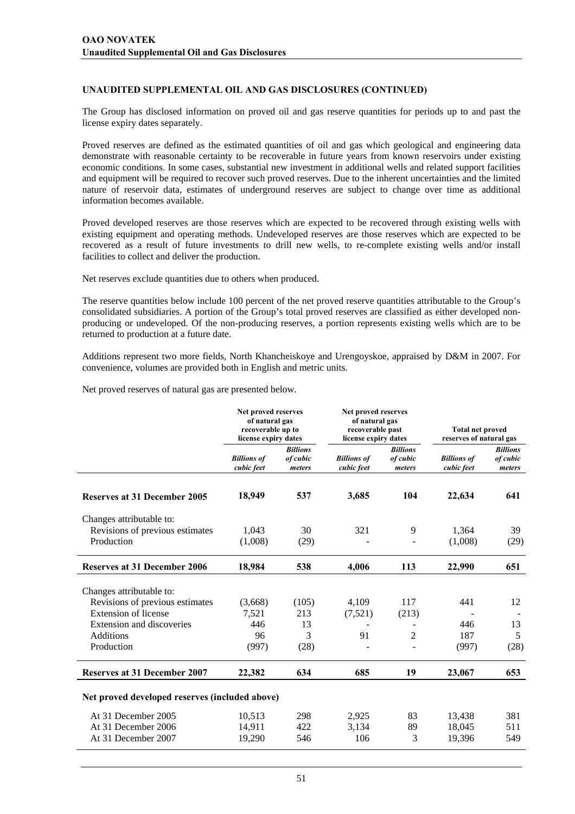#### **UNAUDITED SUPPLEMENTAL OIL AND GAS DISCLOSURES (CONTINUED)**

The Group has disclosed information on proved oil and gas reserve quantities for periods up to and past the license expiry dates separately.

Proved reserves are defined as the estimated quantities of oil and gas which geological and engineering data demonstrate with reasonable certainty to be recoverable in future years from known reservoirs under existing economic conditions. In some cases, substantial new investment in additional wells and related support facilities and equipment will be required to recover such proved reserves. Due to the inherent uncertainties and the limited nature of reservoir data, estimates of underground reserves are subject to change over time as additional information becomes available.

Proved developed reserves are those reserves which are expected to be recovered through existing wells with existing equipment and operating methods. Undeveloped reserves are those reserves which are expected to be recovered as a result of future investments to drill new wells, to re-complete existing wells and/or install facilities to collect and deliver the production.

Net reserves exclude quantities due to others when produced.

The reserve quantities below include 100 percent of the net proved reserve quantities attributable to the Group's consolidated subsidiaries. A portion of the Group's total proved reserves are classified as either developed nonproducing or undeveloped. Of the non-producing reserves, a portion represents existing wells which are to be returned to production at a future date.

Additions represent two more fields, North Khancheiskoye and Urengoyskoe, appraised by D&M in 2007. For convenience, volumes are provided both in English and metric units.

Net proved reserves of natural gas are presented below.

|                                                | Net proved reserves<br>of natural gas<br>recoverable up to<br>license expiry dates |                                       | Net proved reserves<br>of natural gas<br>recoverable past<br>license expiry dates |                                       | <b>Total net proved</b><br>reserves of natural gas |                                       |
|------------------------------------------------|------------------------------------------------------------------------------------|---------------------------------------|-----------------------------------------------------------------------------------|---------------------------------------|----------------------------------------------------|---------------------------------------|
|                                                | <b>Billions of</b><br>cubic feet                                                   | <b>Billions</b><br>of cubic<br>meters | <b>Billions of</b><br>cubic feet                                                  | <b>Billions</b><br>of cubic<br>meters | <b>Billions of</b><br>cubic feet                   | <b>Billions</b><br>of cubic<br>meters |
| <b>Reserves at 31 December 2005</b>            | 18,949                                                                             | 537                                   | 3,685                                                                             | 104                                   | 22,634                                             | 641                                   |
| Changes attributable to:                       |                                                                                    |                                       |                                                                                   |                                       |                                                    |                                       |
| Revisions of previous estimates                | 1,043                                                                              | 30                                    | 321                                                                               | 9                                     | 1,364                                              | 39                                    |
| Production                                     | (1,008)                                                                            | (29)                                  |                                                                                   |                                       | (1,008)                                            | (29)                                  |
| <b>Reserves at 31 December 2006</b>            | 18,984                                                                             | 538                                   | 4,006                                                                             | 113                                   | 22,990                                             | 651                                   |
| Changes attributable to:                       |                                                                                    |                                       |                                                                                   |                                       |                                                    |                                       |
| Revisions of previous estimates                | (3,668)                                                                            | (105)                                 | 4,109                                                                             | 117                                   | 441                                                | 12                                    |
| <b>Extension of license</b>                    | 7,521                                                                              | 213                                   | (7,521)                                                                           | (213)                                 |                                                    |                                       |
| Extension and discoveries                      | 446                                                                                | 13                                    |                                                                                   |                                       | 446                                                | 13                                    |
| Additions                                      | 96                                                                                 | 3                                     | 91                                                                                | $\overline{2}$                        | 187                                                | 5                                     |
| Production                                     | (997)                                                                              | (28)                                  |                                                                                   |                                       | (997)                                              | (28)                                  |
| <b>Reserves at 31 December 2007</b>            | 22,382                                                                             | 634                                   | 685                                                                               | 19                                    | 23,067                                             | 653                                   |
| Net proved developed reserves (included above) |                                                                                    |                                       |                                                                                   |                                       |                                                    |                                       |
| At 31 December 2005                            | 10,513                                                                             | 298                                   | 2,925                                                                             | 83                                    | 13,438                                             | 381                                   |
| At 31 December 2006                            | 14,911                                                                             | 422                                   | 3,134                                                                             | 89                                    | 18,045                                             | 511                                   |
| At 31 December 2007                            | 19,290                                                                             | 546                                   | 106                                                                               | 3                                     | 19,396                                             | 549                                   |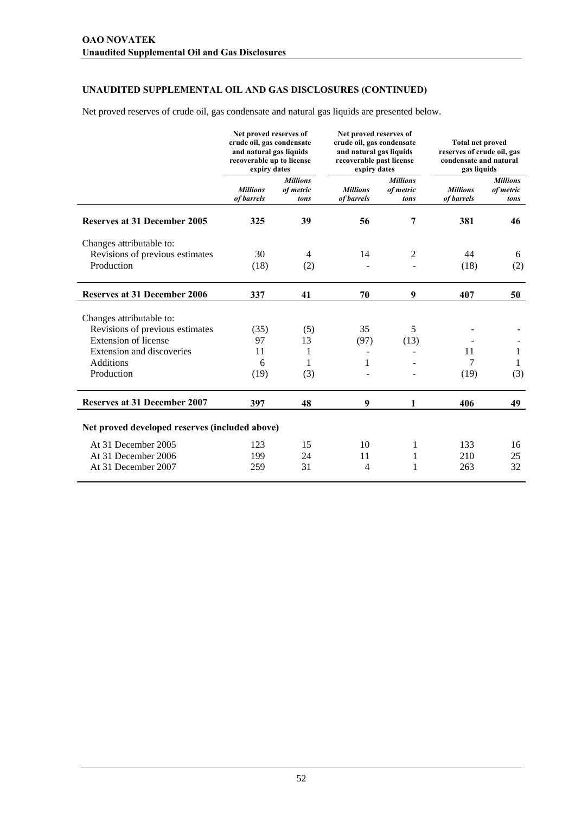#### **UNAUDITED SUPPLEMENTAL OIL AND GAS DISCLOSURES (CONTINUED)**

Net proved reserves of crude oil, gas condensate and natural gas liquids are presented below.

|                                                | Net proved reserves of<br>crude oil, gas condensate<br>and natural gas liquids<br>recoverable up to license<br>expiry dates |                                      | Net proved reserves of<br>crude oil, gas condensate<br>and natural gas liquids<br>recoverable past license<br>expiry dates |                                      | <b>Total net proved</b><br>reserves of crude oil, gas<br>condensate and natural<br>gas liquids |                                      |
|------------------------------------------------|-----------------------------------------------------------------------------------------------------------------------------|--------------------------------------|----------------------------------------------------------------------------------------------------------------------------|--------------------------------------|------------------------------------------------------------------------------------------------|--------------------------------------|
|                                                | <b>Millions</b><br>of barrels                                                                                               | <b>Millions</b><br>of metric<br>tons | <b>Millions</b><br>of barrels                                                                                              | <b>Millions</b><br>of metric<br>tons | <b>Millions</b><br>of barrels                                                                  | <b>Millions</b><br>of metric<br>tons |
| <b>Reserves at 31 December 2005</b>            | 325                                                                                                                         | 39                                   | 56                                                                                                                         | 7                                    | 381                                                                                            | 46                                   |
| Changes attributable to:                       |                                                                                                                             |                                      |                                                                                                                            |                                      |                                                                                                |                                      |
| Revisions of previous estimates                | 30                                                                                                                          | 4                                    | 14                                                                                                                         | $\overline{2}$                       | 44                                                                                             | 6                                    |
| Production                                     | (18)                                                                                                                        | (2)                                  |                                                                                                                            |                                      | (18)                                                                                           | (2)                                  |
| <b>Reserves at 31 December 2006</b>            | 337                                                                                                                         | 41                                   | 70                                                                                                                         | 9                                    | 407                                                                                            | 50                                   |
| Changes attributable to:                       |                                                                                                                             |                                      |                                                                                                                            |                                      |                                                                                                |                                      |
| Revisions of previous estimates                | (35)                                                                                                                        | (5)                                  | 35                                                                                                                         | 5                                    |                                                                                                |                                      |
| <b>Extension of license</b>                    | 97                                                                                                                          | 13                                   | (97)                                                                                                                       | (13)                                 |                                                                                                |                                      |
| Extension and discoveries                      | 11                                                                                                                          | 1                                    |                                                                                                                            |                                      | 11                                                                                             | 1                                    |
| <b>Additions</b>                               | 6                                                                                                                           | $\mathbf{1}$                         | 1                                                                                                                          |                                      | 7                                                                                              | 1                                    |
| Production                                     | (19)                                                                                                                        | (3)                                  |                                                                                                                            |                                      | (19)                                                                                           | (3)                                  |
| <b>Reserves at 31 December 2007</b>            | 397                                                                                                                         | 48                                   | 9                                                                                                                          | 1                                    | 406                                                                                            | 49                                   |
| Net proved developed reserves (included above) |                                                                                                                             |                                      |                                                                                                                            |                                      |                                                                                                |                                      |
| At 31 December 2005                            | 123                                                                                                                         | 15                                   | 10                                                                                                                         | 1                                    | 133                                                                                            | 16                                   |
| At 31 December 2006                            | 199                                                                                                                         | 24                                   | 11                                                                                                                         | 1                                    | 210                                                                                            | 25                                   |
| At 31 December 2007                            | 259                                                                                                                         | 31                                   | 4                                                                                                                          | 1                                    | 263                                                                                            | 32                                   |